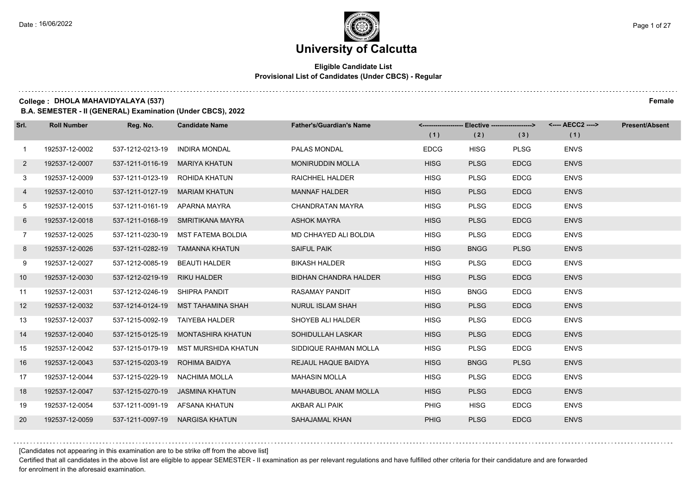#### **Eligible Candidate List Provisional List of Candidates (Under CBCS) - Regular**

**College : DHOLA MAHAVIDYALAYA (537) Female**

**B.A. SEMESTER - II (GENERAL) Examination (Under CBCS), 2022**

| Srl.            | <b>Roll Number</b> | Reg. No.                       | <b>Candidate Name</b>              | <b>Father's/Guardian's Name</b> | (1)         | <------------------- Elective ------------------><br>(2) | (3)         | <---- AECC2 ----><br>(1) | <b>Present/Absent</b> |
|-----------------|--------------------|--------------------------------|------------------------------------|---------------------------------|-------------|----------------------------------------------------------|-------------|--------------------------|-----------------------|
| $\mathbf{1}$    | 192537-12-0002     | 537-1212-0213-19               | <b>INDIRA MONDAL</b>               | PALAS MONDAL                    | <b>EDCG</b> | <b>HISG</b>                                              | <b>PLSG</b> | <b>ENVS</b>              |                       |
| $\mathbf{2}$    | 192537-12-0007     | 537-1211-0116-19               | MARIYA KHATUN                      | <b>MONIRUDDIN MOLLA</b>         | <b>HISG</b> | <b>PLSG</b>                                              | <b>EDCG</b> | <b>ENVS</b>              |                       |
| 3               | 192537-12-0009     | 537-1211-0123-19 ROHIDA KHATUN |                                    | <b>RAICHHEL HALDER</b>          | <b>HISG</b> | <b>PLSG</b>                                              | <b>EDCG</b> | <b>ENVS</b>              |                       |
| 4               | 192537-12-0010     | 537-1211-0127-19 MARIAM KHATUN |                                    | <b>MANNAF HALDER</b>            | <b>HISG</b> | <b>PLSG</b>                                              | <b>EDCG</b> | <b>ENVS</b>              |                       |
| 5               | 192537-12-0015     | 537-1211-0161-19 APARNA MAYRA  |                                    | <b>CHANDRATAN MAYRA</b>         | <b>HISG</b> | <b>PLSG</b>                                              | <b>EDCG</b> | <b>ENVS</b>              |                       |
| 6               | 192537-12-0018     | 537-1211-0168-19               | SMRITIKANA MAYRA                   | <b>ASHOK MAYRA</b>              | <b>HISG</b> | <b>PLSG</b>                                              | <b>EDCG</b> | <b>ENVS</b>              |                       |
| $7\overline{ }$ | 192537-12-0025     |                                | 537-1211-0230-19 MST FATEMA BOLDIA | MD CHHAYED ALI BOLDIA           | <b>HISG</b> | <b>PLSG</b>                                              | <b>EDCG</b> | <b>ENVS</b>              |                       |
| 8               | 192537-12-0026     |                                | 537-1211-0282-19 TAMANNA KHATUN    | <b>SAIFUL PAIK</b>              | <b>HISG</b> | <b>BNGG</b>                                              | <b>PLSG</b> | <b>ENVS</b>              |                       |
| 9               | 192537-12-0027     | 537-1212-0085-19 BEAUTI HALDER |                                    | <b>BIKASH HALDER</b>            | <b>HISG</b> | <b>PLSG</b>                                              | <b>EDCG</b> | <b>ENVS</b>              |                       |
| 10              | 192537-12-0030     | 537-1212-0219-19               | <b>RIKU HALDER</b>                 | <b>BIDHAN CHANDRA HALDER</b>    | <b>HISG</b> | <b>PLSG</b>                                              | <b>EDCG</b> | <b>ENVS</b>              |                       |
| 11              | 192537-12-0031     | 537-1212-0246-19 SHIPRA PANDIT |                                    | RASAMAY PANDIT                  | <b>HISG</b> | <b>BNGG</b>                                              | <b>EDCG</b> | <b>ENVS</b>              |                       |
| 12              | 192537-12-0032     |                                | 537-1214-0124-19 MST TAHAMINA SHAH | <b>NURUL ISLAM SHAH</b>         | <b>HISG</b> | <b>PLSG</b>                                              | <b>EDCG</b> | <b>ENVS</b>              |                       |
| 13              | 192537-12-0037     |                                | 537-1215-0092-19 TAIYEBA HALDER    | SHOYEB ALI HALDER               | <b>HISG</b> | <b>PLSG</b>                                              | <b>EDCG</b> | <b>ENVS</b>              |                       |
| 14              | 192537-12-0040     | 537-1215-0125-19               | MONTASHIRA KHATUN                  | SOHIDULLAH LASKAR               | <b>HISG</b> | <b>PLSG</b>                                              | <b>EDCG</b> | <b>ENVS</b>              |                       |
| 15              | 192537-12-0042     | 537-1215-0179-19               | MST MURSHIDA KHATUN                | SIDDIQUE RAHMAN MOLLA           | HISG        | <b>PLSG</b>                                              | <b>EDCG</b> | <b>ENVS</b>              |                       |
| 16              | 192537-12-0043     | 537-1215-0203-19               | ROHIMA BAIDYA                      | REJAUL HAQUE BAIDYA             | <b>HISG</b> | <b>BNGG</b>                                              | <b>PLSG</b> | <b>ENVS</b>              |                       |
| 17              | 192537-12-0044     | 537-1215-0229-19               | NACHIMA MOLLA                      | <b>MAHASIN MOLLA</b>            | <b>HISG</b> | <b>PLSG</b>                                              | <b>EDCG</b> | <b>ENVS</b>              |                       |
| 18              | 192537-12-0047     |                                | 537-1215-0270-19 JASMINA KHATUN    | <b>MAHABUBOL ANAM MOLLA</b>     | <b>HISG</b> | <b>PLSG</b>                                              | <b>EDCG</b> | <b>ENVS</b>              |                       |
| 19              | 192537-12-0054     |                                | 537-1211-0091-19 AFSANA KHATUN     | AKBAR ALI PAIK                  | <b>PHIG</b> | <b>HISG</b>                                              | <b>EDCG</b> | <b>ENVS</b>              |                       |
| 20              | 192537-12-0059     |                                | 537-1211-0097-19 NARGISA KHATUN    | SAHAJAMAL KHAN                  | <b>PHIG</b> | <b>PLSG</b>                                              | <b>EDCG</b> | <b>ENVS</b>              |                       |

[Candidates not appearing in this examination are to be strike off from the above list]

Certified that all candidates in the above list are eligible to appear SEMESTER - II examination as per relevant regulations and have fulfilled other criteria for their candidature and are forwarded for enrolment in the aforesaid examination.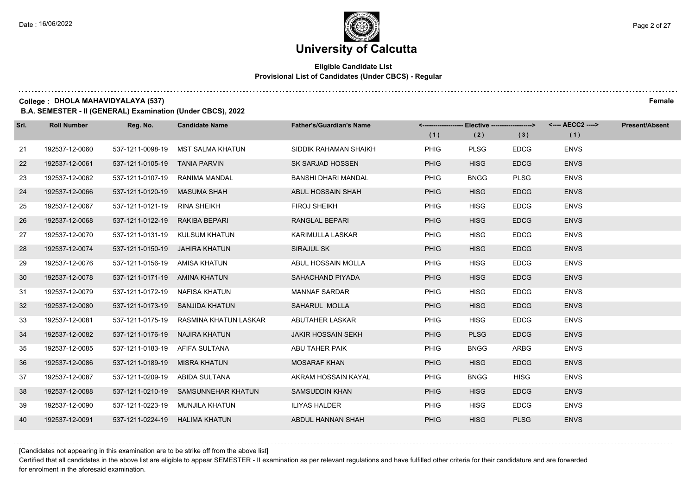#### **Eligible Candidate List Provisional List of Candidates (Under CBCS) - Regular**

**College : DHOLA MAHAVIDYALAYA (537) Female**

**B.A. SEMESTER - II (GENERAL) Examination (Under CBCS), 2022**

| Srl. | <b>Roll Number</b> | Reg. No.                       | <b>Candidate Name</b>                  | <b>Father's/Guardian's Name</b> |             | <------------------- Elective ------------------> |             | <---- AECC2 ----> | <b>Present/Absent</b> |
|------|--------------------|--------------------------------|----------------------------------------|---------------------------------|-------------|---------------------------------------------------|-------------|-------------------|-----------------------|
|      |                    |                                |                                        |                                 | (1)         | (2)                                               | (3)         | (1)               |                       |
| 21   | 192537-12-0060     | 537-1211-0098-19               | MST SALMA KHATUN                       | SIDDIK RAHAMAN SHAIKH           | <b>PHIG</b> | <b>PLSG</b>                                       | <b>EDCG</b> | <b>ENVS</b>       |                       |
| 22   | 192537-12-0061     | 537-1211-0105-19 TANIA PARVIN  |                                        | SK SARJAD HOSSEN                | <b>PHIG</b> | <b>HISG</b>                                       | <b>EDCG</b> | <b>ENVS</b>       |                       |
| 23   | 192537-12-0062     | 537-1211-0107-19               | RANIMA MANDAL                          | <b>BANSHI DHARI MANDAL</b>      | <b>PHIG</b> | <b>BNGG</b>                                       | <b>PLSG</b> | <b>ENVS</b>       |                       |
| 24   | 192537-12-0066     | 537-1211-0120-19               | MASUMA SHAH                            | ABUL HOSSAIN SHAH               | <b>PHIG</b> | <b>HISG</b>                                       | <b>EDCG</b> | <b>ENVS</b>       |                       |
| 25   | 192537-12-0067     | 537-1211-0121-19               | RINA SHEIKH                            | <b>FIROJ SHEIKH</b>             | <b>PHIG</b> | <b>HISG</b>                                       | <b>EDCG</b> | <b>ENVS</b>       |                       |
| 26   | 192537-12-0068     | 537-1211-0122-19               | RAKIBA BEPARI                          | RANGLAL BEPARI                  | <b>PHIG</b> | <b>HISG</b>                                       | <b>EDCG</b> | <b>ENVS</b>       |                       |
| 27   | 192537-12-0070     |                                | 537-1211-0131-19 KULSUM KHATUN         | KARIMULLA LASKAR                | <b>PHIG</b> | <b>HISG</b>                                       | <b>EDCG</b> | <b>ENVS</b>       |                       |
| 28   | 192537-12-0074     | 537-1211-0150-19 JAHIRA KHATUN |                                        | SIRAJUL SK                      | <b>PHIG</b> | <b>HISG</b>                                       | <b>EDCG</b> | <b>ENVS</b>       |                       |
| 29   | 192537-12-0076     | 537-1211-0156-19 AMISA KHATUN  |                                        | ABUL HOSSAIN MOLLA              | <b>PHIG</b> | <b>HISG</b>                                       | <b>EDCG</b> | <b>ENVS</b>       |                       |
| 30   | 192537-12-0078     | 537-1211-0171-19 AMINA KHATUN  |                                        | SAHACHAND PIYADA                | <b>PHIG</b> | <b>HISG</b>                                       | <b>EDCG</b> | <b>ENVS</b>       |                       |
| 31   | 192537-12-0079     | 537-1211-0172-19 NAFISA KHATUN |                                        | <b>MANNAF SARDAR</b>            | <b>PHIG</b> | <b>HISG</b>                                       | <b>EDCG</b> | <b>ENVS</b>       |                       |
| 32   | 192537-12-0080     |                                | 537-1211-0173-19 SANJIDA KHATUN        | SAHARUL MOLLA                   | <b>PHIG</b> | <b>HISG</b>                                       | <b>EDCG</b> | <b>ENVS</b>       |                       |
| 33   | 192537-12-0081     |                                | 537-1211-0175-19 RASMINA KHATUN LASKAR | ABUTAHER LASKAR                 | <b>PHIG</b> | <b>HISG</b>                                       | <b>EDCG</b> | <b>ENVS</b>       |                       |
| 34   | 192537-12-0082     | 537-1211-0176-19               | NAJIRA KHATUN                          | <b>JAKIR HOSSAIN SEKH</b>       | <b>PHIG</b> | <b>PLSG</b>                                       | <b>EDCG</b> | <b>ENVS</b>       |                       |
| 35   | 192537-12-0085     | 537-1211-0183-19 AFIFA SULTANA |                                        | ABU TAHER PAIK                  | <b>PHIG</b> | <b>BNGG</b>                                       | ARBG        | <b>ENVS</b>       |                       |
| 36   | 192537-12-0086     | 537-1211-0189-19               | MISRA KHATUN                           | <b>MOSARAF KHAN</b>             | <b>PHIG</b> | <b>HISG</b>                                       | <b>EDCG</b> | <b>ENVS</b>       |                       |
| 37   | 192537-12-0087     | 537-1211-0209-19 ABIDA SULTANA |                                        | AKRAM HOSSAIN KAYAL             | <b>PHIG</b> | <b>BNGG</b>                                       | <b>HISG</b> | <b>ENVS</b>       |                       |
| 38   | 192537-12-0088     |                                | 537-1211-0210-19 SAMSUNNEHAR KHATUN    | <b>SAMSUDDIN KHAN</b>           | <b>PHIG</b> | <b>HISG</b>                                       | <b>EDCG</b> | <b>ENVS</b>       |                       |
| 39   | 192537-12-0090     |                                | 537-1211-0223-19 MUNJILA KHATUN        | <b>ILIYAS HALDER</b>            | <b>PHIG</b> | <b>HISG</b>                                       | <b>EDCG</b> | <b>ENVS</b>       |                       |
| 40   | 192537-12-0091     | 537-1211-0224-19 HALIMA KHATUN |                                        | ABDUL HANNAN SHAH               | <b>PHIG</b> | <b>HISG</b>                                       | <b>PLSG</b> | <b>ENVS</b>       |                       |

[Candidates not appearing in this examination are to be strike off from the above list]

Certified that all candidates in the above list are eligible to appear SEMESTER - II examination as per relevant regulations and have fulfilled other criteria for their candidature and are forwarded for enrolment in the aforesaid examination.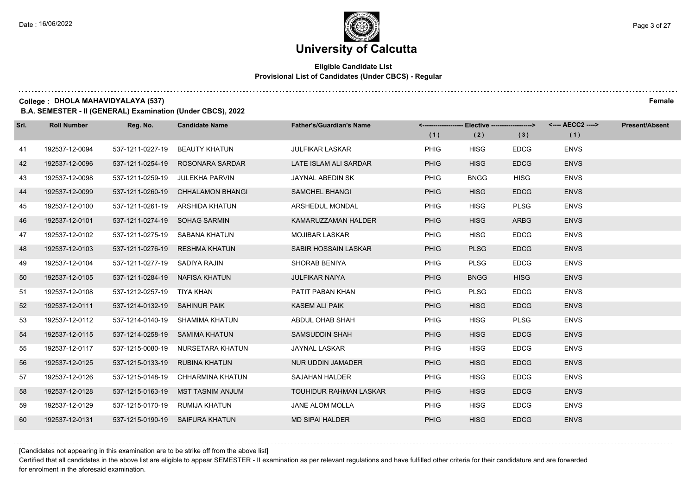#### **Eligible Candidate List Provisional List of Candidates (Under CBCS) - Regular**

**College : DHOLA MAHAVIDYALAYA (537) Female**

**B.A. SEMESTER - II (GENERAL) Examination (Under CBCS), 2022**

| Srl. | <b>Roll Number</b> | Reg. No.                       | <b>Candidate Name</b>             | <b>Father's/Guardian's Name</b> | (1)         | <------------------- Elective ------------------><br>(2) | (3)         | <---- AECC2 ----><br>(1) | <b>Present/Absent</b> |
|------|--------------------|--------------------------------|-----------------------------------|---------------------------------|-------------|----------------------------------------------------------|-------------|--------------------------|-----------------------|
| 41   | 192537-12-0094     | 537-1211-0227-19               | BEAUTY KHATUN                     | <b>JULFIKAR LASKAR</b>          | <b>PHIG</b> | <b>HISG</b>                                              | <b>EDCG</b> | <b>ENVS</b>              |                       |
| 42   | 192537-12-0096     | 537-1211-0254-19               | ROSONARA SARDAR                   | LATE ISLAM ALI SARDAR           | <b>PHIG</b> | <b>HISG</b>                                              | <b>EDCG</b> | <b>ENVS</b>              |                       |
| 43   | 192537-12-0098     |                                | 537-1211-0259-19 JULEKHA PARVIN   | JAYNAL ABEDIN SK                | PHIG        | <b>BNGG</b>                                              | <b>HISG</b> | <b>ENVS</b>              |                       |
| 44   | 192537-12-0099     | 537-1211-0260-19               | <b>CHHALAMON BHANGI</b>           | <b>SAMCHEL BHANGI</b>           | <b>PHIG</b> | <b>HISG</b>                                              | <b>EDCG</b> | <b>ENVS</b>              |                       |
| 45   | 192537-12-0100     |                                | 537-1211-0261-19 ARSHIDA KHATUN   | ARSHEDUL MONDAL                 | <b>PHIG</b> | <b>HISG</b>                                              | <b>PLSG</b> | <b>ENVS</b>              |                       |
| 46   | 192537-12-0101     | 537-1211-0274-19 SOHAG SARMIN  |                                   | KAMARUZZAMAN HALDER             | <b>PHIG</b> | <b>HISG</b>                                              | <b>ARBG</b> | <b>ENVS</b>              |                       |
| 47   | 192537-12-0102     |                                | 537-1211-0275-19 SABANA KHATUN    | <b>MOJIBAR LASKAR</b>           | PHIG        | <b>HISG</b>                                              | <b>EDCG</b> | <b>ENVS</b>              |                       |
| 48   | 192537-12-0103     |                                | 537-1211-0276-19 RESHMA KHATUN    | SABIR HOSSAIN LASKAR            | <b>PHIG</b> | <b>PLSG</b>                                              | <b>EDCG</b> | <b>ENVS</b>              |                       |
| 49   | 192537-12-0104     | 537-1211-0277-19 SADIYA RAJIN  |                                   | SHORAB BENIYA                   | <b>PHIG</b> | <b>PLSG</b>                                              | <b>EDCG</b> | <b>ENVS</b>              |                       |
| 50   | 192537-12-0105     | 537-1211-0284-19 NAFISA KHATUN |                                   | <b>JULFIKAR NAIYA</b>           | <b>PHIG</b> | <b>BNGG</b>                                              | <b>HISG</b> | <b>ENVS</b>              |                       |
| 51   | 192537-12-0108     | 537-1212-0257-19 TIYA KHAN     |                                   | PATIT PABAN KHAN                | PHIG        | <b>PLSG</b>                                              | <b>EDCG</b> | <b>ENVS</b>              |                       |
| 52   | 192537-12-0111     | 537-1214-0132-19 SAHINUR PAIK  |                                   | <b>KASEM ALI PAIK</b>           | <b>PHIG</b> | <b>HISG</b>                                              | <b>EDCG</b> | <b>ENVS</b>              |                       |
| 53   | 192537-12-0112     |                                | 537-1214-0140-19 SHAMIMA KHATUN   | ABDUL OHAB SHAH                 | PHIG        | <b>HISG</b>                                              | <b>PLSG</b> | <b>ENVS</b>              |                       |
| 54   | 192537-12-0115     | 537-1214-0258-19 SAMIMA KHATUN |                                   | SAMSUDDIN SHAH                  | <b>PHIG</b> | <b>HISG</b>                                              | <b>EDCG</b> | <b>ENVS</b>              |                       |
| 55   | 192537-12-0117     |                                | 537-1215-0080-19 NURSETARA KHATUN | JAYNAL LASKAR                   | <b>PHIG</b> | <b>HISG</b>                                              | <b>EDCG</b> | <b>ENVS</b>              |                       |
| 56   | 192537-12-0125     | 537-1215-0133-19               | RUBINA KHATUN                     | <b>NUR UDDIN JAMADER</b>        | <b>PHIG</b> | <b>HISG</b>                                              | <b>EDCG</b> | <b>ENVS</b>              |                       |
| 57   | 192537-12-0126     | 537-1215-0148-19               | CHHARMINA KHATUN                  | <b>SAJAHAN HALDER</b>           | <b>PHIG</b> | <b>HISG</b>                                              | <b>EDCG</b> | <b>ENVS</b>              |                       |
| 58   | 192537-12-0128     | 537-1215-0163-19               | MST TASNIM ANJUM                  | TOUHIDUR RAHMAN LASKAR          | <b>PHIG</b> | <b>HISG</b>                                              | <b>EDCG</b> | <b>ENVS</b>              |                       |
| 59   | 192537-12-0129     | 537-1215-0170-19 RUMIJA KHATUN |                                   | JANE ALOM MOLLA                 | <b>PHIG</b> | <b>HISG</b>                                              | <b>EDCG</b> | <b>ENVS</b>              |                       |
| 60   | 192537-12-0131     |                                | 537-1215-0190-19 SAIFURA KHATUN   | MD SIPAI HALDER                 | <b>PHIG</b> | <b>HISG</b>                                              | <b>EDCG</b> | <b>ENVS</b>              |                       |

[Candidates not appearing in this examination are to be strike off from the above list]

Certified that all candidates in the above list are eligible to appear SEMESTER - II examination as per relevant regulations and have fulfilled other criteria for their candidature and are forwarded for enrolment in the aforesaid examination.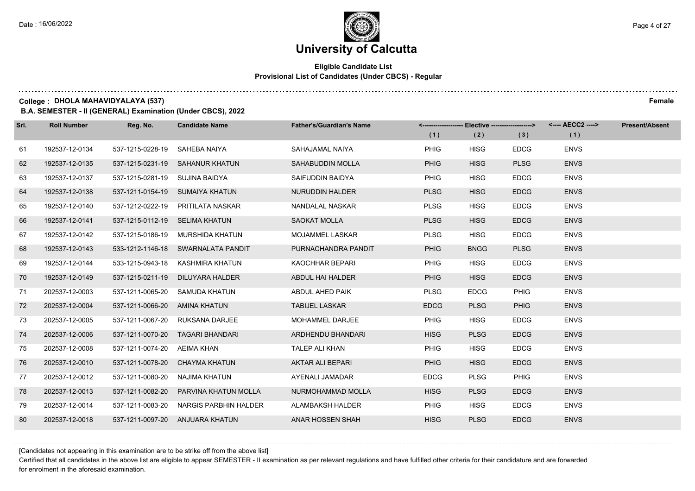#### **Eligible Candidate List Provisional List of Candidates (Under CBCS) - Regular**

**College : DHOLA MAHAVIDYALAYA (537) Female**

**B.A. SEMESTER - II (GENERAL) Examination (Under CBCS), 2022**

| Srl. | <b>Roll Number</b> | Reg. No.                       | <b>Candidate Name</b>                  | <b>Father's/Guardian's Name</b> | (1)         | <------------------- Elective ------------------><br>(2) | (3)         | (1)         | <b>Present/Absent</b> |
|------|--------------------|--------------------------------|----------------------------------------|---------------------------------|-------------|----------------------------------------------------------|-------------|-------------|-----------------------|
| 61   | 192537-12-0134     | 537-1215-0228-19 SAHEBA NAIYA  |                                        | SAHAJAMAL NAIYA                 | <b>PHIG</b> | <b>HISG</b>                                              | <b>EDCG</b> | <b>ENVS</b> |                       |
| 62   | 192537-12-0135     |                                | 537-1215-0231-19 SAHANUR KHATUN        | <b>SAHABUDDIN MOLLA</b>         | <b>PHIG</b> | <b>HISG</b>                                              | <b>PLSG</b> | <b>ENVS</b> |                       |
| 63   | 192537-12-0137     | 537-1215-0281-19 SUJINA BAIDYA |                                        | SAIFUDDIN BAIDYA                | <b>PHIG</b> | <b>HISG</b>                                              | <b>EDCG</b> | <b>ENVS</b> |                       |
| 64   | 192537-12-0138     |                                | 537-1211-0154-19 SUMAIYA KHATUN        | <b>NURUDDIN HALDER</b>          | <b>PLSG</b> | <b>HISG</b>                                              | <b>EDCG</b> | <b>ENVS</b> |                       |
| 65   | 192537-12-0140     |                                | 537-1212-0222-19 PRITILATA NASKAR      | NANDALAL NASKAR                 | <b>PLSG</b> | <b>HISG</b>                                              | <b>EDCG</b> | <b>ENVS</b> |                       |
| 66   | 192537-12-0141     | 537-1215-0112-19 SELIMA KHATUN |                                        | <b>SAOKAT MOLLA</b>             | <b>PLSG</b> | <b>HISG</b>                                              | <b>EDCG</b> | <b>ENVS</b> |                       |
| 67   | 192537-12-0142     |                                | 537-1215-0186-19 MURSHIDA KHATUN       | <b>MOJAMMEL LASKAR</b>          | <b>PLSG</b> | <b>HISG</b>                                              | <b>EDCG</b> | <b>ENVS</b> |                       |
| 68   | 192537-12-0143     |                                | 533-1212-1146-18 SWARNALATA PANDIT     | PURNACHANDRA PANDIT             | <b>PHIG</b> | <b>BNGG</b>                                              | <b>PLSG</b> | <b>ENVS</b> |                       |
| 69   | 192537-12-0144     |                                | 533-1215-0943-18 KASHMIRA KHATUN       | KAOCHHAR BEPARI                 | <b>PHIG</b> | <b>HISG</b>                                              | <b>EDCG</b> | <b>ENVS</b> |                       |
| 70   | 192537-12-0149     | 537-1215-0211-19               | DILUYARA HALDER                        | ABDUL HAI HALDER                | <b>PHIG</b> | <b>HISG</b>                                              | <b>EDCG</b> | <b>ENVS</b> |                       |
| 71   | 202537-12-0003     |                                | 537-1211-0065-20 SAMUDA KHATUN         | ABDUL AHED PAIK                 | <b>PLSG</b> | <b>EDCG</b>                                              | <b>PHIG</b> | <b>ENVS</b> |                       |
| 72   | 202537-12-0004     | 537-1211-0066-20 AMINA KHATUN  |                                        | <b>TABIJEL LASKAR</b>           | <b>EDCG</b> | <b>PLSG</b>                                              | <b>PHIG</b> | <b>ENVS</b> |                       |
| 73   | 202537-12-0005     |                                | 537-1211-0067-20 RUKSANA DARJEE        | MOHAMMEL DARJEE                 | <b>PHIG</b> | <b>HISG</b>                                              | <b>EDCG</b> | <b>ENVS</b> |                       |
| 74   | 202537-12-0006     |                                | 537-1211-0070-20 TAGARI BHANDARI       | ARDHENDU BHANDARI               | <b>HISG</b> | <b>PLSG</b>                                              | <b>EDCG</b> | <b>ENVS</b> |                       |
| 75   | 202537-12-0008     | 537-1211-0074-20 AEIMA KHAN    |                                        | <b>TALEP ALI KHAN</b>           | <b>PHIG</b> | <b>HISG</b>                                              | <b>EDCG</b> | <b>ENVS</b> |                       |
| 76   | 202537-12-0010     |                                | 537-1211-0078-20 CHAYMA KHATUN         | AKTAR ALI BEPARI                | <b>PHIG</b> | <b>HISG</b>                                              | <b>EDCG</b> | <b>ENVS</b> |                       |
| 77   | 202537-12-0012     | 537-1211-0080-20               | NAJIMA KHATUN                          | AYENALI JAMADAR                 | <b>EDCG</b> | <b>PLSG</b>                                              | <b>PHIG</b> | <b>ENVS</b> |                       |
| 78   | 202537-12-0013     | 537-1211-0082-20               | PARVINA KHATUN MOLLA                   | NURMOHAMMAD MOLLA               | <b>HISG</b> | <b>PLSG</b>                                              | <b>EDCG</b> | <b>ENVS</b> |                       |
| 79   | 202537-12-0014     |                                | 537-1211-0083-20 NARGIS PARBHIN HALDER | ALAMBAKSH HALDER                | <b>PHIG</b> | <b>HISG</b>                                              | <b>EDCG</b> | <b>ENVS</b> |                       |
| 80   | 202537-12-0018     |                                | 537-1211-0097-20 ANJUARA KHATUN        | <b>ANAR HOSSEN SHAH</b>         | <b>HISG</b> | <b>PLSG</b>                                              | <b>EDCG</b> | <b>ENVS</b> |                       |

[Candidates not appearing in this examination are to be strike off from the above list]

Certified that all candidates in the above list are eligible to appear SEMESTER - II examination as per relevant regulations and have fulfilled other criteria for their candidature and are forwarded for enrolment in the aforesaid examination.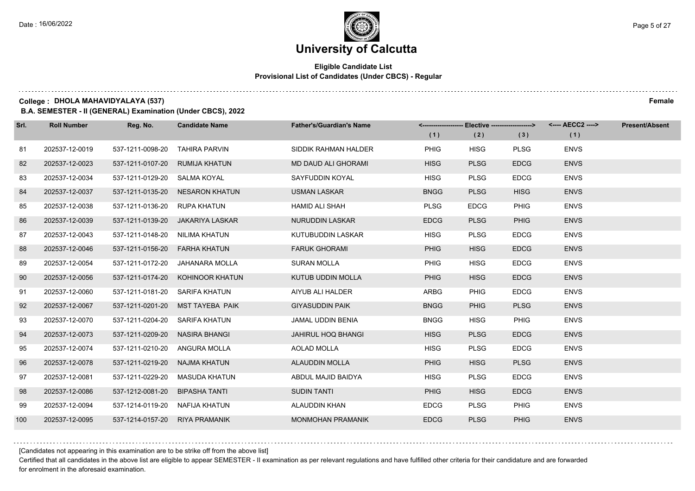#### **Eligible Candidate List Provisional List of Candidates (Under CBCS) - Regular**

**College : DHOLA MAHAVIDYALAYA (537) Female**

**B.A. SEMESTER - II (GENERAL) Examination (Under CBCS), 2022**

| Srl. | <b>Roll Number</b> | Reg. No.                       | <b>Candidate Name</b>           | <b>Father's/Guardian's Name</b> |             | <-------------------- Elective -------------------> |             | <---- AECC2 ----> | <b>Present/Absent</b> |
|------|--------------------|--------------------------------|---------------------------------|---------------------------------|-------------|-----------------------------------------------------|-------------|-------------------|-----------------------|
|      |                    |                                |                                 |                                 | (1)         | (2)                                                 | (3)         | (1)               |                       |
| 81   | 202537-12-0019     | 537-1211-0098-20               | TAHIRA PARVIN                   | SIDDIK RAHMAN HALDER            | <b>PHIG</b> | <b>HISG</b>                                         | <b>PLSG</b> | <b>ENVS</b>       |                       |
| 82   | 202537-12-0023     | 537-1211-0107-20               | <b>RUMIJA KHATUN</b>            | <b>MD DAUD ALI GHORAMI</b>      | <b>HISG</b> | <b>PLSG</b>                                         | <b>EDCG</b> | <b>ENVS</b>       |                       |
| 83   | 202537-12-0034     | 537-1211-0129-20 SALMA KOYAL   |                                 | SAYFUDDIN KOYAL                 | <b>HISG</b> | <b>PLSG</b>                                         | <b>EDCG</b> | <b>ENVS</b>       |                       |
| 84   | 202537-12-0037     |                                | 537-1211-0135-20 NESARON KHATUN | <b>USMAN LASKAR</b>             | <b>BNGG</b> | <b>PLSG</b>                                         | <b>HISG</b> | <b>ENVS</b>       |                       |
| 85   | 202537-12-0038     | 537-1211-0136-20               | RUPA KHATUN                     | <b>HAMID ALI SHAH</b>           | <b>PLSG</b> | <b>EDCG</b>                                         | PHIG        | <b>ENVS</b>       |                       |
| 86   | 202537-12-0039     | 537-1211-0139-20               | JAKARIYA LASKAR                 | <b>NURUDDIN LASKAR</b>          | <b>EDCG</b> | <b>PLSG</b>                                         | <b>PHIG</b> | <b>ENVS</b>       |                       |
| 87   | 202537-12-0043     | 537-1211-0148-20               | NILIMA KHATUN                   | KUTUBUDDIN LASKAR               | <b>HISG</b> | <b>PLSG</b>                                         | <b>EDCG</b> | <b>ENVS</b>       |                       |
| 88   | 202537-12-0046     | 537-1211-0156-20 FARHA KHATUN  |                                 | <b>FARUK GHORAMI</b>            | <b>PHIG</b> | <b>HISG</b>                                         | <b>EDCG</b> | <b>ENVS</b>       |                       |
| 89   | 202537-12-0054     | 537-1211-0172-20               | JAHANARA MOLLA                  | <b>SURAN MOLLA</b>              | <b>PHIG</b> | <b>HISG</b>                                         | <b>EDCG</b> | <b>ENVS</b>       |                       |
| 90   | 202537-12-0056     | 537-1211-0174-20               | KOHINOOR KHATUN                 | <b>KUTUB UDDIN MOLLA</b>        | <b>PHIG</b> | <b>HISG</b>                                         | <b>EDCG</b> | <b>ENVS</b>       |                       |
| 91   | 202537-12-0060     | 537-1211-0181-20 SARIFA KHATUN |                                 | AIYUB ALI HALDER                | <b>ARBG</b> | <b>PHIG</b>                                         | <b>EDCG</b> | <b>ENVS</b>       |                       |
| 92   | 202537-12-0067     | 537-1211-0201-20               | MST TAYEBA PAIK                 | <b>GIYASUDDIN PAIK</b>          | <b>BNGG</b> | <b>PHIG</b>                                         | <b>PLSG</b> | <b>ENVS</b>       |                       |
| 93   | 202537-12-0070     | 537-1211-0204-20 SARIFA KHATUN |                                 | JAMAL UDDIN BENIA               | <b>BNGG</b> | <b>HISG</b>                                         | <b>PHIG</b> | <b>ENVS</b>       |                       |
| 94   | 202537-12-0073     | 537-1211-0209-20               | NASIRA BHANGI                   | <b>JAHIRUL HOQ BHANGI</b>       | <b>HISG</b> | <b>PLSG</b>                                         | <b>EDCG</b> | <b>ENVS</b>       |                       |
| 95   | 202537-12-0074     | 537-1211-0210-20 ANGURA MOLLA  |                                 | AOLAD MOLLA                     | <b>HISG</b> | <b>PLSG</b>                                         | <b>EDCG</b> | <b>ENVS</b>       |                       |
| 96   | 202537-12-0078     | 537-1211-0219-20 NAJMA KHATUN  |                                 | <b>ALAUDDIN MOLLA</b>           | <b>PHIG</b> | <b>HISG</b>                                         | <b>PLSG</b> | <b>ENVS</b>       |                       |
| 97   | 202537-12-0081     | 537-1211-0229-20               | MASUDA KHATUN                   | ABDUL MAJID BAIDYA              | <b>HISG</b> | <b>PLSG</b>                                         | <b>EDCG</b> | <b>ENVS</b>       |                       |
| 98   | 202537-12-0086     | 537-1212-0081-20               | <b>BIPASHA TANTI</b>            | <b>SUDIN TANTI</b>              | <b>PHIG</b> | <b>HISG</b>                                         | <b>EDCG</b> | <b>ENVS</b>       |                       |
| 99   | 202537-12-0094     | 537-1214-0119-20 NAFIJA KHATUN |                                 | ALAUDDIN KHAN                   | <b>EDCG</b> | <b>PLSG</b>                                         | <b>PHIG</b> | <b>ENVS</b>       |                       |
| 100  | 202537-12-0095     | 537-1214-0157-20 RIYA PRAMANIK |                                 | <b>MONMOHAN PRAMANIK</b>        | <b>EDCG</b> | <b>PLSG</b>                                         | <b>PHIG</b> | <b>ENVS</b>       |                       |

[Candidates not appearing in this examination are to be strike off from the above list]

Certified that all candidates in the above list are eligible to appear SEMESTER - II examination as per relevant regulations and have fulfilled other criteria for their candidature and are forwarded for enrolment in the aforesaid examination.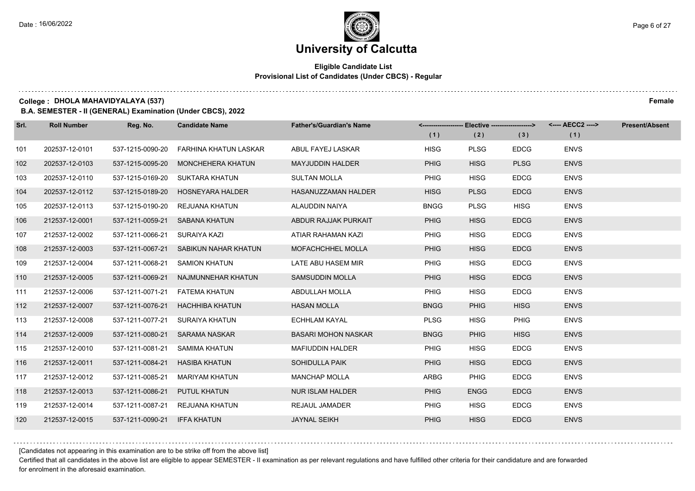#### **Eligible Candidate List Provisional List of Candidates (Under CBCS) - Regular**

**College : DHOLA MAHAVIDYALAYA (537) Female**

**B.A. SEMESTER - II (GENERAL) Examination (Under CBCS), 2022**

| Srl. | <b>Roll Number</b> | Reg. No.                       | <b>Candidate Name</b>                 | <b>Father's/Guardian's Name</b> | (1)         | <-------------------- Elective ------------------><br>(2) | (3)         | <---- AECC2 ----><br>(1) | <b>Present/Absent</b> |
|------|--------------------|--------------------------------|---------------------------------------|---------------------------------|-------------|-----------------------------------------------------------|-------------|--------------------------|-----------------------|
| 101  | 202537-12-0101     | 537-1215-0090-20               | FARHINA KHATUN LASKAR                 | ABUL FAYEJ LASKAR               | <b>HISG</b> | <b>PLSG</b>                                               | <b>EDCG</b> | <b>ENVS</b>              |                       |
| 102  | 202537-12-0103     | 537-1215-0095-20               | <b>MONCHEHERA KHATUN</b>              | <b>MAYJUDDIN HALDER</b>         | <b>PHIG</b> | <b>HISG</b>                                               | <b>PLSG</b> | <b>ENVS</b>              |                       |
| 103  | 202537-12-0110     | 537-1215-0169-20               | SUKTARA KHATUN                        | <b>SULTAN MOLLA</b>             | PHIG        | <b>HISG</b>                                               | <b>EDCG</b> | <b>ENVS</b>              |                       |
| 104  | 202537-12-0112     |                                | 537-1215-0189-20 HOSNEYARA HALDER     | HASANUZZAMAN HALDER             | <b>HISG</b> | <b>PLSG</b>                                               | <b>EDCG</b> | <b>ENVS</b>              |                       |
| 105  | 202537-12-0113     | 537-1215-0190-20               | REJUANA KHATUN                        | ALAUDDIN NAIYA                  | <b>BNGG</b> | <b>PLSG</b>                                               | <b>HISG</b> | <b>ENVS</b>              |                       |
| 106  | 212537-12-0001     | 537-1211-0059-21               | SABANA KHATUN                         | ABDUR RAJJAK PURKAIT            | <b>PHIG</b> | <b>HISG</b>                                               | <b>EDCG</b> | <b>ENVS</b>              |                       |
| 107  | 212537-12-0002     | 537-1211-0066-21               | SURAIYA KAZI                          | ATIAR RAHAMAN KAZI              | <b>PHIG</b> | <b>HISG</b>                                               | <b>EDCG</b> | <b>ENVS</b>              |                       |
| 108  | 212537-12-0003     |                                | 537-1211-0067-21 SABIKUN NAHAR KHATUN | MOFACHCHHEL MOLLA               | <b>PHIG</b> | <b>HISG</b>                                               | <b>EDCG</b> | <b>ENVS</b>              |                       |
| 109  | 212537-12-0004     | 537-1211-0068-21               | <b>SAMION KHATUN</b>                  | LATE ABU HASEM MIR              | <b>PHIG</b> | <b>HISG</b>                                               | <b>EDCG</b> | <b>ENVS</b>              |                       |
| 110  | 212537-12-0005     | 537-1211-0069-21               | NAJMUNNEHAR KHATUN                    | <b>SAMSUDDIN MOLLA</b>          | <b>PHIG</b> | <b>HISG</b>                                               | <b>EDCG</b> | <b>ENVS</b>              |                       |
| 111  | 212537-12-0006     |                                | 537-1211-0071-21    FATEMA KHATUN     | ABDULLAH MOLLA                  | <b>PHIG</b> | <b>HISG</b>                                               | <b>EDCG</b> | <b>ENVS</b>              |                       |
| 112  | 212537-12-0007     |                                | 537-1211-0076-21 HACHHIBA KHATUN      | <b>HASAN MOLLA</b>              | <b>BNGG</b> | <b>PHIG</b>                                               | <b>HISG</b> | <b>ENVS</b>              |                       |
| 113  | 212537-12-0008     | 537-1211-0077-21               | SURAIYA KHATUN                        | <b>ECHHLAM KAYAL</b>            | <b>PLSG</b> | <b>HISG</b>                                               | PHIG        | <b>ENVS</b>              |                       |
| 114  | 212537-12-0009     | 537-1211-0080-21               | <b>SARAMA NASKAR</b>                  | <b>BASARI MOHON NASKAR</b>      | <b>BNGG</b> | <b>PHIG</b>                                               | <b>HISG</b> | <b>ENVS</b>              |                       |
| 115  | 212537-12-0010     | 537-1211-0081-21               | SAMIMA KHATUN                         | <b>MAFIUDDIN HALDER</b>         | <b>PHIG</b> | <b>HISG</b>                                               | <b>EDCG</b> | <b>ENVS</b>              |                       |
| 116  | 212537-12-0011     | 537-1211-0084-21 HASIBA KHATUN |                                       | <b>SOHIDULLA PAIK</b>           | <b>PHIG</b> | <b>HISG</b>                                               | <b>EDCG</b> | <b>ENVS</b>              |                       |
| 117  | 212537-12-0012     | 537-1211-0085-21               | MARIYAM KHATUN                        | <b>MANCHAP MOLLA</b>            | <b>ARBG</b> | <b>PHIG</b>                                               | <b>EDCG</b> | <b>ENVS</b>              |                       |
| 118  | 212537-12-0013     | 537-1211-0086-21               | PUTUL KHATUN                          | <b>NUR ISLAM HALDER</b>         | <b>PHIG</b> | <b>ENGG</b>                                               | <b>EDCG</b> | <b>ENVS</b>              |                       |
| 119  | 212537-12-0014     |                                | 537-1211-0087-21 REJUANA KHATUN       | <b>REJAUL JAMADER</b>           | <b>PHIG</b> | <b>HISG</b>                                               | <b>EDCG</b> | <b>ENVS</b>              |                       |
| 120  | 212537-12-0015     | 537-1211-0090-21 IFFA KHATUN   |                                       | <b>JAYNAL SEIKH</b>             | <b>PHIG</b> | <b>HISG</b>                                               | <b>EDCG</b> | <b>ENVS</b>              |                       |

[Candidates not appearing in this examination are to be strike off from the above list]

Certified that all candidates in the above list are eligible to appear SEMESTER - II examination as per relevant regulations and have fulfilled other criteria for their candidature and are forwarded for enrolment in the aforesaid examination.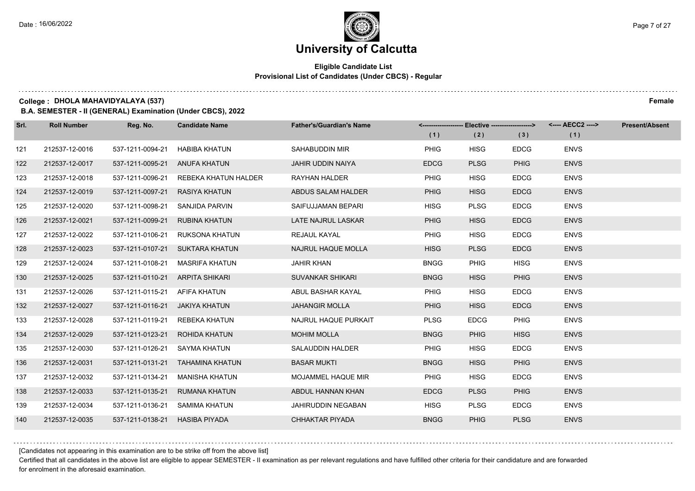#### **Eligible Candidate List Provisional List of Candidates (Under CBCS) - Regular**

**College : DHOLA MAHAVIDYALAYA (537) Female**

**B.A. SEMESTER - II (GENERAL) Examination (Under CBCS), 2022**

| Srl. | <b>Roll Number</b> | Reg. No.                        | <b>Candidate Name</b>                 | <b>Father's/Guardian's Name</b> |             | <-------------------- Elective ------------------> |             | <---- AECC2 ----> | <b>Present/Absent</b> |
|------|--------------------|---------------------------------|---------------------------------------|---------------------------------|-------------|----------------------------------------------------|-------------|-------------------|-----------------------|
|      |                    |                                 |                                       |                                 | (1)         | (2)                                                | (3)         | (1)               |                       |
| 121  | 212537-12-0016     | 537-1211-0094-21                | <b>HABIBA KHATUN</b>                  | SAHABUDDIN MIR                  | <b>PHIG</b> | <b>HISG</b>                                        | <b>EDCG</b> | <b>ENVS</b>       |                       |
| 122  | 212537-12-0017     | 537-1211-0095-21 ANUFA KHATUN   |                                       | <b>JAHIR UDDIN NAIYA</b>        | <b>EDCG</b> | <b>PLSG</b>                                        | <b>PHIG</b> | <b>ENVS</b>       |                       |
| 123  | 212537-12-0018     |                                 | 537-1211-0096-21 REBEKA KHATUN HALDER | RAYHAN HALDER                   | <b>PHIG</b> | <b>HISG</b>                                        | <b>EDCG</b> | <b>ENVS</b>       |                       |
| 124  | 212537-12-0019     | 537-1211-0097-21 RASIYA KHATUN  |                                       | ABDUS SALAM HALDER              | <b>PHIG</b> | <b>HISG</b>                                        | <b>EDCG</b> | <b>ENVS</b>       |                       |
| 125  | 212537-12-0020     |                                 | 537-1211-0098-21 SANJIDA PARVIN       | SAIFUJJAMAN BEPARI              | <b>HISG</b> | <b>PLSG</b>                                        | <b>EDCG</b> | <b>ENVS</b>       |                       |
| 126  | 212537-12-0021     | 537-1211-0099-21 RUBINA KHATUN  |                                       | LATE NAJRUL LASKAR              | <b>PHIG</b> | <b>HISG</b>                                        | <b>EDCG</b> | <b>ENVS</b>       |                       |
| 127  | 212537-12-0022     |                                 | 537-1211-0106-21 RUKSONA KHATUN       | REJAUL KAYAL                    | <b>PHIG</b> | <b>HISG</b>                                        | <b>EDCG</b> | <b>ENVS</b>       |                       |
| 128  | 212537-12-0023     |                                 | 537-1211-0107-21 SUKTARA KHATUN       | NAJRUL HAQUE MOLLA              | <b>HISG</b> | <b>PLSG</b>                                        | <b>EDCG</b> | <b>ENVS</b>       |                       |
| 129  | 212537-12-0024     | 537-1211-0108-21                | MASRIFA KHATUN                        | <b>JAHIR KHAN</b>               | <b>BNGG</b> | <b>PHIG</b>                                        | <b>HISG</b> | <b>ENVS</b>       |                       |
| 130  | 212537-12-0025     | 537-1211-0110-21 ARPITA SHIKARI |                                       | <b>SUVANKAR SHIKARI</b>         | <b>BNGG</b> | <b>HISG</b>                                        | <b>PHIG</b> | <b>ENVS</b>       |                       |
| 131  | 212537-12-0026     | 537-1211-0115-21 AFIFA KHATUN   |                                       | ABUL BASHAR KAYAL               | <b>PHIG</b> | <b>HISG</b>                                        | <b>EDCG</b> | <b>ENVS</b>       |                       |
| 132  | 212537-12-0027     | 537-1211-0116-21 JAKIYA KHATUN  |                                       | <b>JAHANGIR MOLLA</b>           | <b>PHIG</b> | <b>HISG</b>                                        | <b>EDCG</b> | <b>ENVS</b>       |                       |
| 133  | 212537-12-0028     |                                 | 537-1211-0119-21 REBEKA KHATUN        | NAJRUL HAQUE PURKAIT            | <b>PLSG</b> | <b>EDCG</b>                                        | <b>PHIG</b> | <b>ENVS</b>       |                       |
| 134  | 212537-12-0029     |                                 | 537-1211-0123-21 ROHIDA KHATUN        | <b>MOHIM MOLLA</b>              | <b>BNGG</b> | <b>PHIG</b>                                        | <b>HISG</b> | <b>ENVS</b>       |                       |
| 135  | 212537-12-0030     | 537-1211-0126-21 SAYMA KHATUN   |                                       | SALAUDDIN HALDER                | <b>PHIG</b> | <b>HISG</b>                                        | <b>EDCG</b> | <b>ENVS</b>       |                       |
| 136  | 212537-12-0031     |                                 | 537-1211-0131-21 TAHAMINA KHATUN      | <b>BASAR MUKTI</b>              | <b>BNGG</b> | <b>HISG</b>                                        | <b>PHIG</b> | <b>ENVS</b>       |                       |
| 137  | 212537-12-0032     | 537-1211-0134-21                | MANISHA KHATUN                        | MOJAMMEL HAQUE MIR              | <b>PHIG</b> | <b>HISG</b>                                        | <b>EDCG</b> | <b>ENVS</b>       |                       |
| 138  | 212537-12-0033     |                                 | 537-1211-0135-21 RUMANA KHATUN        | ABDUL HANNAN KHAN               | <b>EDCG</b> | <b>PLSG</b>                                        | <b>PHIG</b> | <b>ENVS</b>       |                       |
| 139  | 212537-12-0034     |                                 | 537-1211-0136-21 SAMIMA KHATUN        | JAHIRUDDIN NEGABAN              | <b>HISG</b> | <b>PLSG</b>                                        | <b>EDCG</b> | <b>ENVS</b>       |                       |
| 140  | 212537-12-0035     | 537-1211-0138-21 HASIBA PIYADA  |                                       | CHHAKTAR PIYADA                 | <b>BNGG</b> | <b>PHIG</b>                                        | <b>PLSG</b> | <b>ENVS</b>       |                       |

[Candidates not appearing in this examination are to be strike off from the above list]

Certified that all candidates in the above list are eligible to appear SEMESTER - II examination as per relevant regulations and have fulfilled other criteria for their candidature and are forwarded for enrolment in the aforesaid examination.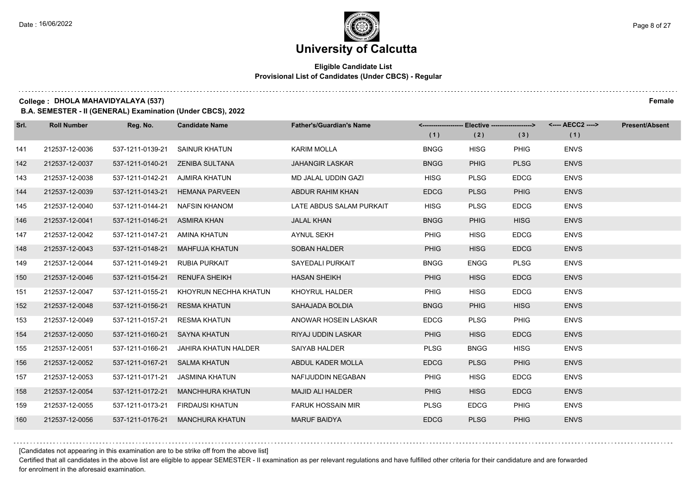#### **Eligible Candidate List Provisional List of Candidates (Under CBCS) - Regular**

**College : DHOLA MAHAVIDYALAYA (537) Female**

**B.A. SEMESTER - II (GENERAL) Examination (Under CBCS), 2022**

| Srl. | <b>Roll Number</b> | Reg. No.                       | <b>Candidate Name</b>              | <b>Father's/Guardian's Name</b> | (1)         | <-------------------- Elective -------------------><br>(2) | (3)         | (1)         | <b>Present/Absent</b> |
|------|--------------------|--------------------------------|------------------------------------|---------------------------------|-------------|------------------------------------------------------------|-------------|-------------|-----------------------|
| 141  | 212537-12-0036     | 537-1211-0139-21               | SAINUR KHATUN                      | <b>KARIM MOLLA</b>              | <b>BNGG</b> | <b>HISG</b>                                                | <b>PHIG</b> | <b>ENVS</b> |                       |
| 142  | 212537-12-0037     |                                | 537-1211-0140-21    ZENIBA SULTANA | <b>JAHANGIR LASKAR</b>          | <b>BNGG</b> | <b>PHIG</b>                                                | <b>PLSG</b> | <b>ENVS</b> |                       |
| 143  | 212537-12-0038     | 537-1211-0142-21 AJMIRA KHATUN |                                    | MD JALAL UDDIN GAZI             | <b>HISG</b> | <b>PLSG</b>                                                | <b>EDCG</b> | <b>ENVS</b> |                       |
| 144  | 212537-12-0039     |                                | 537-1211-0143-21 HEMANA PARVEEN    | ABDUR RAHIM KHAN                | <b>EDCG</b> | <b>PLSG</b>                                                | <b>PHIG</b> | <b>ENVS</b> |                       |
| 145  | 212537-12-0040     | 537-1211-0144-21               | NAFSIN KHANOM                      | LATE ABDUS SALAM PURKAIT        | <b>HISG</b> | <b>PLSG</b>                                                | <b>EDCG</b> | <b>ENVS</b> |                       |
| 146  | 212537-12-0041     | 537-1211-0146-21               | ASMIRA KHAN                        | <b>JALAL KHAN</b>               | <b>BNGG</b> | <b>PHIG</b>                                                | <b>HISG</b> | <b>ENVS</b> |                       |
| 147  | 212537-12-0042     | 537-1211-0147-21 AMINA KHATUN  |                                    | <b>AYNUL SEKH</b>               | PHIG        | <b>HISG</b>                                                | <b>EDCG</b> | <b>ENVS</b> |                       |
| 148  | 212537-12-0043     |                                | 537-1211-0148-21 MAHFUJA KHATUN    | <b>SOBAN HALDER</b>             | <b>PHIG</b> | <b>HISG</b>                                                | <b>EDCG</b> | <b>ENVS</b> |                       |
| 149  | 212537-12-0044     | 537-1211-0149-21               | RUBIA PURKAIT                      | <b>SAYEDALI PURKAIT</b>         | <b>BNGG</b> | <b>ENGG</b>                                                | <b>PLSG</b> | <b>ENVS</b> |                       |
| 150  | 212537-12-0046     | 537-1211-0154-21               | <b>RENUFA SHEIKH</b>               | <b>HASAN SHEIKH</b>             | <b>PHIG</b> | <b>HISG</b>                                                | <b>EDCG</b> | <b>ENVS</b> |                       |
| 151  | 212537-12-0047     | 537-1211-0155-21               | KHOYRUN NECHHA KHATUN              | KHOYRUL HALDER                  | PHIG        | <b>HISG</b>                                                | <b>EDCG</b> | <b>ENVS</b> |                       |
| 152  | 212537-12-0048     | 537-1211-0156-21 RESMA KHATUN  |                                    | SAHAJADA BOLDIA                 | <b>BNGG</b> | <b>PHIG</b>                                                | <b>HISG</b> | <b>ENVS</b> |                       |
| 153  | 212537-12-0049     | 537-1211-0157-21               | <b>RESMA KHATUN</b>                | ANOWAR HOSEIN LASKAR            | <b>EDCG</b> | <b>PLSG</b>                                                | <b>PHIG</b> | <b>ENVS</b> |                       |
| 154  | 212537-12-0050     | 537-1211-0160-21 SAYNA KHATUN  |                                    | RIYAJ UDDIN LASKAR              | <b>PHIG</b> | <b>HISG</b>                                                | <b>EDCG</b> | <b>ENVS</b> |                       |
| 155  | 212537-12-0051     | 537-1211-0166-21               | JAHIRA KHATUN HALDER               | SAIYAB HALDER                   | <b>PLSG</b> | <b>BNGG</b>                                                | <b>HISG</b> | <b>ENVS</b> |                       |
| 156  | 212537-12-0052     | 537-1211-0167-21 SALMA KHATUN  |                                    | ABDUL KADER MOLLA               | <b>EDCG</b> | <b>PLSG</b>                                                | <b>PHIG</b> | <b>ENVS</b> |                       |
| 157  | 212537-12-0053     | 537-1211-0171-21               | JASMINA KHATUN                     | NAFIJUDDIN NEGABAN              | PHIG        | <b>HISG</b>                                                | <b>EDCG</b> | <b>ENVS</b> |                       |
| 158  | 212537-12-0054     | 537-1211-0172-21               | <b>MANCHHURA KHATUN</b>            | <b>MAJID ALI HALDER</b>         | <b>PHIG</b> | <b>HISG</b>                                                | <b>EDCG</b> | <b>ENVS</b> |                       |
| 159  | 212537-12-0055     |                                | 537-1211-0173-21 FIRDAUSI KHATUN   | <b>FARUK HOSSAIN MIR</b>        | <b>PLSG</b> | <b>EDCG</b>                                                | <b>PHIG</b> | <b>ENVS</b> |                       |
| 160  | 212537-12-0056     |                                | 537-1211-0176-21 MANCHURA KHATUN   | <b>MARUF BAIDYA</b>             | <b>EDCG</b> | <b>PLSG</b>                                                | <b>PHIG</b> | <b>ENVS</b> |                       |

[Candidates not appearing in this examination are to be strike off from the above list]

Certified that all candidates in the above list are eligible to appear SEMESTER - II examination as per relevant regulations and have fulfilled other criteria for their candidature and are forwarded for enrolment in the aforesaid examination.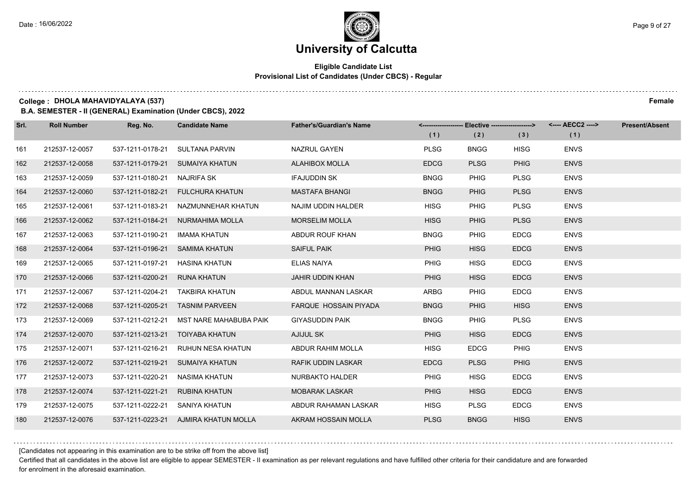#### **Eligible Candidate List Provisional List of Candidates (Under CBCS) - Regular**

**College : DHOLA MAHAVIDYALAYA (537) Female**

**B.A. SEMESTER - II (GENERAL) Examination (Under CBCS), 2022**

| Srl. | <b>Roll Number</b> | Reg. No.                       | <b>Candidate Name</b>                   | <b>Father's/Guardian's Name</b> | (1)         | <-------------------- Elective -------------------><br>(2) | (3)         | (1)         | <b>Present/Absent</b> |
|------|--------------------|--------------------------------|-----------------------------------------|---------------------------------|-------------|------------------------------------------------------------|-------------|-------------|-----------------------|
| 161  | 212537-12-0057     |                                | 537-1211-0178-21 SULTANA PARVIN         | NAZRUL GAYEN                    | <b>PLSG</b> | <b>BNGG</b>                                                | <b>HISG</b> | <b>ENVS</b> |                       |
| 162  | 212537-12-0058     |                                | 537-1211-0179-21 SUMAIYA KHATUN         | <b>ALAHIBOX MOLLA</b>           | <b>EDCG</b> | <b>PLSG</b>                                                | <b>PHIG</b> | <b>ENVS</b> |                       |
| 163  | 212537-12-0059     | 537-1211-0180-21 NAJRIFA SK    |                                         | <b>IFAJUDDIN SK</b>             | <b>BNGG</b> | <b>PHIG</b>                                                | <b>PLSG</b> | <b>ENVS</b> |                       |
| 164  | 212537-12-0060     |                                | 537-1211-0182-21 FULCHURA KHATUN        | <b>MASTAFA BHANGI</b>           | <b>BNGG</b> | <b>PHIG</b>                                                | <b>PLSG</b> | <b>ENVS</b> |                       |
| 165  | 212537-12-0061     |                                | 537-1211-0183-21 NAZMUNNEHAR KHATUN     | NAJIM UDDIN HALDER              | <b>HISG</b> | <b>PHIG</b>                                                | <b>PLSG</b> | <b>ENVS</b> |                       |
| 166  | 212537-12-0062     |                                | 537-1211-0184-21 NURMAHIMA MOLLA        | <b>MORSELIM MOLLA</b>           | <b>HISG</b> | <b>PHIG</b>                                                | <b>PLSG</b> | <b>ENVS</b> |                       |
| 167  | 212537-12-0063     | 537-1211-0190-21               | IMAMA KHATUN                            | ABDUR ROUF KHAN                 | <b>BNGG</b> | <b>PHIG</b>                                                | <b>EDCG</b> | <b>ENVS</b> |                       |
| 168  | 212537-12-0064     |                                | 537-1211-0196-21 SAMIMA KHATUN          | <b>SAIFUL PAIK</b>              | <b>PHIG</b> | <b>HISG</b>                                                | <b>EDCG</b> | <b>ENVS</b> |                       |
| 169  | 212537-12-0065     | 537-1211-0197-21 HASINA KHATUN |                                         | <b>ELIAS NAIYA</b>              | <b>PHIG</b> | <b>HISG</b>                                                | <b>EDCG</b> | <b>ENVS</b> |                       |
| 170  | 212537-12-0066     | 537-1211-0200-21 RUNA KHATUN   |                                         | <b>JAHIR UDDIN KHAN</b>         | <b>PHIG</b> | <b>HISG</b>                                                | <b>EDCG</b> | <b>ENVS</b> |                       |
| 171  | 212537-12-0067     |                                | 537-1211-0204-21 TAKBIRA KHATUN         | ABDUL MANNAN LASKAR             | <b>ARBG</b> | PHIG                                                       | <b>EDCG</b> | <b>ENVS</b> |                       |
| 172  | 212537-12-0068     |                                | 537-1211-0205-21 TASNIM PARVEEN         | FARQUE HOSSAIN PIYADA           | <b>BNGG</b> | <b>PHIG</b>                                                | <b>HISG</b> | <b>ENVS</b> |                       |
| 173  | 212537-12-0069     |                                | 537-1211-0212-21 MST NARE MAHABUBA PAIK | <b>GIYASUDDIN PAIK</b>          | <b>BNGG</b> | <b>PHIG</b>                                                | <b>PLSG</b> | <b>ENVS</b> |                       |
| 174  | 212537-12-0070     |                                | 537-1211-0213-21 TOIYABA KHATUN         | <b>AJIJUL SK</b>                | <b>PHIG</b> | <b>HISG</b>                                                | <b>EDCG</b> | <b>ENVS</b> |                       |
| 175  | 212537-12-0071     |                                | 537-1211-0216-21 RUHUN NESA KHATUN      | ABDUR RAHIM MOLLA               | <b>HISG</b> | <b>EDCG</b>                                                | PHIG        | <b>ENVS</b> |                       |
| 176  | 212537-12-0072     |                                | 537-1211-0219-21 SUMAIYA KHATUN         | <b>RAFIK UDDIN LASKAR</b>       | <b>EDCG</b> | <b>PLSG</b>                                                | <b>PHIG</b> | <b>ENVS</b> |                       |
| 177  | 212537-12-0073     | 537-1211-0220-21 NASIMA KHATUN |                                         | NURBAKTO HALDER                 | <b>PHIG</b> | <b>HISG</b>                                                | <b>EDCG</b> | <b>ENVS</b> |                       |
| 178  | 212537-12-0074     | 537-1211-0221-21 RUBINA KHATUN |                                         | <b>MOBARAK LASKAR</b>           | <b>PHIG</b> | <b>HISG</b>                                                | <b>EDCG</b> | <b>ENVS</b> |                       |
| 179  | 212537-12-0075     | 537-1211-0222-21 SANIYA KHATUN |                                         | ABDUR RAHAMAN LASKAR            | <b>HISG</b> | <b>PLSG</b>                                                | <b>EDCG</b> | <b>ENVS</b> |                       |
| 180  | 212537-12-0076     |                                | 537-1211-0223-21 AJMIRA KHATUN MOLLA    | AKRAM HOSSAIN MOLLA             | <b>PLSG</b> | <b>BNGG</b>                                                | <b>HISG</b> | <b>ENVS</b> |                       |

[Candidates not appearing in this examination are to be strike off from the above list]

Certified that all candidates in the above list are eligible to appear SEMESTER - II examination as per relevant regulations and have fulfilled other criteria for their candidature and are forwarded for enrolment in the aforesaid examination.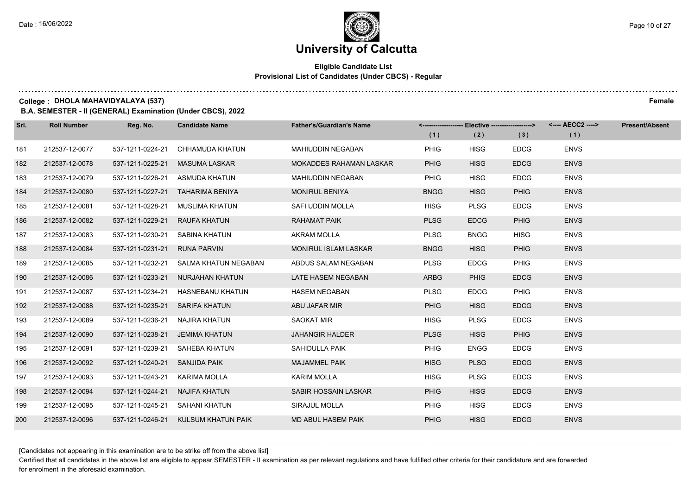#### **Eligible Candidate List Provisional List of Candidates (Under CBCS) - Regular**

#### **College : DHOLA MAHAVIDYALAYA (537) Female**

**B.A. SEMESTER - II (GENERAL) Examination (Under CBCS), 2022**

| Srl. | <b>Roll Number</b> | Reg. No.         | <b>Candidate Name</b>            | <b>Father's/Guardian's Name</b> |             | <------------------- Elective ------------------> |             | <---- AECC2 ----> | <b>Present/Absent</b> |
|------|--------------------|------------------|----------------------------------|---------------------------------|-------------|---------------------------------------------------|-------------|-------------------|-----------------------|
|      |                    |                  |                                  |                                 | (1)         | (2)                                               | (3)         | (1)               |                       |
| 181  | 212537-12-0077     | 537-1211-0224-21 | CHHAMUDA KHATUN                  | <b>MAHIUDDIN NEGABAN</b>        | <b>PHIG</b> | <b>HISG</b>                                       | <b>EDCG</b> | <b>ENVS</b>       |                       |
| 182  | 212537-12-0078     | 537-1211-0225-21 | <b>MASUMA LASKAR</b>             | <b>MOKADDES RAHAMAN LASKAR</b>  | <b>PHIG</b> | <b>HISG</b>                                       | <b>EDCG</b> | <b>ENVS</b>       |                       |
| 183  | 212537-12-0079     | 537-1211-0226-21 | ASMUDA KHATUN                    | MAHIUDDIN NEGABAN               | <b>PHIG</b> | <b>HISG</b>                                       | <b>EDCG</b> | <b>ENVS</b>       |                       |
| 184  | 212537-12-0080     |                  | 537-1211-0227-21 TAHARIMA BENIYA | <b>MONIRUL BENIYA</b>           | <b>BNGG</b> | <b>HISG</b>                                       | <b>PHIG</b> | <b>ENVS</b>       |                       |
| 185  | 212537-12-0081     | 537-1211-0228-21 | MUSLIMA KHATUN                   | SAFI UDDIN MOLLA                | <b>HISG</b> | <b>PLSG</b>                                       | <b>EDCG</b> | <b>ENVS</b>       |                       |
| 186  | 212537-12-0082     | 537-1211-0229-21 | <b>RAUFA KHATUN</b>              | <b>RAHAMAT PAIK</b>             | <b>PLSG</b> | <b>EDCG</b>                                       | <b>PHIG</b> | <b>ENVS</b>       |                       |
| 187  | 212537-12-0083     | 537-1211-0230-21 | SABINA KHATUN                    | <b>AKRAM MOLLA</b>              | <b>PLSG</b> | <b>BNGG</b>                                       | <b>HISG</b> | <b>ENVS</b>       |                       |
| 188  | 212537-12-0084     | 537-1211-0231-21 | <b>RUNA PARVIN</b>               | <b>MONIRUL ISLAM LASKAR</b>     | <b>BNGG</b> | <b>HISG</b>                                       | <b>PHIG</b> | <b>ENVS</b>       |                       |
| 189  | 212537-12-0085     | 537-1211-0232-21 | SALMA KHATUN NEGABAN             | ABDUS SALAM NEGABAN             | <b>PLSG</b> | <b>EDCG</b>                                       | <b>PHIG</b> | <b>ENVS</b>       |                       |
| 190  | 212537-12-0086     | 537-1211-0233-21 | NURJAHAN KHATUN                  | LATE HASEM NEGABAN              | <b>ARBG</b> | <b>PHIG</b>                                       | <b>EDCG</b> | <b>ENVS</b>       |                       |
| 191  | 212537-12-0087     | 537-1211-0234-21 | <b>HASNEBANU KHATUN</b>          | <b>HASEM NEGABAN</b>            | <b>PLSG</b> | <b>EDCG</b>                                       | <b>PHIG</b> | <b>ENVS</b>       |                       |
| 192  | 212537-12-0088     | 537-1211-0235-21 | <b>SARIFA KHATUN</b>             | ABU JAFAR MIR                   | <b>PHIG</b> | <b>HISG</b>                                       | <b>EDCG</b> | <b>ENVS</b>       |                       |
| 193  | 212537-12-0089     | 537-1211-0236-21 | NAJIRA KHATUN                    | <b>SAOKAT MIR</b>               | <b>HISG</b> | <b>PLSG</b>                                       | <b>EDCG</b> | <b>ENVS</b>       |                       |
| 194  | 212537-12-0090     | 537-1211-0238-21 | JEMIMA KHATUN                    | <b>JAHANGIR HALDER</b>          | <b>PLSG</b> | <b>HISG</b>                                       | <b>PHIG</b> | <b>ENVS</b>       |                       |
| 195  | 212537-12-0091     | 537-1211-0239-21 | SAHEBA KHATUN                    | SAHIDULLA PAIK                  | PHIG        | <b>ENGG</b>                                       | <b>EDCG</b> | <b>ENVS</b>       |                       |
| 196  | 212537-12-0092     | 537-1211-0240-21 | SANJIDA PAIK                     | <b>MAJAMMEL PAIK</b>            | <b>HISG</b> | <b>PLSG</b>                                       | <b>EDCG</b> | <b>ENVS</b>       |                       |
| 197  | 212537-12-0093     | 537-1211-0243-21 | KARIMA MOLLA                     | <b>KARIM MOLLA</b>              | <b>HISG</b> | <b>PLSG</b>                                       | <b>EDCG</b> | <b>ENVS</b>       |                       |
| 198  | 212537-12-0094     | 537-1211-0244-21 | NAJIFA KHATUN                    | <b>SABIR HOSSAIN LASKAR</b>     | <b>PHIG</b> | <b>HISG</b>                                       | <b>EDCG</b> | <b>ENVS</b>       |                       |
| 199  | 212537-12-0095     | 537-1211-0245-21 | SAHANI KHATUN                    | SIRAJUL MOLLA                   | <b>PHIG</b> | <b>HISG</b>                                       | <b>EDCG</b> | <b>ENVS</b>       |                       |
| 200  | 212537-12-0096     | 537-1211-0246-21 | KULSUM KHATUN PAIK               | MD ABUL HASEM PAIK              | <b>PHIG</b> | <b>HISG</b>                                       | <b>EDCG</b> | <b>ENVS</b>       |                       |

[Candidates not appearing in this examination are to be strike off from the above list]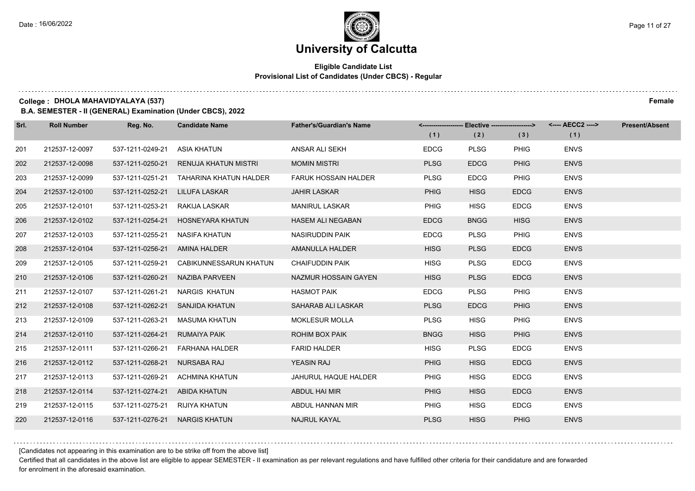#### **Eligible Candidate List Provisional List of Candidates (Under CBCS) - Regular**

#### **College : DHOLA MAHAVIDYALAYA (537) Female**

**B.A. SEMESTER - II (GENERAL) Examination (Under CBCS), 2022**

| Srl. | <b>Roll Number</b> | Reg. No.                       | <b>Candidate Name</b>                   | <b>Father's/Guardian's Name</b> | (1)         | <------------------- Elective -------------------><br>(2) | (3)         | <---- AECC2 ----><br>(1) | Present/Absent |
|------|--------------------|--------------------------------|-----------------------------------------|---------------------------------|-------------|-----------------------------------------------------------|-------------|--------------------------|----------------|
| 201  | 212537-12-0097     | 537-1211-0249-21               | ASIA KHATUN                             | ANSAR ALI SEKH                  | <b>EDCG</b> | <b>PLSG</b>                                               | <b>PHIG</b> | <b>ENVS</b>              |                |
| 202  | 212537-12-0098     |                                | 537-1211-0250-21 RENUJA KHATUN MISTRI   | <b>MOMIN MISTRI</b>             | <b>PLSG</b> | <b>EDCG</b>                                               | <b>PHIG</b> | <b>ENVS</b>              |                |
| 203  | 212537-12-0099     |                                | 537-1211-0251-21 TAHARINA KHATUN HALDER | <b>FARUK HOSSAIN HALDER</b>     | <b>PLSG</b> | <b>EDCG</b>                                               | PHIG        | <b>ENVS</b>              |                |
| 204  | 212537-12-0100     | 537-1211-0252-21 LILUFA LASKAR |                                         | <b>JAHIR LASKAR</b>             | <b>PHIG</b> | <b>HISG</b>                                               | <b>EDCG</b> | <b>ENVS</b>              |                |
| 205  | 212537-12-0101     | 537-1211-0253-21 RAKIJA LASKAR |                                         | <b>MANIRUL LASKAR</b>           | <b>PHIG</b> | <b>HISG</b>                                               | <b>EDCG</b> | <b>ENVS</b>              |                |
| 206  | 212537-12-0102     |                                | 537-1211-0254-21 HOSNEYARA KHATUN       | <b>HASEM ALI NEGABAN</b>        | <b>EDCG</b> | <b>BNGG</b>                                               | <b>HISG</b> | <b>ENVS</b>              |                |
| 207  | 212537-12-0103     | 537-1211-0255-21 NASIFA KHATUN |                                         | <b>NASIRUDDIN PAIK</b>          | <b>EDCG</b> | <b>PLSG</b>                                               | <b>PHIG</b> | <b>ENVS</b>              |                |
| 208  | 212537-12-0104     | 537-1211-0256-21 AMINA HALDER  |                                         | AMANULLA HALDER                 | <b>HISG</b> | <b>PLSG</b>                                               | <b>EDCG</b> | <b>ENVS</b>              |                |
| 209  | 212537-12-0105     |                                | 537-1211-0259-21 CABIKUNNESSARUN KHATUN | <b>CHAIFUDDIN PAIK</b>          | <b>HISG</b> | <b>PLSG</b>                                               | <b>EDCG</b> | <b>ENVS</b>              |                |
| 210  | 212537-12-0106     |                                | 537-1211-0260-21 NAZIBA PARVEEN         | NAZMUR HOSSAIN GAYEN            | <b>HISG</b> | <b>PLSG</b>                                               | <b>EDCG</b> | <b>ENVS</b>              |                |
| 211  | 212537-12-0107     |                                | 537-1211-0261-21 NARGIS KHATUN          | <b>HASMOT PAIK</b>              | <b>EDCG</b> | <b>PLSG</b>                                               | <b>PHIG</b> | <b>ENVS</b>              |                |
| 212  | 212537-12-0108     |                                | 537-1211-0262-21 SANJIDA KHATUN         | SAHARAB ALI LASKAR              | <b>PLSG</b> | <b>EDCG</b>                                               | <b>PHIG</b> | <b>ENVS</b>              |                |
| 213  | 212537-12-0109     |                                | 537-1211-0263-21 MASUMA KHATUN          | <b>MOKLESUR MOLLA</b>           | <b>PLSG</b> | <b>HISG</b>                                               | <b>PHIG</b> | <b>ENVS</b>              |                |
| 214  | 212537-12-0110     | 537-1211-0264-21 RUMAIYA PAIK  |                                         | ROHIM BOX PAIK                  | <b>BNGG</b> | <b>HISG</b>                                               | <b>PHIG</b> | <b>ENVS</b>              |                |
| 215  | 212537-12-0111     |                                | 537-1211-0266-21    FARHANA HALDER      | <b>FARID HALDER</b>             | <b>HISG</b> | <b>PLSG</b>                                               | <b>EDCG</b> | <b>ENVS</b>              |                |
| 216  | 212537-12-0112     | 537-1211-0268-21 NURSABA RAJ   |                                         | <b>YEASIN RAJ</b>               | <b>PHIG</b> | <b>HISG</b>                                               | <b>EDCG</b> | <b>ENVS</b>              |                |
| 217  | 212537-12-0113     |                                | 537-1211-0269-21 ACHMINA KHATUN         | JAHURUL HAQUE HALDER            | <b>PHIG</b> | <b>HISG</b>                                               | <b>EDCG</b> | <b>ENVS</b>              |                |
| 218  | 212537-12-0114     | 537-1211-0274-21 ABIDA KHATUN  |                                         | ABDUL HAI MIR                   | <b>PHIG</b> | <b>HISG</b>                                               | <b>EDCG</b> | <b>ENVS</b>              |                |
| 219  | 212537-12-0115     | 537-1211-0275-21 RIJIYA KHATUN |                                         | ABDUL HANNAN MIR                | <b>PHIG</b> | <b>HISG</b>                                               | <b>EDCG</b> | <b>ENVS</b>              |                |
| 220  | 212537-12-0116     | 537-1211-0276-21 NARGIS KHATUN |                                         | NAJRUL KAYAL                    | <b>PLSG</b> | <b>HISG</b>                                               | <b>PHIG</b> | <b>ENVS</b>              |                |

[Candidates not appearing in this examination are to be strike off from the above list]

Certified that all candidates in the above list are eligible to appear SEMESTER - II examination as per relevant regulations and have fulfilled other criteria for their candidature and are forwarded for enrolment in the aforesaid examination.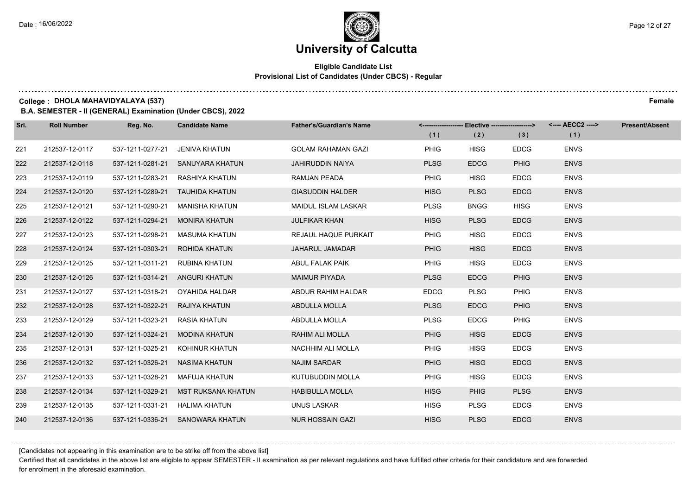#### **Eligible Candidate List Provisional List of Candidates (Under CBCS) - Regular**

#### **College : DHOLA MAHAVIDYALAYA (537) Female**

**B.A. SEMESTER - II (GENERAL) Examination (Under CBCS), 2022**

| Srl. | <b>Roll Number</b> | Reg. No.         | <b>Candidate Name</b>            | <b>Father's/Guardian's Name</b> |             | <------------------- Elective -------------------> |             | <---- AECC2 ----> | <b>Present/Absent</b> |
|------|--------------------|------------------|----------------------------------|---------------------------------|-------------|----------------------------------------------------|-------------|-------------------|-----------------------|
|      |                    |                  |                                  |                                 | (1)         | (2)                                                | (3)         | (1)               |                       |
| 221  | 212537-12-0117     | 537-1211-0277-21 | JENIVA KHATUN                    | <b>GOLAM RAHAMAN GAZI</b>       | <b>PHIG</b> | <b>HISG</b>                                        | <b>EDCG</b> | <b>ENVS</b>       |                       |
| 222  | 212537-12-0118     | 537-1211-0281-21 | SANUYARA KHATUN                  | <b>JAHIRUDDIN NAIYA</b>         | <b>PLSG</b> | <b>EDCG</b>                                        | <b>PHIG</b> | <b>ENVS</b>       |                       |
| 223  | 212537-12-0119     | 537-1211-0283-21 | RASHIYA KHATUN                   | RAMJAN PEADA                    | <b>PHIG</b> | <b>HISG</b>                                        | <b>EDCG</b> | <b>ENVS</b>       |                       |
| 224  | 212537-12-0120     | 537-1211-0289-21 | TAUHIDA KHATUN                   | <b>GIASUDDIN HALDER</b>         | <b>HISG</b> | <b>PLSG</b>                                        | <b>EDCG</b> | <b>ENVS</b>       |                       |
| 225  | 212537-12-0121     | 537-1211-0290-21 | <b>MANISHA KHATUN</b>            | <b>MAIDUL ISLAM LASKAR</b>      | <b>PLSG</b> | <b>BNGG</b>                                        | <b>HISG</b> | <b>ENVS</b>       |                       |
| 226  | 212537-12-0122     | 537-1211-0294-21 | <b>MONIRA KHATUN</b>             | <b>JULFIKAR KHAN</b>            | <b>HISG</b> | <b>PLSG</b>                                        | <b>EDCG</b> | <b>ENVS</b>       |                       |
| 227  | 212537-12-0123     | 537-1211-0298-21 | MASUMA KHATUN                    | REJAUL HAQUE PURKAIT            | <b>PHIG</b> | <b>HISG</b>                                        | <b>EDCG</b> | <b>ENVS</b>       |                       |
| 228  | 212537-12-0124     | 537-1211-0303-21 | ROHIDA KHATUN                    | <b>JAHARUL JAMADAR</b>          | <b>PHIG</b> | <b>HISG</b>                                        | <b>EDCG</b> | <b>ENVS</b>       |                       |
| 229  | 212537-12-0125     | 537-1211-0311-21 | RUBINA KHATUN                    | ABUL FALAK PAIK                 | <b>PHIG</b> | <b>HISG</b>                                        | <b>EDCG</b> | <b>ENVS</b>       |                       |
| 230  | 212537-12-0126     | 537-1211-0314-21 | ANGURI KHATUN                    | <b>MAIMUR PIYADA</b>            | <b>PLSG</b> | <b>EDCG</b>                                        | <b>PHIG</b> | <b>ENVS</b>       |                       |
| 231  | 212537-12-0127     | 537-1211-0318-21 | OYAHIDA HALDAR                   | ABDUR RAHIM HALDAR              | <b>EDCG</b> | <b>PLSG</b>                                        | <b>PHIG</b> | <b>ENVS</b>       |                       |
| 232  | 212537-12-0128     | 537-1211-0322-21 | RAJIYA KHATUN                    | ABDULLA MOLLA                   | <b>PLSG</b> | <b>EDCG</b>                                        | <b>PHIG</b> | <b>ENVS</b>       |                       |
| 233  | 212537-12-0129     | 537-1211-0323-21 | <b>RASIA KHATUN</b>              | ABDULLA MOLLA                   | <b>PLSG</b> | <b>EDCG</b>                                        | <b>PHIG</b> | <b>ENVS</b>       |                       |
| 234  | 212537-12-0130     | 537-1211-0324-21 | <b>MODINA KHATUN</b>             | RAHIM ALI MOLLA                 | <b>PHIG</b> | <b>HISG</b>                                        | <b>EDCG</b> | <b>ENVS</b>       |                       |
| 235  | 212537-12-0131     | 537-1211-0325-21 | KOHINUR KHATUN                   | NACHHIM ALI MOLLA               | <b>PHIG</b> | <b>HISG</b>                                        | <b>EDCG</b> | <b>ENVS</b>       |                       |
| 236  | 212537-12-0132     | 537-1211-0326-21 | NASIMA KHATUN                    | <b>NAJIM SARDAR</b>             | <b>PHIG</b> | <b>HISG</b>                                        | <b>EDCG</b> | <b>ENVS</b>       |                       |
| 237  | 212537-12-0133     | 537-1211-0328-21 | <b>MAFUJA KHATUN</b>             | KUTUBUDDIN MOLLA                | <b>PHIG</b> | <b>HISG</b>                                        | <b>EDCG</b> | <b>ENVS</b>       |                       |
| 238  | 212537-12-0134     | 537-1211-0329-21 | <b>MST RUKSANA KHATUN</b>        | <b>HABIBULLA MOLLA</b>          | <b>HISG</b> | <b>PHIG</b>                                        | <b>PLSG</b> | <b>ENVS</b>       |                       |
| 239  | 212537-12-0135     | 537-1211-0331-21 | <b>HALIMA KHATUN</b>             | UNUS LASKAR                     | <b>HISG</b> | <b>PLSG</b>                                        | <b>EDCG</b> | <b>ENVS</b>       |                       |
| 240  | 212537-12-0136     |                  | 537-1211-0336-21 SANOWARA KHATUN | <b>NUR HOSSAIN GAZI</b>         | <b>HISG</b> | <b>PLSG</b>                                        | <b>EDCG</b> | <b>ENVS</b>       |                       |

[Candidates not appearing in this examination are to be strike off from the above list]

Certified that all candidates in the above list are eligible to appear SEMESTER - II examination as per relevant regulations and have fulfilled other criteria for their candidature and are forwarded for enrolment in the aforesaid examination.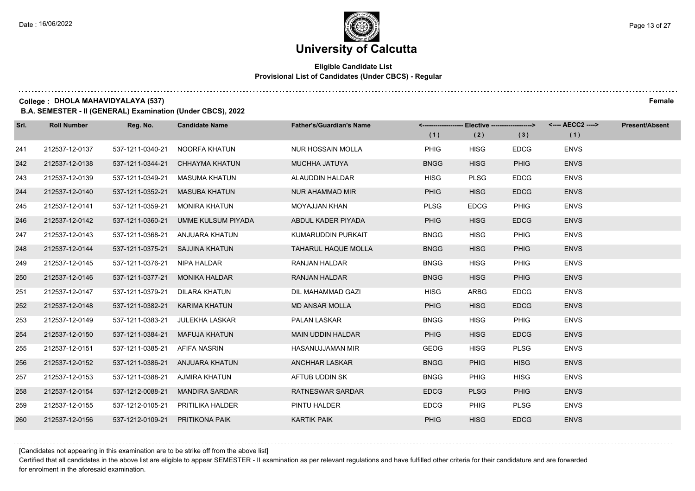#### **Eligible Candidate List Provisional List of Candidates (Under CBCS) - Regular**

#### **College : DHOLA MAHAVIDYALAYA (537) Female**

**B.A. SEMESTER - II (GENERAL) Examination (Under CBCS), 2022**

| Srl. | <b>Roll Number</b> | Reg. No.         | <b>Candidate Name</b> | <b>Father's/Guardian's Name</b> |             | <-------------------- Elective -------------------> |             | <---- AECC2 ----> | <b>Present/Absent</b> |
|------|--------------------|------------------|-----------------------|---------------------------------|-------------|-----------------------------------------------------|-------------|-------------------|-----------------------|
|      |                    |                  |                       |                                 | (1)         | (2)                                                 | (3)         | (1)               |                       |
| 241  | 212537-12-0137     | 537-1211-0340-21 | NOORFA KHATUN         | <b>NUR HOSSAIN MOLLA</b>        | <b>PHIG</b> | <b>HISG</b>                                         | <b>EDCG</b> | <b>ENVS</b>       |                       |
| 242  | 212537-12-0138     | 537-1211-0344-21 | <b>CHHAYMA KHATUN</b> | <b>MUCHHA JATUYA</b>            | <b>BNGG</b> | <b>HISG</b>                                         | <b>PHIG</b> | <b>ENVS</b>       |                       |
| 243  | 212537-12-0139     | 537-1211-0349-21 | MASUMA KHATUN         | ALAUDDIN HALDAR                 | <b>HISG</b> | <b>PLSG</b>                                         | <b>EDCG</b> | <b>ENVS</b>       |                       |
| 244  | 212537-12-0140     | 537-1211-0352-21 | MASUBA KHATUN         | NUR AHAMMAD MIR                 | <b>PHIG</b> | <b>HISG</b>                                         | <b>EDCG</b> | <b>ENVS</b>       |                       |
| 245  | 212537-12-0141     | 537-1211-0359-21 | <b>MONIRA KHATUN</b>  | <b>MOYAJJAN KHAN</b>            | <b>PLSG</b> | <b>EDCG</b>                                         | <b>PHIG</b> | <b>ENVS</b>       |                       |
| 246  | 212537-12-0142     | 537-1211-0360-21 | UMME KULSUM PIYADA    | ABDUL KADER PIYADA              | <b>PHIG</b> | <b>HISG</b>                                         | <b>EDCG</b> | <b>ENVS</b>       |                       |
| 247  | 212537-12-0143     | 537-1211-0368-21 | ANJUARA KHATUN        | KUMARUDDIN PURKAIT              | <b>BNGG</b> | <b>HISG</b>                                         | <b>PHIG</b> | <b>ENVS</b>       |                       |
| 248  | 212537-12-0144     | 537-1211-0375-21 | SAJJINA KHATUN        | <b>TAHARUL HAQUE MOLLA</b>      | <b>BNGG</b> | <b>HISG</b>                                         | <b>PHIG</b> | <b>ENVS</b>       |                       |
| 249  | 212537-12-0145     | 537-1211-0376-21 | <b>NIPA HALDAR</b>    | RANJAN HALDAR                   | <b>BNGG</b> | <b>HISG</b>                                         | <b>PHIG</b> | <b>ENVS</b>       |                       |
| 250  | 212537-12-0146     | 537-1211-0377-21 | <b>MONIKA HALDAR</b>  | <b>RANJAN HALDAR</b>            | <b>BNGG</b> | <b>HISG</b>                                         | <b>PHIG</b> | <b>ENVS</b>       |                       |
| 251  | 212537-12-0147     | 537-1211-0379-21 | DILARA KHATUN         | DIL MAHAMMAD GAZI               | <b>HISG</b> | <b>ARBG</b>                                         | <b>EDCG</b> | <b>ENVS</b>       |                       |
| 252  | 212537-12-0148     | 537-1211-0382-21 | KARIMA KHATUN         | <b>MD ANSAR MOLLA</b>           | <b>PHIG</b> | <b>HISG</b>                                         | <b>EDCG</b> | <b>ENVS</b>       |                       |
| 253  | 212537-12-0149     | 537-1211-0383-21 | JULEKHA LASKAR        | <b>PALAN LASKAR</b>             | <b>BNGG</b> | <b>HISG</b>                                         | <b>PHIG</b> | <b>ENVS</b>       |                       |
| 254  | 212537-12-0150     | 537-1211-0384-21 | MAFUJA KHATUN         | MAIN UDDIN HALDAR               | <b>PHIG</b> | <b>HISG</b>                                         | <b>EDCG</b> | <b>ENVS</b>       |                       |
| 255  | 212537-12-0151     | 537-1211-0385-21 | AFIFA NASRIN          | HASANUJJAMAN MIR                | <b>GEOG</b> | <b>HISG</b>                                         | <b>PLSG</b> | <b>ENVS</b>       |                       |
| 256  | 212537-12-0152     | 537-1211-0386-21 | ANJUARA KHATUN        | <b>ANCHHAR LASKAR</b>           | <b>BNGG</b> | <b>PHIG</b>                                         | <b>HISG</b> | <b>ENVS</b>       |                       |
| 257  | 212537-12-0153     | 537-1211-0388-21 | <b>AJMIRA KHATUN</b>  | AFTUB UDDIN SK                  | <b>BNGG</b> | <b>PHIG</b>                                         | <b>HISG</b> | <b>ENVS</b>       |                       |
| 258  | 212537-12-0154     | 537-1212-0088-21 | <b>MANDIRA SARDAR</b> | <b>RATNESWAR SARDAR</b>         | <b>EDCG</b> | <b>PLSG</b>                                         | <b>PHIG</b> | <b>ENVS</b>       |                       |
| 259  | 212537-12-0155     | 537-1212-0105-21 | PRITILIKA HALDER      | PINTU HALDER                    | <b>EDCG</b> | <b>PHIG</b>                                         | <b>PLSG</b> | <b>ENVS</b>       |                       |
| 260  | 212537-12-0156     | 537-1212-0109-21 | <b>PRITIKONA PAIK</b> | <b>KARTIK PAIK</b>              | <b>PHIG</b> | <b>HISG</b>                                         | <b>EDCG</b> | <b>ENVS</b>       |                       |

[Candidates not appearing in this examination are to be strike off from the above list]

Certified that all candidates in the above list are eligible to appear SEMESTER - II examination as per relevant regulations and have fulfilled other criteria for their candidature and are forwarded for enrolment in the aforesaid examination.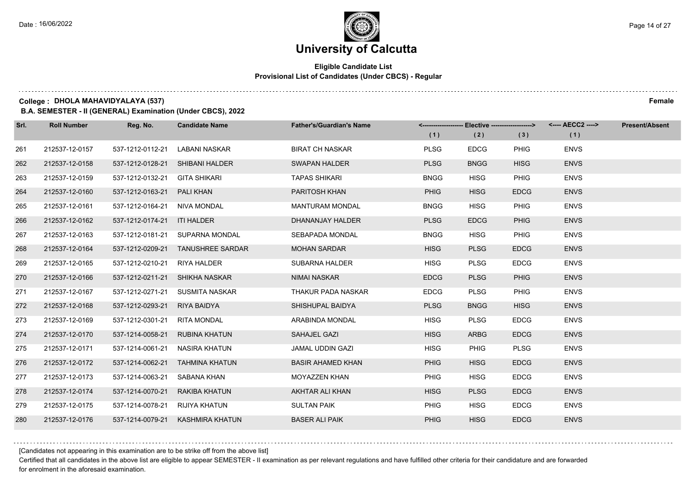#### **Eligible Candidate List Provisional List of Candidates (Under CBCS) - Regular**

#### **College : DHOLA MAHAVIDYALAYA (537) Female**

**B.A. SEMESTER - II (GENERAL) Examination (Under CBCS), 2022**

| Srl. | <b>Roll Number</b> | Reg. No.         | <b>Candidate Name</b>             | <b>Father's/Guardian's Name</b> |             | <------------------- Elective -------------------> |             | <---- AECC2 ----> | <b>Present/Absent</b> |
|------|--------------------|------------------|-----------------------------------|---------------------------------|-------------|----------------------------------------------------|-------------|-------------------|-----------------------|
|      |                    |                  |                                   |                                 | (1)         | (2)                                                | (3)         | (1)               |                       |
| 261  | 212537-12-0157     | 537-1212-0112-21 | LABANI NASKAR                     | <b>BIRAT CH NASKAR</b>          | <b>PLSG</b> | <b>EDCG</b>                                        | <b>PHIG</b> | <b>ENVS</b>       |                       |
| 262  | 212537-12-0158     | 537-1212-0128-21 | SHIBANI HALDER                    | <b>SWAPAN HALDER</b>            | <b>PLSG</b> | <b>BNGG</b>                                        | <b>HISG</b> | <b>ENVS</b>       |                       |
| 263  | 212537-12-0159     | 537-1212-0132-21 | <b>GITA SHIKARI</b>               | <b>TAPAS SHIKARI</b>            | <b>BNGG</b> | <b>HISG</b>                                        | <b>PHIG</b> | <b>ENVS</b>       |                       |
| 264  | 212537-12-0160     | 537-1212-0163-21 | PALI KHAN                         | PARITOSH KHAN                   | <b>PHIG</b> | <b>HISG</b>                                        | <b>EDCG</b> | <b>ENVS</b>       |                       |
| 265  | 212537-12-0161     | 537-1212-0164-21 | NIVA MONDAL                       | <b>MANTURAM MONDAL</b>          | <b>BNGG</b> | <b>HISG</b>                                        | <b>PHIG</b> | <b>ENVS</b>       |                       |
| 266  | 212537-12-0162     | 537-1212-0174-21 | <b>ITI HALDER</b>                 | DHANANJAY HALDER                | <b>PLSG</b> | <b>EDCG</b>                                        | <b>PHIG</b> | <b>ENVS</b>       |                       |
| 267  | 212537-12-0163     |                  | 537-1212-0181-21 SUPARNA MONDAL   | SEBAPADA MONDAL                 | <b>BNGG</b> | <b>HISG</b>                                        | <b>PHIG</b> | <b>ENVS</b>       |                       |
| 268  | 212537-12-0164     |                  | 537-1212-0209-21 TANUSHREE SARDAR | <b>MOHAN SARDAR</b>             | <b>HISG</b> | <b>PLSG</b>                                        | <b>EDCG</b> | <b>ENVS</b>       |                       |
| 269  | 212537-12-0165     | 537-1212-0210-21 | <b>RIYA HALDER</b>                | <b>SUBARNA HALDER</b>           | <b>HISG</b> | <b>PLSG</b>                                        | <b>EDCG</b> | <b>ENVS</b>       |                       |
| 270  | 212537-12-0166     | 537-1212-0211-21 | SHIKHA NASKAR                     | <b>NIMAI NASKAR</b>             | <b>EDCG</b> | <b>PLSG</b>                                        | <b>PHIG</b> | <b>ENVS</b>       |                       |
| 271  | 212537-12-0167     | 537-1212-0271-21 | SUSMITA NASKAR                    | THAKUR PADA NASKAR              | <b>EDCG</b> | <b>PLSG</b>                                        | <b>PHIG</b> | <b>ENVS</b>       |                       |
| 272  | 212537-12-0168     | 537-1212-0293-21 | RIYA BAIDYA                       | SHISHUPAL BAIDYA                | <b>PLSG</b> | <b>BNGG</b>                                        | <b>HISG</b> | <b>ENVS</b>       |                       |
| 273  | 212537-12-0169     | 537-1212-0301-21 | <b>RITA MONDAL</b>                | ARABINDA MONDAL                 | <b>HISG</b> | <b>PLSG</b>                                        | <b>EDCG</b> | <b>ENVS</b>       |                       |
| 274  | 212537-12-0170     | 537-1214-0058-21 | <b>RUBINA KHATUN</b>              | SAHAJEL GAZI                    | <b>HISG</b> | <b>ARBG</b>                                        | <b>EDCG</b> | <b>ENVS</b>       |                       |
| 275  | 212537-12-0171     | 537-1214-0061-21 | <b>NASIRA KHATUN</b>              | JAMAL UDDIN GAZI                | <b>HISG</b> | <b>PHIG</b>                                        | <b>PLSG</b> | <b>ENVS</b>       |                       |
| 276  | 212537-12-0172     | 537-1214-0062-21 | TAHMINA KHATUN                    | <b>BASIR AHAMED KHAN</b>        | <b>PHIG</b> | <b>HISG</b>                                        | <b>EDCG</b> | <b>ENVS</b>       |                       |
| 277  | 212537-12-0173     | 537-1214-0063-21 | SABANA KHAN                       | MOYAZZEN KHAN                   | <b>PHIG</b> | <b>HISG</b>                                        | <b>EDCG</b> | <b>ENVS</b>       |                       |
| 278  | 212537-12-0174     | 537-1214-0070-21 | RAKIBA KHATUN                     | AKHTAR ALI KHAN                 | <b>HISG</b> | <b>PLSG</b>                                        | <b>EDCG</b> | <b>ENVS</b>       |                       |
| 279  | 212537-12-0175     | 537-1214-0078-21 | RIJIYA KHATUN                     | <b>SULTAN PAIK</b>              | <b>PHIG</b> | <b>HISG</b>                                        | <b>EDCG</b> | <b>ENVS</b>       |                       |
| 280  | 212537-12-0176     | 537-1214-0079-21 | KASHMIRA KHATUN                   | <b>BASER ALI PAIK</b>           | <b>PHIG</b> | <b>HISG</b>                                        | <b>EDCG</b> | <b>ENVS</b>       |                       |

[Candidates not appearing in this examination are to be strike off from the above list]

Certified that all candidates in the above list are eligible to appear SEMESTER - II examination as per relevant regulations and have fulfilled other criteria for their candidature and are forwarded for enrolment in the aforesaid examination.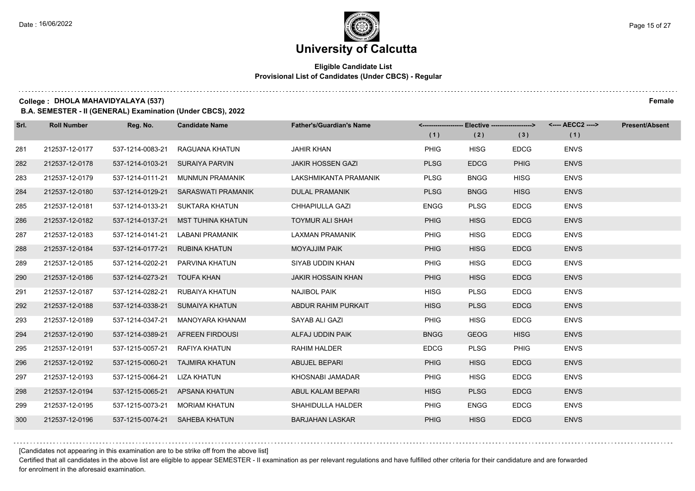#### **Eligible Candidate List Provisional List of Candidates (Under CBCS) - Regular**

#### **College : DHOLA MAHAVIDYALAYA (537) Female**

**B.A. SEMESTER - II (GENERAL) Examination (Under CBCS), 2022**

| Srl. | <b>Roll Number</b> | Reg. No.                       | <b>Candidate Name</b>               | <b>Father's/Guardian's Name</b> |             | <------------------- Elective ------------------> |             | <---- AECC2 ----> | <b>Present/Absent</b> |
|------|--------------------|--------------------------------|-------------------------------------|---------------------------------|-------------|---------------------------------------------------|-------------|-------------------|-----------------------|
|      |                    |                                |                                     |                                 | (1)         | (2)                                               | (3)         | (1)               |                       |
| 281  | 212537-12-0177     | 537-1214-0083-21               | RAGUANA KHATUN                      | <b>JAHIR KHAN</b>               | <b>PHIG</b> | <b>HISG</b>                                       | <b>EDCG</b> | <b>ENVS</b>       |                       |
| 282  | 212537-12-0178     |                                | 537-1214-0103-21 SURAIYA PARVIN     | <b>JAKIR HOSSEN GAZI</b>        | <b>PLSG</b> | <b>EDCG</b>                                       | <b>PHIG</b> | <b>ENVS</b>       |                       |
| 283  | 212537-12-0179     |                                | 537-1214-0111-21 MUNMUN PRAMANIK    | LAKSHMIKANTA PRAMANIK           | <b>PLSG</b> | <b>BNGG</b>                                       | <b>HISG</b> | <b>ENVS</b>       |                       |
| 284  | 212537-12-0180     |                                | 537-1214-0129-21 SARASWATI PRAMANIK | <b>DULAL PRAMANIK</b>           | <b>PLSG</b> | <b>BNGG</b>                                       | <b>HISG</b> | <b>ENVS</b>       |                       |
| 285  | 212537-12-0181     | 537-1214-0133-21               | SUKTARA KHATUN                      | CHHAPIULLA GAZI                 | <b>ENGG</b> | <b>PLSG</b>                                       | <b>EDCG</b> | <b>ENVS</b>       |                       |
| 286  | 212537-12-0182     | 537-1214-0137-21               | MST TUHINA KHATUN                   | <b>TOYMUR ALI SHAH</b>          | <b>PHIG</b> | <b>HISG</b>                                       | <b>EDCG</b> | <b>ENVS</b>       |                       |
| 287  | 212537-12-0183     |                                | 537-1214-0141-21 LABANI PRAMANIK    | LAXMAN PRAMANIK                 | PHIG        | <b>HISG</b>                                       | <b>EDCG</b> | <b>ENVS</b>       |                       |
| 288  | 212537-12-0184     | 537-1214-0177-21 RUBINA KHATUN |                                     | <b>MOYAJJIM PAIK</b>            | <b>PHIG</b> | <b>HISG</b>                                       | <b>EDCG</b> | <b>ENVS</b>       |                       |
| 289  | 212537-12-0185     | 537-1214-0202-21               | PARVINA KHATUN                      | SIYAB UDDIN KHAN                | <b>PHIG</b> | <b>HISG</b>                                       | <b>EDCG</b> | <b>ENVS</b>       |                       |
| 290  | 212537-12-0186     | 537-1214-0273-21 TOUFA KHAN    |                                     | <b>JAKIR HOSSAIN KHAN</b>       | <b>PHIG</b> | <b>HISG</b>                                       | <b>EDCG</b> | <b>ENVS</b>       |                       |
| 291  | 212537-12-0187     | 537-1214-0282-21               | RUBAIYA KHATUN                      | <b>NAJIBOL PAIK</b>             | <b>HISG</b> | <b>PLSG</b>                                       | <b>EDCG</b> | <b>ENVS</b>       |                       |
| 292  | 212537-12-0188     |                                | 537-1214-0338-21 SUMAIYA KHATUN     | ABDUR RAHIM PURKAIT             | <b>HISG</b> | <b>PLSG</b>                                       | <b>EDCG</b> | <b>ENVS</b>       |                       |
| 293  | 212537-12-0189     | 537-1214-0347-21               | MANOYARA KHANAM                     | SAYAB ALI GAZI                  | <b>PHIG</b> | <b>HISG</b>                                       | <b>EDCG</b> | <b>ENVS</b>       |                       |
| 294  | 212537-12-0190     |                                | 537-1214-0389-21 AFREEN FIRDOUSI    | ALFAJ UDDIN PAIK                | <b>BNGG</b> | <b>GEOG</b>                                       | <b>HISG</b> | <b>ENVS</b>       |                       |
| 295  | 212537-12-0191     | 537-1215-0057-21               | RAFIYA KHATUN                       | <b>RAHIM HALDER</b>             | <b>EDCG</b> | <b>PLSG</b>                                       | PHIG        | <b>ENVS</b>       |                       |
| 296  | 212537-12-0192     |                                | 537-1215-0060-21 TAJMIRA KHATUN     | <b>ABUJEL BEPARI</b>            | <b>PHIG</b> | <b>HISG</b>                                       | <b>EDCG</b> | <b>ENVS</b>       |                       |
| 297  | 212537-12-0193     | 537-1215-0064-21               | LIZA KHATUN                         | KHOSNABI JAMADAR                | PHIG        | <b>HISG</b>                                       | <b>EDCG</b> | <b>ENVS</b>       |                       |
| 298  | 212537-12-0194     |                                | 537-1215-0065-21 APSANA KHATUN      | ABUL KALAM BEPARI               | <b>HISG</b> | <b>PLSG</b>                                       | <b>EDCG</b> | <b>ENVS</b>       |                       |
| 299  | 212537-12-0195     | 537-1215-0073-21               | MORIAM KHATUN                       | SHAHIDULLA HALDER               | PHIG        | <b>ENGG</b>                                       | <b>EDCG</b> | <b>ENVS</b>       |                       |
| 300  | 212537-12-0196     |                                | 537-1215-0074-21 SAHEBA KHATUN      | <b>BARJAHAN LASKAR</b>          | <b>PHIG</b> | <b>HISG</b>                                       | <b>EDCG</b> | <b>ENVS</b>       |                       |

[Candidates not appearing in this examination are to be strike off from the above list]

Certified that all candidates in the above list are eligible to appear SEMESTER - II examination as per relevant regulations and have fulfilled other criteria for their candidature and are forwarded for enrolment in the aforesaid examination.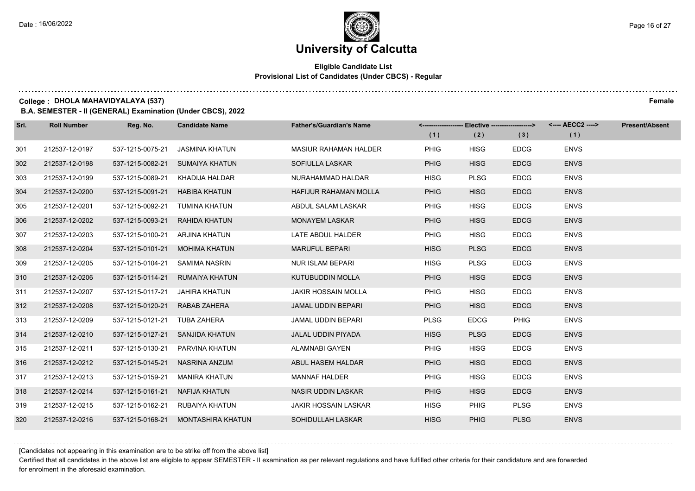#### **Eligible Candidate List Provisional List of Candidates (Under CBCS) - Regular**

**College : DHOLA MAHAVIDYALAYA (537) Female**

**B.A. SEMESTER - II (GENERAL) Examination (Under CBCS), 2022**

| Srl. | <b>Roll Number</b> | Reg. No.         | <b>Candidate Name</b> | <b>Father's/Guardian's Name</b> |             | <------------------- Elective ------------------> |             | <---- AECC2 ----> | <b>Present/Absent</b> |
|------|--------------------|------------------|-----------------------|---------------------------------|-------------|---------------------------------------------------|-------------|-------------------|-----------------------|
|      |                    |                  |                       |                                 | (1)         | (2)                                               | (3)         | (1)               |                       |
| 301  | 212537-12-0197     | 537-1215-0075-21 | <b>JASMINA KHATUN</b> | <b>MASIUR RAHAMAN HALDER</b>    | <b>PHIG</b> | <b>HISG</b>                                       | <b>EDCG</b> | <b>ENVS</b>       |                       |
| 302  | 212537-12-0198     | 537-1215-0082-21 | <b>SUMAIYA KHATUN</b> | SOFIULLA LASKAR                 | <b>PHIG</b> | <b>HISG</b>                                       | <b>EDCG</b> | <b>ENVS</b>       |                       |
| 303  | 212537-12-0199     | 537-1215-0089-21 | KHADIJA HALDAR        | NURAHAMMAD HALDAR               | <b>HISG</b> | <b>PLSG</b>                                       | <b>EDCG</b> | <b>ENVS</b>       |                       |
| 304  | 212537-12-0200     | 537-1215-0091-21 | <b>HABIBA KHATUN</b>  | <b>HAFIJUR RAHAMAN MOLLA</b>    | <b>PHIG</b> | <b>HISG</b>                                       | <b>EDCG</b> | <b>ENVS</b>       |                       |
| 305  | 212537-12-0201     | 537-1215-0092-21 | TUMINA KHATUN         | ABDUL SALAM LASKAR              | <b>PHIG</b> | <b>HISG</b>                                       | <b>EDCG</b> | <b>ENVS</b>       |                       |
| 306  | 212537-12-0202     | 537-1215-0093-21 | <b>RAHIDA KHATUN</b>  | <b>MONAYEM LASKAR</b>           | <b>PHIG</b> | <b>HISG</b>                                       | <b>EDCG</b> | <b>ENVS</b>       |                       |
| 307  | 212537-12-0203     | 537-1215-0100-21 | ARJINA KHATUN         | LATE ABDUL HALDER               | PHIG        | <b>HISG</b>                                       | <b>EDCG</b> | <b>ENVS</b>       |                       |
| 308  | 212537-12-0204     | 537-1215-0101-21 | MOHIMA KHATUN         | <b>MARUFUL BEPARI</b>           | <b>HISG</b> | <b>PLSG</b>                                       | <b>EDCG</b> | <b>ENVS</b>       |                       |
| 309  | 212537-12-0205     | 537-1215-0104-21 | SAMIMA NASRIN         | <b>NUR ISLAM BEPARI</b>         | <b>HISG</b> | <b>PLSG</b>                                       | <b>EDCG</b> | <b>ENVS</b>       |                       |
| 310  | 212537-12-0206     | 537-1215-0114-21 | <b>RUMAIYA KHATUN</b> | <b>KUTUBUDDIN MOLLA</b>         | <b>PHIG</b> | <b>HISG</b>                                       | <b>EDCG</b> | <b>ENVS</b>       |                       |
| 311  | 212537-12-0207     | 537-1215-0117-21 | JAHIRA KHATUN         | <b>JAKIR HOSSAIN MOLLA</b>      | PHIG        | <b>HISG</b>                                       | <b>EDCG</b> | <b>ENVS</b>       |                       |
| 312  | 212537-12-0208     | 537-1215-0120-21 | RABAB ZAHERA          | JAMAL UDDIN BEPARI              | <b>PHIG</b> | <b>HISG</b>                                       | <b>EDCG</b> | <b>ENVS</b>       |                       |
| 313  | 212537-12-0209     | 537-1215-0121-21 | TUBA ZAHERA           | <b>JAMAL UDDIN BEPARI</b>       | <b>PLSG</b> | <b>EDCG</b>                                       | <b>PHIG</b> | <b>ENVS</b>       |                       |
| 314  | 212537-12-0210     | 537-1215-0127-21 | SANJIDA KHATUN        | JALAL UDDIN PIYADA              | <b>HISG</b> | <b>PLSG</b>                                       | <b>EDCG</b> | <b>ENVS</b>       |                       |
| 315  | 212537-12-0211     | 537-1215-0130-21 | PARVINA KHATUN        | ALAMNABI GAYEN                  | <b>PHIG</b> | <b>HISG</b>                                       | <b>EDCG</b> | <b>ENVS</b>       |                       |
| 316  | 212537-12-0212     | 537-1215-0145-21 | NASRINA ANZUM         | ABUL HASEM HALDAR               | <b>PHIG</b> | <b>HISG</b>                                       | <b>EDCG</b> | <b>ENVS</b>       |                       |
| 317  | 212537-12-0213     | 537-1215-0159-21 | <b>MANIRA KHATUN</b>  | <b>MANNAF HALDER</b>            | <b>PHIG</b> | <b>HISG</b>                                       | <b>EDCG</b> | <b>ENVS</b>       |                       |
| 318  | 212537-12-0214     | 537-1215-0161-21 | NAFIJA KHATUN         | <b>NASIR UDDIN LASKAR</b>       | <b>PHIG</b> | <b>HISG</b>                                       | <b>EDCG</b> | <b>ENVS</b>       |                       |
| 319  | 212537-12-0215     | 537-1215-0162-21 | RUBAIYA KHATUN        | <b>JAKIR HOSSAIN LASKAR</b>     | <b>HISG</b> | <b>PHIG</b>                                       | <b>PLSG</b> | <b>ENVS</b>       |                       |
| 320  | 212537-12-0216     | 537-1215-0168-21 | MONTASHIRA KHATUN     | SOHIDULLAH LASKAR               | <b>HISG</b> | <b>PHIG</b>                                       | <b>PLSG</b> | <b>ENVS</b>       |                       |

[Candidates not appearing in this examination are to be strike off from the above list]

Certified that all candidates in the above list are eligible to appear SEMESTER - II examination as per relevant regulations and have fulfilled other criteria for their candidature and are forwarded for enrolment in the aforesaid examination.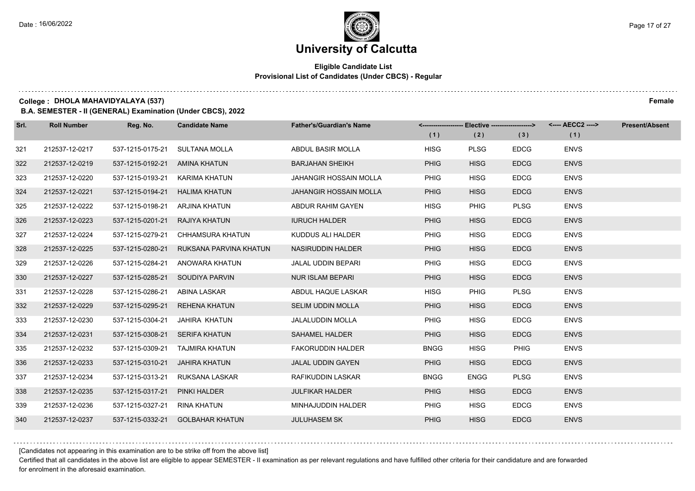#### **Eligible Candidate List Provisional List of Candidates (Under CBCS) - Regular**

**College : DHOLA MAHAVIDYALAYA (537) Female**

**B.A. SEMESTER - II (GENERAL) Examination (Under CBCS), 2022**

| Srl. | <b>Roll Number</b> | Reg. No.         | <b>Candidate Name</b>            | <b>Father's/Guardian's Name</b> | <-------------------- | Elective -------------------> |             | <---- AECC2 ----> | <b>Present/Absent</b> |
|------|--------------------|------------------|----------------------------------|---------------------------------|-----------------------|-------------------------------|-------------|-------------------|-----------------------|
|      |                    |                  |                                  |                                 | (1)                   | (2)                           | (3)         | (1)               |                       |
| 321  | 212537-12-0217     | 537-1215-0175-21 | SULTANA MOLLA                    | ABDUL BASIR MOLLA               | <b>HISG</b>           | <b>PLSG</b>                   | <b>EDCG</b> | <b>ENVS</b>       |                       |
| 322  | 212537-12-0219     | 537-1215-0192-21 | AMINA KHATUN                     | <b>BARJAHAN SHEIKH</b>          | <b>PHIG</b>           | <b>HISG</b>                   | <b>EDCG</b> | <b>ENVS</b>       |                       |
| 323  | 212537-12-0220     | 537-1215-0193-21 | KARIMA KHATUN                    | <b>JAHANGIR HOSSAIN MOLLA</b>   | <b>PHIG</b>           | <b>HISG</b>                   | <b>EDCG</b> | <b>ENVS</b>       |                       |
| 324  | 212537-12-0221     | 537-1215-0194-21 | <b>HALIMA KHATUN</b>             | <b>JAHANGIR HOSSAIN MOLLA</b>   | <b>PHIG</b>           | <b>HISG</b>                   | <b>EDCG</b> | <b>ENVS</b>       |                       |
| 325  | 212537-12-0222     | 537-1215-0198-21 | ARJINA KHATUN                    | ABDUR RAHIM GAYEN               | <b>HISG</b>           | <b>PHIG</b>                   | <b>PLSG</b> | <b>ENVS</b>       |                       |
| 326  | 212537-12-0223     | 537-1215-0201-21 | RAJIYA KHATUN                    | <b>IURUCH HALDER</b>            | <b>PHIG</b>           | <b>HISG</b>                   | <b>EDCG</b> | <b>ENVS</b>       |                       |
| 327  | 212537-12-0224     | 537-1215-0279-21 | CHHAMSURA KHATUN                 | KUDDUS ALI HALDER               | <b>PHIG</b>           | <b>HISG</b>                   | <b>EDCG</b> | <b>ENVS</b>       |                       |
| 328  | 212537-12-0225     | 537-1215-0280-21 | RUKSANA PARVINA KHATUN           | <b>NASIRUDDIN HALDER</b>        | <b>PHIG</b>           | <b>HISG</b>                   | <b>EDCG</b> | <b>ENVS</b>       |                       |
| 329  | 212537-12-0226     | 537-1215-0284-21 | ANOWARA KHATUN                   | <b>JALAL UDDIN BEPARI</b>       | <b>PHIG</b>           | <b>HISG</b>                   | <b>EDCG</b> | <b>ENVS</b>       |                       |
| 330  | 212537-12-0227     | 537-1215-0285-21 | SOUDIYA PARVIN                   | <b>NUR ISLAM BEPARI</b>         | <b>PHIG</b>           | <b>HISG</b>                   | <b>EDCG</b> | <b>ENVS</b>       |                       |
| 331  | 212537-12-0228     | 537-1215-0286-21 | ABINA LASKAR                     | ABDUL HAQUE LASKAR              | <b>HISG</b>           | PHIG                          | <b>PLSG</b> | <b>ENVS</b>       |                       |
| 332  | 212537-12-0229     | 537-1215-0295-21 | REHENA KHATUN                    | <b>SELIM UDDIN MOLLA</b>        | <b>PHIG</b>           | <b>HISG</b>                   | <b>EDCG</b> | <b>ENVS</b>       |                       |
| 333  | 212537-12-0230     | 537-1215-0304-21 | JAHIRA KHATUN                    | <b>JALALUDDIN MOLLA</b>         | <b>PHIG</b>           | <b>HISG</b>                   | <b>EDCG</b> | <b>ENVS</b>       |                       |
| 334  | 212537-12-0231     | 537-1215-0308-21 | <b>SERIFA KHATUN</b>             | <b>SAHAMEL HALDER</b>           | <b>PHIG</b>           | <b>HISG</b>                   | <b>EDCG</b> | <b>ENVS</b>       |                       |
| 335  | 212537-12-0232     | 537-1215-0309-21 | TAJMIRA KHATUN                   | <b>FAKORUDDIN HALDER</b>        | <b>BNGG</b>           | <b>HISG</b>                   | <b>PHIG</b> | <b>ENVS</b>       |                       |
| 336  | 212537-12-0233     | 537-1215-0310-21 | JAHIRA KHATUN                    | <b>JALAL UDDIN GAYEN</b>        | <b>PHIG</b>           | <b>HISG</b>                   | <b>EDCG</b> | <b>ENVS</b>       |                       |
| 337  | 212537-12-0234     | 537-1215-0313-21 | RUKSANA LASKAR                   | RAFIKUDDIN LASKAR               | <b>BNGG</b>           | <b>ENGG</b>                   | <b>PLSG</b> | <b>ENVS</b>       |                       |
| 338  | 212537-12-0235     | 537-1215-0317-21 | PINKI HALDER                     | <b>JULFIKAR HALDER</b>          | <b>PHIG</b>           | <b>HISG</b>                   | <b>EDCG</b> | <b>ENVS</b>       |                       |
| 339  | 212537-12-0236     | 537-1215-0327-21 | RINA KHATUN                      | MINHAJUDDIN HALDER              | <b>PHIG</b>           | <b>HISG</b>                   | <b>EDCG</b> | <b>ENVS</b>       |                       |
| 340  | 212537-12-0237     |                  | 537-1215-0332-21 GOLBAHAR KHATUN | <b>JULUHASEM SK</b>             | <b>PHIG</b>           | <b>HISG</b>                   | <b>EDCG</b> | <b>ENVS</b>       |                       |

[Candidates not appearing in this examination are to be strike off from the above list]

Certified that all candidates in the above list are eligible to appear SEMESTER - II examination as per relevant regulations and have fulfilled other criteria for their candidature and are forwarded for enrolment in the aforesaid examination.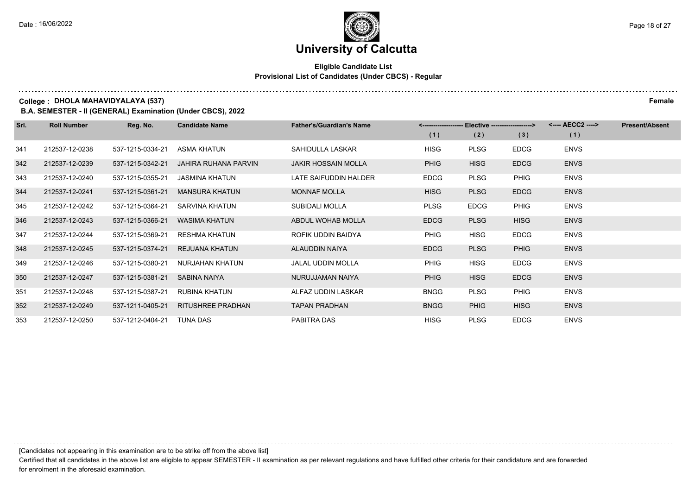#### **Eligible Candidate List Provisional List of Candidates (Under CBCS) - Regular**

**College : DHOLA MAHAVIDYALAYA (537) Female**

**B.A. SEMESTER - II (GENERAL) Examination (Under CBCS), 2022**

| Srl. | <b>Roll Number</b> | Reg. No.         | <b>Candidate Name</b>    | <b>Father's/Guardian's Name</b> |             | <------------------- Elective ------------------> |             | <---- AECC2 ----> | <b>Present/Absent</b> |
|------|--------------------|------------------|--------------------------|---------------------------------|-------------|---------------------------------------------------|-------------|-------------------|-----------------------|
|      |                    |                  |                          |                                 | (1)         | (2)                                               | (3)         | (1)               |                       |
| 341  | 212537-12-0238     | 537-1215-0334-21 | ASMA KHATUN              | SAHIDULLA LASKAR                | <b>HISG</b> | <b>PLSG</b>                                       | <b>EDCG</b> | <b>ENVS</b>       |                       |
| 342  | 212537-12-0239     | 537-1215-0342-21 | JAHIRA RUHANA PARVIN     | JAKIR HOSSAIN MOLLA             | <b>PHIG</b> | <b>HISG</b>                                       | <b>EDCG</b> | <b>ENVS</b>       |                       |
| 343  | 212537-12-0240     | 537-1215-0355-21 | <b>JASMINA KHATUN</b>    | LATE SAIFUDDIN HALDER           | <b>EDCG</b> | <b>PLSG</b>                                       | <b>PHIG</b> | <b>ENVS</b>       |                       |
| 344  | 212537-12-0241     | 537-1215-0361-21 | <b>MANSURA KHATUN</b>    | <b>MONNAF MOLLA</b>             | <b>HISG</b> | <b>PLSG</b>                                       | <b>EDCG</b> | <b>ENVS</b>       |                       |
| 345  | 212537-12-0242     | 537-1215-0364-21 | SARVINA KHATUN           | <b>SUBIDALI MOLLA</b>           | <b>PLSG</b> | <b>EDCG</b>                                       | <b>PHIG</b> | <b>ENVS</b>       |                       |
| 346  | 212537-12-0243     | 537-1215-0366-21 | WASIMA KHATUN            | ABDUL WOHAB MOLLA               | <b>EDCG</b> | <b>PLSG</b>                                       | <b>HISG</b> | <b>ENVS</b>       |                       |
| 347  | 212537-12-0244     | 537-1215-0369-21 | <b>RESHMA KHATUN</b>     | ROFIK UDDIN BAIDYA              | <b>PHIG</b> | <b>HISG</b>                                       | <b>EDCG</b> | <b>ENVS</b>       |                       |
| 348  | 212537-12-0245     | 537-1215-0374-21 | REJUANA KHATUN           | ALAUDDIN NAIYA                  | <b>EDCG</b> | <b>PLSG</b>                                       | <b>PHIG</b> | <b>ENVS</b>       |                       |
| 349  | 212537-12-0246     | 537-1215-0380-21 | NURJAHAN KHATUN          | JALAL UDDIN MOLLA               | <b>PHIG</b> | <b>HISG</b>                                       | <b>EDCG</b> | <b>ENVS</b>       |                       |
| 350  | 212537-12-0247     | 537-1215-0381-21 | SABINA NAIYA             | NURUJJAMAN NAIYA                | <b>PHIG</b> | <b>HISG</b>                                       | <b>EDCG</b> | <b>ENVS</b>       |                       |
| 351  | 212537-12-0248     | 537-1215-0387-21 | RUBINA KHATUN            | ALFAZ UDDIN LASKAR              | <b>BNGG</b> | <b>PLSG</b>                                       | <b>PHIG</b> | <b>ENVS</b>       |                       |
| 352  | 212537-12-0249     | 537-1211-0405-21 | <b>RITUSHREE PRADHAN</b> | <b>TAPAN PRADHAN</b>            | <b>BNGG</b> | <b>PHIG</b>                                       | <b>HISG</b> | <b>ENVS</b>       |                       |
| 353  | 212537-12-0250     | 537-1212-0404-21 | <b>TUNA DAS</b>          | PABITRA DAS                     | <b>HISG</b> | <b>PLSG</b>                                       | <b>EDCG</b> | <b>ENVS</b>       |                       |

[Candidates not appearing in this examination are to be strike off from the above list]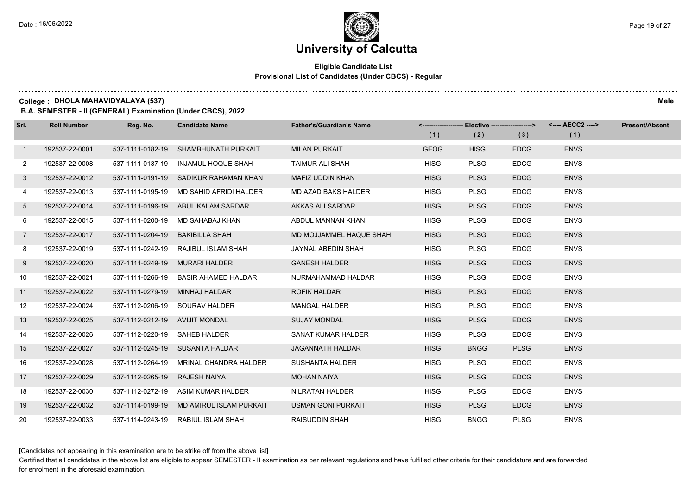#### **Eligible Candidate List Provisional List of Candidates (Under CBCS) - Regular**

**College : DHOLA MAHAVIDYALAYA (537) Male**

**B.A. SEMESTER - II (GENERAL) Examination (Under CBCS), 2022**

| Srl.           | <b>Roll Number</b> | Reg. No.                       | <b>Candidate Name</b>                   | <b>Father's/Guardian's Name</b> |             |             |             | <-------------------- Elective -------------------> <---- AECC2 ----> | <b>Present/Absent</b> |
|----------------|--------------------|--------------------------------|-----------------------------------------|---------------------------------|-------------|-------------|-------------|-----------------------------------------------------------------------|-----------------------|
|                |                    |                                |                                         |                                 | (1)         | (2)         | (3)         | (1)                                                                   |                       |
| $\mathbf{1}$   | 192537-22-0001     | 537-1111-0182-19               | SHAMBHUNATH PURKAIT                     | <b>MILAN PURKAIT</b>            | <b>GEOG</b> | <b>HISG</b> | <b>EDCG</b> | <b>ENVS</b>                                                           |                       |
| $\mathbf{2}$   | 192537-22-0008     | 537-1111-0137-19               | INJAMUL HOQUE SHAH                      | <b>TAIMUR ALI SHAH</b>          | <b>HISG</b> | <b>PLSG</b> | <b>EDCG</b> | <b>ENVS</b>                                                           |                       |
| 3 <sup>1</sup> | 192537-22-0012     |                                | 537-1111-0191-19 SADIKUR RAHAMAN KHAN   | MAFIZ UDDIN KHAN                | <b>HISG</b> | <b>PLSG</b> | <b>EDCG</b> | <b>ENVS</b>                                                           |                       |
| 4              | 192537-22-0013     |                                | 537-1111-0195-19 MD SAHID AFRIDI HALDER | MD AZAD BAKS HALDER             | <b>HISG</b> | <b>PLSG</b> | <b>EDCG</b> | <b>ENVS</b>                                                           |                       |
| $5^{\circ}$    | 192537-22-0014     |                                | 537-1111-0196-19 ABUL KALAM SARDAR      | AKKAS ALI SARDAR                | <b>HISG</b> | <b>PLSG</b> | <b>EDCG</b> | <b>ENVS</b>                                                           |                       |
| 6              | 192537-22-0015     | 537-1111-0200-19               | MD SAHABAJ KHAN                         | ABDUL MANNAN KHAN               | <b>HISG</b> | <b>PLSG</b> | <b>EDCG</b> | <b>ENVS</b>                                                           |                       |
| $\overline{7}$ | 192537-22-0017     | 537-1111-0204-19               | BAKIBILLA SHAH                          | MD MOJJAMMEL HAQUE SHAH         | <b>HISG</b> | <b>PLSG</b> | <b>EDCG</b> | <b>ENVS</b>                                                           |                       |
| 8              | 192537-22-0019     |                                | 537-1111-0242-19 RAJIBUL ISLAM SHAH     | JAYNAL ABEDIN SHAH              | <b>HISG</b> | <b>PLSG</b> | <b>EDCG</b> | <b>ENVS</b>                                                           |                       |
| 9              | 192537-22-0020     |                                | 537-1111-0249-19 MURARI HALDER          | <b>GANESH HALDER</b>            | <b>HISG</b> | <b>PLSG</b> | <b>EDCG</b> | <b>ENVS</b>                                                           |                       |
| 10             | 192537-22-0021     |                                | 537-1111-0266-19 BASIR AHAMED HALDAR    | NURMAHAMMAD HALDAR              | <b>HISG</b> | <b>PLSG</b> | <b>EDCG</b> | <b>ENVS</b>                                                           |                       |
| 11             | 192537-22-0022     | 537-1111-0279-19               | MINHAJ HALDAR                           | <b>ROFIK HALDAR</b>             | <b>HISG</b> | <b>PLSG</b> | <b>EDCG</b> | <b>ENVS</b>                                                           |                       |
| 12             | 192537-22-0024     |                                | 537-1112-0206-19 SOURAV HALDER          | <b>MANGAL HALDER</b>            | <b>HISG</b> | <b>PLSG</b> | <b>EDCG</b> | <b>ENVS</b>                                                           |                       |
| 13             | 192537-22-0025     | 537-1112-0212-19 AVIJIT MONDAL |                                         | <b>SUJAY MONDAL</b>             | <b>HISG</b> | <b>PLSG</b> | <b>EDCG</b> | <b>ENVS</b>                                                           |                       |
| 14             | 192537-22-0026     | 537-1112-0220-19 SAHEB HALDER  |                                         | SANAT KUMAR HALDER              | <b>HISG</b> | <b>PLSG</b> | <b>EDCG</b> | <b>ENVS</b>                                                           |                       |
| 15             | 192537-22-0027     |                                | 537-1112-0245-19 SUSANTA HALDAR         | <b>JAGANNATH HALDAR</b>         | <b>HISG</b> | <b>BNGG</b> | <b>PLSG</b> | <b>ENVS</b>                                                           |                       |
| 16             | 192537-22-0028     | 537-1112-0264-19               | MRINAL CHANDRA HALDER                   | <b>SUSHANTA HALDER</b>          | <b>HISG</b> | <b>PLSG</b> | <b>EDCG</b> | <b>ENVS</b>                                                           |                       |
| 17             | 192537-22-0029     | 537-1112-0265-19 RAJESH NAIYA  |                                         | <b>MOHAN NAIYA</b>              | <b>HISG</b> | <b>PLSG</b> | <b>EDCG</b> | <b>ENVS</b>                                                           |                       |
| 18             | 192537-22-0030     |                                | 537-1112-0272-19 ASIM KUMAR HALDER      | NILRATAN HALDER                 | <b>HISG</b> | <b>PLSG</b> | <b>EDCG</b> | <b>ENVS</b>                                                           |                       |
| 19             | 192537-22-0032     | 537-1114-0199-19               | MD AMIRUL ISLAM PURKAIT                 | <b>USMAN GONI PURKAIT</b>       | <b>HISG</b> | <b>PLSG</b> | <b>EDCG</b> | <b>ENVS</b>                                                           |                       |
| 20             | 192537-22-0033     | 537-1114-0243-19               | RABIUL ISLAM SHAH                       | <b>RAISUDDIN SHAH</b>           | <b>HISG</b> | <b>BNGG</b> | <b>PLSG</b> | <b>ENVS</b>                                                           |                       |

[Candidates not appearing in this examination are to be strike off from the above list]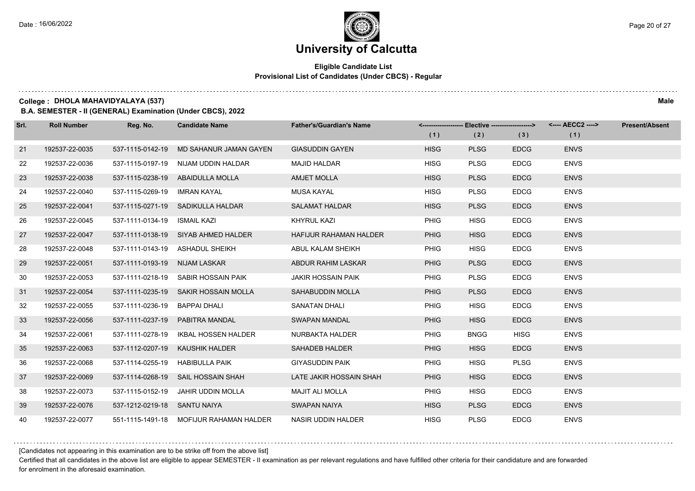#### **Eligible Candidate List Provisional List of Candidates (Under CBCS) - Regular**

**College : DHOLA MAHAVIDYALAYA (537) Male**

**B.A. SEMESTER - II (GENERAL) Examination (Under CBCS), 2022**

| Srl. | <b>Roll Number</b> | Reg. No.                      | <b>Candidate Name</b>                   | <b>Father's/Guardian's Name</b> | <-------------------- Elective -------------------><br>(1) | (2)         | (3)         | (1)         | <b>Present/Absent</b> |
|------|--------------------|-------------------------------|-----------------------------------------|---------------------------------|------------------------------------------------------------|-------------|-------------|-------------|-----------------------|
| 21   | 192537-22-0035     | 537-1115-0142-19              | MD SAHANUR JAMAN GAYEN                  | <b>GIASUDDIN GAYEN</b>          | <b>HISG</b>                                                | <b>PLSG</b> | <b>EDCG</b> | <b>ENVS</b> |                       |
| 22   | 192537-22-0036     | 537-1115-0197-19              | NIJAM UDDIN HALDAR                      | <b>MAJID HALDAR</b>             | <b>HISG</b>                                                | <b>PLSG</b> | <b>EDCG</b> | <b>ENVS</b> |                       |
| 23   | 192537-22-0038     |                               | 537-1115-0238-19 ABAIDULLA MOLLA        | <b>AMJET MOLLA</b>              | <b>HISG</b>                                                | <b>PLSG</b> | <b>EDCG</b> | <b>ENVS</b> |                       |
| 24   | 192537-22-0040     | 537-1115-0269-19 IMRAN KAYAL  |                                         | MUSA KAYAL                      | <b>HISG</b>                                                | <b>PLSG</b> | <b>EDCG</b> | <b>ENVS</b> |                       |
| 25   | 192537-22-0041     |                               | 537-1115-0271-19 SADIKULLA HALDAR       | <b>SALAMAT HALDAR</b>           | <b>HISG</b>                                                | <b>PLSG</b> | <b>EDCG</b> | <b>ENVS</b> |                       |
| 26   | 192537-22-0045     | 537-1111-0134-19              | ISMAIL KAZI                             | <b>KHYRUL KAZI</b>              | PHIG                                                       | <b>HISG</b> | <b>EDCG</b> | <b>ENVS</b> |                       |
| 27   | 192537-22-0047     |                               | 537-1111-0138-19 SIYAB AHMED HALDER     | <b>HAFIJUR RAHAMAN HALDER</b>   | <b>PHIG</b>                                                | <b>HISG</b> | <b>EDCG</b> | <b>ENVS</b> |                       |
| 28   | 192537-22-0048     |                               | 537-1111-0143-19 ASHADUL SHEIKH         | ABUL KALAM SHEIKH               | <b>PHIG</b>                                                | <b>HISG</b> | <b>EDCG</b> | <b>ENVS</b> |                       |
| 29   | 192537-22-0051     | 537-1111-0193-19 NIJAM LASKAR |                                         | ABDUR RAHIM LASKAR              | <b>PHIG</b>                                                | <b>PLSG</b> | <b>EDCG</b> | <b>ENVS</b> |                       |
| 30   | 192537-22-0053     |                               | 537-1111-0218-19 SABIR HOSSAIN PAIK     | <b>JAKIR HOSSAIN PAIK</b>       | PHIG                                                       | <b>PLSG</b> | <b>EDCG</b> | <b>ENVS</b> |                       |
| 31   | 192537-22-0054     |                               | 537-1111-0235-19 SAKIR HOSSAIN MOLLA    | <b>SAHABUDDIN MOLLA</b>         | <b>PHIG</b>                                                | <b>PLSG</b> | <b>EDCG</b> | <b>ENVS</b> |                       |
| 32   | 192537-22-0055     | 537-1111-0236-19 BAPPAI DHALI |                                         | <b>SANATAN DHALI</b>            | <b>PHIG</b>                                                | <b>HISG</b> | <b>EDCG</b> | <b>ENVS</b> |                       |
| 33   | 192537-22-0056     |                               | 537-1111-0237-19 PABITRA MANDAL         | SWAPAN MANDAL                   | <b>PHIG</b>                                                | <b>HISG</b> | <b>EDCG</b> | <b>ENVS</b> |                       |
| 34   | 192537-22-0061     | 537-1111-0278-19              | <b>IKBAL HOSSEN HALDER</b>              | NURBAKTA HALDER                 | <b>PHIG</b>                                                | <b>BNGG</b> | <b>HISG</b> | <b>ENVS</b> |                       |
| 35   | 192537-22-0063     | 537-1112-0207-19              | KAUSHIK HALDER                          | SAHADEB HALDER                  | <b>PHIG</b>                                                | <b>HISG</b> | <b>EDCG</b> | <b>ENVS</b> |                       |
| 36   | 192537-22-0068     | 537-1114-0255-19              | <b>HABIBULLA PAIK</b>                   | <b>GIYASUDDIN PAIK</b>          | <b>PHIG</b>                                                | <b>HISG</b> | <b>PLSG</b> | <b>ENVS</b> |                       |
| 37   | 192537-22-0069     |                               | 537-1114-0268-19 SAIL HOSSAIN SHAH      | LATE JAKIR HOSSAIN SHAH         | <b>PHIG</b>                                                | <b>HISG</b> | <b>EDCG</b> | <b>ENVS</b> |                       |
| 38   | 192537-22-0073     |                               | 537-1115-0152-19 JAHIR UDDIN MOLLA      | <b>MAJIT ALI MOLLA</b>          | <b>PHIG</b>                                                | <b>HISG</b> | <b>EDCG</b> | <b>ENVS</b> |                       |
| 39   | 192537-22-0076     | 537-1212-0219-18 SANTU NAIYA  |                                         | <b>SWAPAN NAIYA</b>             | <b>HISG</b>                                                | <b>PLSG</b> | <b>EDCG</b> | <b>ENVS</b> |                       |
| 40   | 192537-22-0077     |                               | 551-1115-1491-18 MOFIJUR RAHAMAN HALDER | <b>NASIR UDDIN HALDER</b>       | <b>HISG</b>                                                | <b>PLSG</b> | <b>EDCG</b> | <b>ENVS</b> |                       |

[Candidates not appearing in this examination are to be strike off from the above list]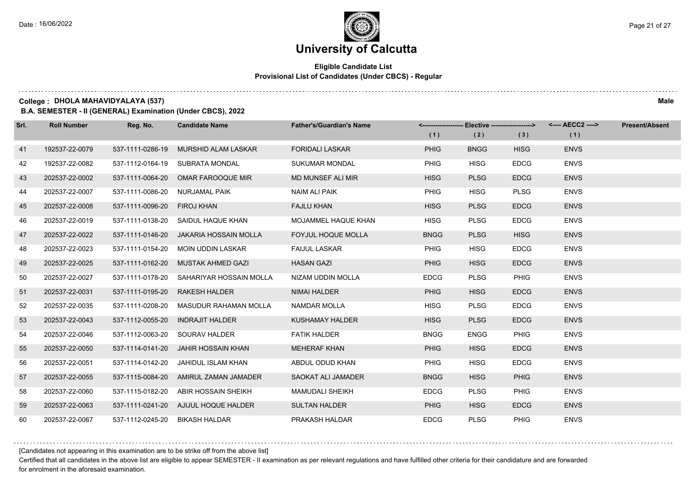#### **Eligible Candidate List Provisional List of Candidates (Under CBCS) - Regular**

**College : DHOLA MAHAVIDYALAYA (537) Male**

**B.A. SEMESTER - II (GENERAL) Examination (Under CBCS), 2022**

| Srl. | <b>Roll Number</b> | Reg. No.         | <b>Candidate Name</b>                  | <b>Father's/Guardian's Name</b> |             | <-------------------- Elective -------------------> |             | <---- AECC2 ----> | <b>Present/Absent</b> |
|------|--------------------|------------------|----------------------------------------|---------------------------------|-------------|-----------------------------------------------------|-------------|-------------------|-----------------------|
|      |                    |                  |                                        |                                 | (1)         | (2)                                                 | (3)         | (1)               |                       |
| 41   | 192537-22-0079     | 537-1111-0286-19 | <b>MURSHID ALAM LASKAR</b>             | <b>FORIDALI LASKAR</b>          | <b>PHIG</b> | <b>BNGG</b>                                         | <b>HISG</b> | <b>ENVS</b>       |                       |
| 42   | 192537-22-0082     | 537-1112-0164-19 | SUBRATA MONDAL                         | <b>SUKUMAR MONDAL</b>           | PHIG        | <b>HISG</b>                                         | <b>EDCG</b> | <b>ENVS</b>       |                       |
| 43   | 202537-22-0002     |                  | 537-1111-0064-20 OMAR FAROOQUE MIR     | MD MUNSEF ALI MIR               | <b>HISG</b> | <b>PLSG</b>                                         | <b>EDCG</b> | <b>ENVS</b>       |                       |
| 44   | 202537-22-0007     | 537-1111-0086-20 | NURJAMAL PAIK                          | <b>NAIM ALI PAIK</b>            | PHIG        | <b>HISG</b>                                         | <b>PLSG</b> | <b>ENVS</b>       |                       |
| 45   | 202537-22-0008     | 537-1111-0096-20 | <b>FIROJ KHAN</b>                      | <b>FAJLU KHAN</b>               | <b>HISG</b> | <b>PLSG</b>                                         | <b>EDCG</b> | <b>ENVS</b>       |                       |
| 46   | 202537-22-0019     | 537-1111-0138-20 | SAIDUL HAQUE KHAN                      | MOJAMMEL HAQUE KHAN             | <b>HISG</b> | <b>PLSG</b>                                         | <b>EDCG</b> | <b>ENVS</b>       |                       |
| 47   | 202537-22-0022     |                  | 537-1111-0146-20 JAKARIA HOSSAIN MOLLA | <b>FOYJUL HOQUE MOLLA</b>       | <b>BNGG</b> | <b>PLSG</b>                                         | <b>HISG</b> | <b>ENVS</b>       |                       |
| 48   | 202537-22-0023     | 537-1111-0154-20 | MOIN UDDIN LASKAR                      | <b>FAIJUL LASKAR</b>            | <b>PHIG</b> | <b>HISG</b>                                         | <b>EDCG</b> | <b>ENVS</b>       |                       |
| 49   | 202537-22-0025     | 537-1111-0162-20 | MUSTAK AHMED GAZI                      | <b>HASAN GAZI</b>               | <b>PHIG</b> | <b>HISG</b>                                         | <b>EDCG</b> | <b>ENVS</b>       |                       |
| 50   | 202537-22-0027     | 537-1111-0178-20 | SAHARIYAR HOSSAIN MOLLA                | NIZAM UDDIN MOLLA               | <b>EDCG</b> | <b>PLSG</b>                                         | PHIG        | <b>ENVS</b>       |                       |
| 51   | 202537-22-0031     | 537-1111-0195-20 | <b>RAKESH HALDER</b>                   | NIMAI HALDER                    | <b>PHIG</b> | <b>HISG</b>                                         | <b>EDCG</b> | <b>ENVS</b>       |                       |
| 52   | 202537-22-0035     | 537-1111-0208-20 | MASUDUR RAHAMAN MOLLA                  | NAMDAR MOLLA                    | <b>HISG</b> | <b>PLSG</b>                                         | <b>EDCG</b> | <b>ENVS</b>       |                       |
| 53   | 202537-22-0043     | 537-1112-0055-20 | <b>INDRAJIT HALDER</b>                 | <b>KUSHAMAY HALDER</b>          | <b>HISG</b> | <b>PLSG</b>                                         | <b>EDCG</b> | <b>ENVS</b>       |                       |
| 54   | 202537-22-0046     | 537-1112-0063-20 | SOURAV HALDER                          | <b>FATIK HALDER</b>             | <b>BNGG</b> | <b>ENGG</b>                                         | PHIG        | <b>ENVS</b>       |                       |
| 55   | 202537-22-0050     | 537-1114-0141-20 | <b>JAHIR HOSSAIN KHAN</b>              | <b>MEHERAF KHAN</b>             | <b>PHIG</b> | <b>HISG</b>                                         | <b>EDCG</b> | <b>ENVS</b>       |                       |
| 56   | 202537-22-0051     | 537-1114-0142-20 | JAHIDUL ISLAM KHAN                     | ABDUL ODUD KHAN                 | <b>PHIG</b> | <b>HISG</b>                                         | <b>EDCG</b> | <b>ENVS</b>       |                       |
| 57   | 202537-22-0055     |                  | 537-1115-0084-20 AMIRUL ZAMAN JAMADER  | SAOKAT ALI JAMADER              | <b>BNGG</b> | <b>HISG</b>                                         | <b>PHIG</b> | <b>ENVS</b>       |                       |
| 58   | 202537-22-0060     | 537-1115-0182-20 | ABIR HOSSAIN SHEIKH                    | <b>MAMUDALI SHEIKH</b>          | <b>EDCG</b> | <b>PLSG</b>                                         | PHIG        | <b>ENVS</b>       |                       |
| 59   | 202537-22-0063     | 537-1111-0241-20 | AJIJUL HOQUE HALDER                    | <b>SULTAN HALDER</b>            | <b>PHIG</b> | <b>HISG</b>                                         | <b>EDCG</b> | <b>ENVS</b>       |                       |
| 60   | 202537-22-0067     | 537-1112-0245-20 | <b>BIKASH HALDAR</b>                   | PRAKASH HALDAR                  | <b>EDCG</b> | <b>PLSG</b>                                         | <b>PHIG</b> | <b>ENVS</b>       |                       |

[Candidates not appearing in this examination are to be strike off from the above list]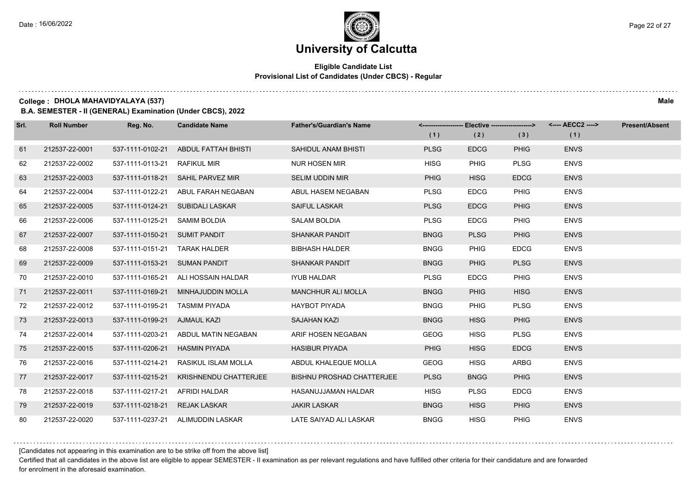#### **Eligible Candidate List Provisional List of Candidates (Under CBCS) - Regular**

**College : DHOLA MAHAVIDYALAYA (537) Male**

**B.A. SEMESTER - II (GENERAL) Examination (Under CBCS), 2022**

| Srl. | <b>Roll Number</b> | Reg. No.                       | <b>Candidate Name</b>             | <b>Father's/Guardian's Name</b>  |             | <-------------------- Elective -------------------> |             |             | <b>Present/Absent</b> |
|------|--------------------|--------------------------------|-----------------------------------|----------------------------------|-------------|-----------------------------------------------------|-------------|-------------|-----------------------|
|      |                    |                                |                                   |                                  | (1)         | (2)                                                 | (3)         | (1)         |                       |
| 61   | 212537-22-0001     | 537-1111-0102-21               | ABDUL FATTAH BHISTI               | SAHIDUL ANAM BHISTI              | <b>PLSG</b> | <b>EDCG</b>                                         | <b>PHIG</b> | <b>ENVS</b> |                       |
| 62   | 212537-22-0002     | 537-1111-0113-21               | <b>RAFIKUL MIR</b>                | <b>NUR HOSEN MIR</b>             | <b>HISG</b> | <b>PHIG</b>                                         | <b>PLSG</b> | <b>ENVS</b> |                       |
| 63   | 212537-22-0003     |                                | 537-1111-0118-21 SAHIL PARVEZ MIR | <b>SELIM UDDIN MIR</b>           | <b>PHIG</b> | <b>HISG</b>                                         | <b>EDCG</b> | <b>ENVS</b> |                       |
| 64   | 212537-22-0004     | 537-1111-0122-21               | ABUL FARAH NEGABAN                | ABUL HASEM NEGABAN               | <b>PLSG</b> | <b>EDCG</b>                                         | PHIG        | <b>ENVS</b> |                       |
| 65   | 212537-22-0005     | 537-1111-0124-21               | SUBIDALI LASKAR                   | <b>SAIFUL LASKAR</b>             | <b>PLSG</b> | <b>EDCG</b>                                         | <b>PHIG</b> | <b>ENVS</b> |                       |
| 66   | 212537-22-0006     | 537-1111-0125-21               | SAMIM BOLDIA                      | <b>SALAM BOLDIA</b>              | <b>PLSG</b> | <b>EDCG</b>                                         | <b>PHIG</b> | <b>ENVS</b> |                       |
| 67   | 212537-22-0007     | 537-1111-0150-21 SUMIT PANDIT  |                                   | <b>SHANKAR PANDIT</b>            | <b>BNGG</b> | <b>PLSG</b>                                         | <b>PHIG</b> | <b>ENVS</b> |                       |
| 68   | 212537-22-0008     | 537-1111-0151-21 TARAK HALDER  |                                   | <b>BIBHASH HALDER</b>            | <b>BNGG</b> | <b>PHIG</b>                                         | <b>EDCG</b> | <b>ENVS</b> |                       |
| 69   | 212537-22-0009     | 537-1111-0153-21 SUMAN PANDIT  |                                   | <b>SHANKAR PANDIT</b>            | <b>BNGG</b> | <b>PHIG</b>                                         | <b>PLSG</b> | <b>ENVS</b> |                       |
| 70   | 212537-22-0010     | 537-1111-0165-21               | ALI HOSSAIN HALDAR                | <b>IYUB HALDAR</b>               | <b>PLSG</b> | <b>EDCG</b>                                         | PHIG        | <b>ENVS</b> |                       |
| 71   | 212537-22-0011     | 537-1111-0169-21               | MINHAJUDDIN MOLLA                 | <b>MANCHHUR ALI MOLLA</b>        | <b>BNGG</b> | <b>PHIG</b>                                         | <b>HISG</b> | <b>ENVS</b> |                       |
| 72   | 212537-22-0012     | 537-1111-0195-21 TASMIM PIYADA |                                   | <b>HAYBOT PIYADA</b>             | <b>BNGG</b> | <b>PHIG</b>                                         | <b>PLSG</b> | <b>ENVS</b> |                       |
| 73   | 212537-22-0013     | 537-1111-0199-21 AJMAUL KAZI   |                                   | <b>SAJAHAN KAZI</b>              | <b>BNGG</b> | <b>HISG</b>                                         | <b>PHIG</b> | <b>ENVS</b> |                       |
| 74   | 212537-22-0014     | 537-1111-0203-21               | ABDUL MATIN NEGABAN               | ARIF HOSEN NEGABAN               | <b>GEOG</b> | <b>HISG</b>                                         | <b>PLSG</b> | <b>ENVS</b> |                       |
| 75   | 212537-22-0015     | 537-1111-0206-21               | <b>HASMIN PIYADA</b>              | <b>HASIBUR PIYADA</b>            | <b>PHIG</b> | <b>HISG</b>                                         | <b>EDCG</b> | <b>ENVS</b> |                       |
| 76   | 212537-22-0016     | 537-1111-0214-21               | RASIKUL ISLAM MOLLA               | ABDUL KHALEQUE MOLLA             | <b>GEOG</b> | <b>HISG</b>                                         | <b>ARBG</b> | <b>ENVS</b> |                       |
| 77   | 212537-22-0017     | 537-1111-0215-21               | KRISHNENDU CHATTERJEE             | <b>BISHNU PROSHAD CHATTERJEE</b> | <b>PLSG</b> | <b>BNGG</b>                                         | <b>PHIG</b> | <b>ENVS</b> |                       |
| 78   | 212537-22-0018     | 537-1111-0217-21               | AFRIDI HALDAR                     | HASANUJJAMAN HALDAR              | <b>HISG</b> | <b>PLSG</b>                                         | <b>EDCG</b> | <b>ENVS</b> |                       |
| 79   | 212537-22-0019     | 537-1111-0218-21               | <b>REJAK LASKAR</b>               | <b>JAKIR LASKAR</b>              | <b>BNGG</b> | <b>HISG</b>                                         | <b>PHIG</b> | <b>ENVS</b> |                       |
| 80   | 212537-22-0020     |                                | 537-1111-0237-21 ALIMUDDIN LASKAR | LATE SAIYAD ALI LASKAR           | <b>BNGG</b> | <b>HISG</b>                                         | PHIG        | <b>ENVS</b> |                       |

[Candidates not appearing in this examination are to be strike off from the above list]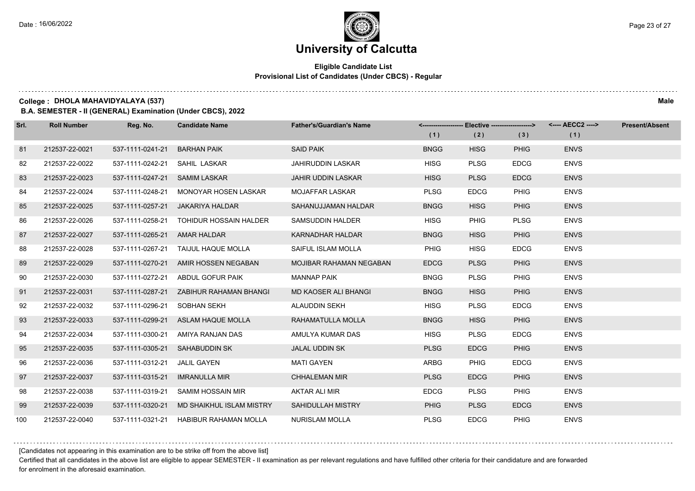#### **Eligible Candidate List Provisional List of Candidates (Under CBCS) - Regular**

**College : DHOLA MAHAVIDYALAYA (537) Male**

**B.A. SEMESTER - II (GENERAL) Examination (Under CBCS), 2022**

| Srl. | <b>Roll Number</b> | Reg. No.                      | <b>Candidate Name</b>                   | <b>Father's/Guardian's Name</b> |             | <-------------------- Elective -------------------> |             | <---- AECC2 ----> | <b>Present/Absent</b> |
|------|--------------------|-------------------------------|-----------------------------------------|---------------------------------|-------------|-----------------------------------------------------|-------------|-------------------|-----------------------|
|      |                    |                               |                                         |                                 | (1)         | (2)                                                 | (3)         | (1)               |                       |
| 81   | 212537-22-0021     | 537-1111-0241-21              | <b>BARHAN PAIK</b>                      | <b>SAID PAIK</b>                | <b>BNGG</b> | <b>HISG</b>                                         | <b>PHIG</b> | <b>ENVS</b>       |                       |
| 82   | 212537-22-0022     | 537-1111-0242-21              | SAHIL LASKAR                            | <b>JAHIRUDDIN LASKAR</b>        | <b>HISG</b> | <b>PLSG</b>                                         | <b>EDCG</b> | <b>ENVS</b>       |                       |
| 83   | 212537-22-0023     | 537-1111-0247-21 SAMIM LASKAR |                                         | <b>JAHIR UDDIN LASKAR</b>       | <b>HISG</b> | <b>PLSG</b>                                         | <b>EDCG</b> | <b>ENVS</b>       |                       |
| 84   | 212537-22-0024     | 537-1111-0248-21              | MONOYAR HOSEN LASKAR                    | <b>MOJAFFAR LASKAR</b>          | <b>PLSG</b> | <b>EDCG</b>                                         | PHIG        | <b>ENVS</b>       |                       |
| 85   | 212537-22-0025     | 537-1111-0257-21              | <b>JAKARIYA HALDAR</b>                  | SAHANUJJAMAN HALDAR             | <b>BNGG</b> | <b>HISG</b>                                         | <b>PHIG</b> | <b>ENVS</b>       |                       |
| 86   | 212537-22-0026     | 537-1111-0258-21              | TOHIDUR HOSSAIN HALDER                  | SAMSUDDIN HALDER                | <b>HISG</b> | <b>PHIG</b>                                         | <b>PLSG</b> | <b>ENVS</b>       |                       |
| 87   | 212537-22-0027     | 537-1111-0265-21 AMAR HALDAR  |                                         | <b>KARNADHAR HALDAR</b>         | <b>BNGG</b> | <b>HISG</b>                                         | <b>PHIG</b> | <b>ENVS</b>       |                       |
| 88   | 212537-22-0028     | 537-1111-0267-21              | TAIJUL HAQUE MOLLA                      | SAIFUL ISLAM MOLLA              | PHIG        | <b>HISG</b>                                         | <b>EDCG</b> | <b>ENVS</b>       |                       |
| 89   | 212537-22-0029     |                               | 537-1111-0270-21 AMIR HOSSEN NEGABAN    | <b>MOJIBAR RAHAMAN NEGABAN</b>  | <b>EDCG</b> | <b>PLSG</b>                                         | <b>PHIG</b> | <b>ENVS</b>       |                       |
| 90   | 212537-22-0030     | 537-1111-0272-21              | ABDUL GOFUR PAIK                        | <b>MANNAP PAIK</b>              | <b>BNGG</b> | <b>PLSG</b>                                         | <b>PHIG</b> | <b>ENVS</b>       |                       |
| 91   | 212537-22-0031     |                               | 537-1111-0287-21 ZABIHUR RAHAMAN BHANGI | <b>MD KAOSER ALI BHANGI</b>     | <b>BNGG</b> | <b>HISG</b>                                         | <b>PHIG</b> | <b>ENVS</b>       |                       |
| 92   | 212537-22-0032     | 537-1111-0296-21              | SOBHAN SEKH                             | ALAUDDIN SEKH                   | <b>HISG</b> | <b>PLSG</b>                                         | <b>EDCG</b> | <b>ENVS</b>       |                       |
| 93   | 212537-22-0033     |                               | 537-1111-0299-21 ASLAM HAQUE MOLLA      | RAHAMATULLA MOLLA               | <b>BNGG</b> | <b>HISG</b>                                         | <b>PHIG</b> | <b>ENVS</b>       |                       |
| 94   | 212537-22-0034     | 537-1111-0300-21              | AMIYA RANJAN DAS                        | AMULYA KUMAR DAS                | <b>HISG</b> | <b>PLSG</b>                                         | <b>EDCG</b> | <b>ENVS</b>       |                       |
| 95   | 212537-22-0035     |                               | 537-1111-0305-21 SAHABUDDIN SK          | JALAL UDDIN SK                  | <b>PLSG</b> | <b>EDCG</b>                                         | <b>PHIG</b> | <b>ENVS</b>       |                       |
| 96   | 212537-22-0036     | 537-1111-0312-21              | JALIL GAYEN                             | MATI GAYEN                      | <b>ARBG</b> | <b>PHIG</b>                                         | <b>EDCG</b> | <b>ENVS</b>       |                       |
| 97   | 212537-22-0037     | 537-1111-0315-21              | <b>IMRANULLA MIR</b>                    | <b>CHHALEMAN MIR</b>            | <b>PLSG</b> | <b>EDCG</b>                                         | <b>PHIG</b> | <b>ENVS</b>       |                       |
| 98   | 212537-22-0038     | 537-1111-0319-21              | SAMIM HOSSAIN MIR                       | AKTAR ALI MIR                   | <b>EDCG</b> | <b>PLSG</b>                                         | <b>PHIG</b> | <b>ENVS</b>       |                       |
| 99   | 212537-22-0039     | 537-1111-0320-21              | MD SHAIKHUL ISLAM MISTRY                | SAHIDULLAH MISTRY               | <b>PHIG</b> | <b>PLSG</b>                                         | <b>EDCG</b> | <b>ENVS</b>       |                       |
| 100  | 212537-22-0040     |                               | 537-1111-0321-21 HABIBUR RAHAMAN MOLLA  | <b>NURISLAM MOLLA</b>           | <b>PLSG</b> | <b>EDCG</b>                                         | <b>PHIG</b> | <b>ENVS</b>       |                       |

[Candidates not appearing in this examination are to be strike off from the above list]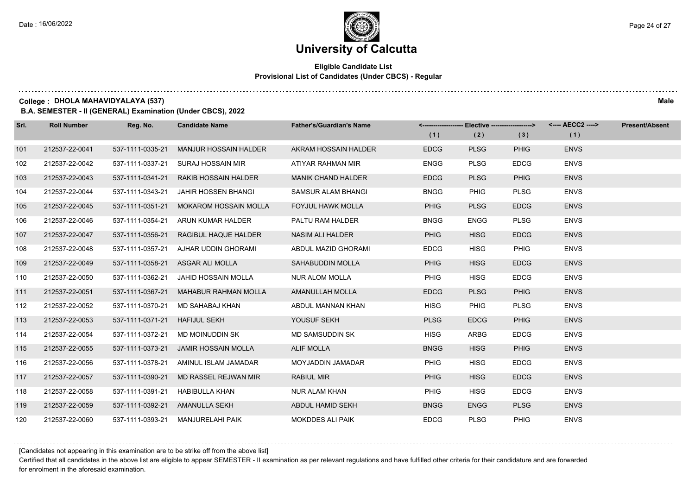#### **Eligible Candidate List Provisional List of Candidates (Under CBCS) - Regular**

**College : DHOLA MAHAVIDYALAYA (537) Male**

**B.A. SEMESTER - II (GENERAL) Examination (Under CBCS), 2022**

| Srl. | <b>Roll Number</b> | Reg. No.         | <b>Candidate Name</b>        | <b>Father's/Guardian's Name</b> |             | <------------------- Elective ------------------> |             | <---- AECC2 ----> | <b>Present/Absent</b> |
|------|--------------------|------------------|------------------------------|---------------------------------|-------------|---------------------------------------------------|-------------|-------------------|-----------------------|
|      |                    |                  |                              |                                 | (1)         | (2)                                               | (3)         | (1)               |                       |
| 101  | 212537-22-0041     | 537-1111-0335-21 | <b>MANJUR HOSSAIN HALDER</b> | AKRAM HOSSAIN HALDER            | <b>EDCG</b> | <b>PLSG</b>                                       | <b>PHIG</b> | <b>ENVS</b>       |                       |
| 102  | 212537-22-0042     | 537-1111-0337-21 | <b>SURAJ HOSSAIN MIR</b>     | ATIYAR RAHMAN MIR               | <b>ENGG</b> | <b>PLSG</b>                                       | <b>EDCG</b> | <b>ENVS</b>       |                       |
| 103  | 212537-22-0043     | 537-1111-0341-21 | <b>RAKIB HOSSAIN HALDER</b>  | <b>MANIK CHAND HALDER</b>       | <b>EDCG</b> | <b>PLSG</b>                                       | <b>PHIG</b> | <b>ENVS</b>       |                       |
| 104  | 212537-22-0044     | 537-1111-0343-21 | <b>JAHIR HOSSEN BHANGI</b>   | SAMSUR ALAM BHANGI              | <b>BNGG</b> | <b>PHIG</b>                                       | <b>PLSG</b> | <b>ENVS</b>       |                       |
| 105  | 212537-22-0045     | 537-1111-0351-21 | <b>MOKAROM HOSSAIN MOLLA</b> | <b>FOYJUL HAWK MOLLA</b>        | PHIG        | <b>PLSG</b>                                       | <b>EDCG</b> | <b>ENVS</b>       |                       |
| 106  | 212537-22-0046     | 537-1111-0354-21 | ARUN KUMAR HALDER            | PALTU RAM HALDER                | <b>BNGG</b> | <b>ENGG</b>                                       | <b>PLSG</b> | <b>ENVS</b>       |                       |
| 107  | 212537-22-0047     | 537-1111-0356-21 | RAGIBUL HAQUE HALDER         | NASIM ALI HALDER                | <b>PHIG</b> | <b>HISG</b>                                       | <b>EDCG</b> | <b>ENVS</b>       |                       |
| 108  | 212537-22-0048     | 537-1111-0357-21 | AJHAR UDDIN GHORAMI          | ABDUL MAZID GHORAMI             | <b>EDCG</b> | <b>HISG</b>                                       | <b>PHIG</b> | <b>ENVS</b>       |                       |
| 109  | 212537-22-0049     | 537-1111-0358-21 | ASGAR ALI MOLLA              | <b>SAHABUDDIN MOLLA</b>         | <b>PHIG</b> | <b>HISG</b>                                       | <b>EDCG</b> | <b>ENVS</b>       |                       |
| 110  | 212537-22-0050     | 537-1111-0362-21 | JAHID HOSSAIN MOLLA          | <b>NUR ALOM MOLLA</b>           | PHIG        | <b>HISG</b>                                       | <b>EDCG</b> | <b>ENVS</b>       |                       |
| 111  | 212537-22-0051     | 537-1111-0367-21 | <b>MAHABUR RAHMAN MOLLA</b>  | AMANULLAH MOLLA                 | <b>EDCG</b> | <b>PLSG</b>                                       | <b>PHIG</b> | <b>ENVS</b>       |                       |
| 112  | 212537-22-0052     | 537-1111-0370-21 | MD SAHABAJ KHAN              | ABDUL MANNAN KHAN               | <b>HISG</b> | <b>PHIG</b>                                       | <b>PLSG</b> | <b>ENVS</b>       |                       |
| 113  | 212537-22-0053     | 537-1111-0371-21 | <b>HAFIJUL SEKH</b>          | YOUSUF SEKH                     | <b>PLSG</b> | <b>EDCG</b>                                       | <b>PHIG</b> | <b>ENVS</b>       |                       |
| 114  | 212537-22-0054     | 537-1111-0372-21 | MD MOINUDDIN SK              | <b>MD SAMSUDDIN SK</b>          | <b>HISG</b> | <b>ARBG</b>                                       | <b>EDCG</b> | <b>ENVS</b>       |                       |
| 115  | 212537-22-0055     | 537-1111-0373-21 | <b>JAMIR HOSSAIN MOLLA</b>   | <b>ALIF MOLLA</b>               | <b>BNGG</b> | <b>HISG</b>                                       | <b>PHIG</b> | <b>ENVS</b>       |                       |
| 116  | 212537-22-0056     | 537-1111-0378-21 | AMINUL ISLAM JAMADAR         | MOYJADDIN JAMADAR               | <b>PHIG</b> | <b>HISG</b>                                       | <b>EDCG</b> | <b>ENVS</b>       |                       |
| 117  | 212537-22-0057     | 537-1111-0390-21 | MD RASSEL REJWAN MIR         | <b>RABIUL MIR</b>               | <b>PHIG</b> | <b>HISG</b>                                       | <b>EDCG</b> | <b>ENVS</b>       |                       |
| 118  | 212537-22-0058     | 537-1111-0391-21 | <b>HABIBULLA KHAN</b>        | <b>NUR ALAM KHAN</b>            | <b>PHIG</b> | <b>HISG</b>                                       | <b>EDCG</b> | <b>ENVS</b>       |                       |
| 119  | 212537-22-0059     | 537-1111-0392-21 | AMANULLA SEKH                | ABDUL HAMID SEKH                | <b>BNGG</b> | <b>ENGG</b>                                       | <b>PLSG</b> | <b>ENVS</b>       |                       |
| 120  | 212537-22-0060     | 537-1111-0393-21 | <b>MANJURELAHI PAIK</b>      | <b>MOKDDES ALI PAIK</b>         | <b>EDCG</b> | <b>PLSG</b>                                       | <b>PHIG</b> | <b>ENVS</b>       |                       |

[Candidates not appearing in this examination are to be strike off from the above list]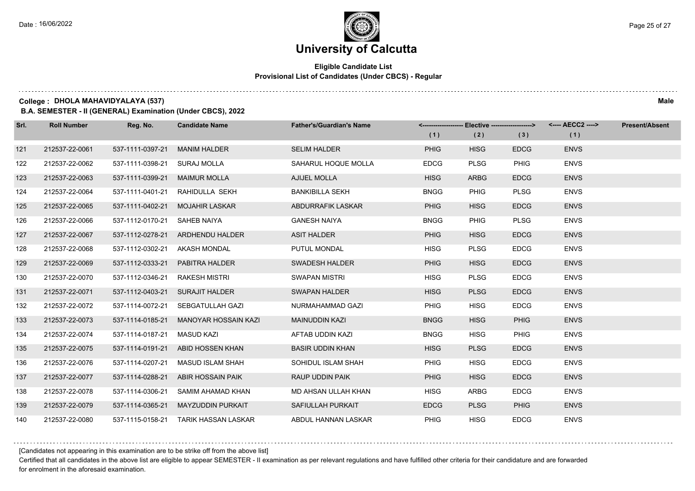#### **Eligible Candidate List Provisional List of Candidates (Under CBCS) - Regular**

**College : DHOLA MAHAVIDYALAYA (537) Male**

**B.A. SEMESTER - II (GENERAL) Examination (Under CBCS), 2022**

| Srl. | <b>Roll Number</b> | Reg. No.         | <b>Candidate Name</b>            | <b>Father's/Guardian's Name</b> |             | <-------------------- Elective -------------------> |             | <---- AECC2 ----> | <b>Present/Absent</b> |
|------|--------------------|------------------|----------------------------------|---------------------------------|-------------|-----------------------------------------------------|-------------|-------------------|-----------------------|
|      |                    |                  |                                  |                                 | (1)         | (2)                                                 | (3)         | (1)               |                       |
| 121  | 212537-22-0061     | 537-1111-0397-21 | <b>MANIM HALDER</b>              | <b>SELIM HALDER</b>             | <b>PHIG</b> | <b>HISG</b>                                         | <b>EDCG</b> | <b>ENVS</b>       |                       |
| 122  | 212537-22-0062     | 537-1111-0398-21 | <b>SURAJ MOLLA</b>               | SAHARUL HOQUE MOLLA             | <b>EDCG</b> | <b>PLSG</b>                                         | <b>PHIG</b> | <b>ENVS</b>       |                       |
| 123  | 212537-22-0063     | 537-1111-0399-21 | <b>MAIMUR MOLLA</b>              | <b>AJIJEL MOLLA</b>             | <b>HISG</b> | <b>ARBG</b>                                         | <b>EDCG</b> | <b>ENVS</b>       |                       |
| 124  | 212537-22-0064     | 537-1111-0401-21 | RAHIDULLA SEKH                   | <b>BANKIBILLA SEKH</b>          | <b>BNGG</b> | <b>PHIG</b>                                         | <b>PLSG</b> | <b>ENVS</b>       |                       |
| 125  | 212537-22-0065     | 537-1111-0402-21 | MOJAHIR LASKAR                   | ABDURRAFIK LASKAR               | <b>PHIG</b> | <b>HISG</b>                                         | <b>EDCG</b> | <b>ENVS</b>       |                       |
| 126  | 212537-22-0066     | 537-1112-0170-21 | SAHEB NAIYA                      | <b>GANESH NAIYA</b>             | <b>BNGG</b> | <b>PHIG</b>                                         | <b>PLSG</b> | <b>ENVS</b>       |                       |
| 127  | 212537-22-0067     |                  | 537-1112-0278-21 ARDHENDU HALDER | <b>ASIT HALDER</b>              | <b>PHIG</b> | <b>HISG</b>                                         | <b>EDCG</b> | <b>ENVS</b>       |                       |
| 128  | 212537-22-0068     | 537-1112-0302-21 | AKASH MONDAL                     | PUTUL MONDAL                    | <b>HISG</b> | <b>PLSG</b>                                         | <b>EDCG</b> | <b>ENVS</b>       |                       |
| 129  | 212537-22-0069     | 537-1112-0333-21 | PABITRA HALDER                   | <b>SWADESH HALDER</b>           | <b>PHIG</b> | <b>HISG</b>                                         | <b>EDCG</b> | <b>ENVS</b>       |                       |
| 130  | 212537-22-0070     | 537-1112-0346-21 | <b>RAKESH MISTRI</b>             | <b>SWAPAN MISTRI</b>            | <b>HISG</b> | <b>PLSG</b>                                         | <b>EDCG</b> | <b>ENVS</b>       |                       |
| 131  | 212537-22-0071     | 537-1112-0403-21 | <b>SURAJIT HALDER</b>            | <b>SWAPAN HALDER</b>            | <b>HISG</b> | <b>PLSG</b>                                         | <b>EDCG</b> | <b>ENVS</b>       |                       |
| 132  | 212537-22-0072     | 537-1114-0072-21 | SEBGATULLAH GAZI                 | NURMAHAMMAD GAZI                | PHIG        | <b>HISG</b>                                         | <b>EDCG</b> | <b>ENVS</b>       |                       |
| 133  | 212537-22-0073     | 537-1114-0185-21 | MANOYAR HOSSAIN KAZI             | <b>MAINUDDIN KAZI</b>           | <b>BNGG</b> | <b>HISG</b>                                         | <b>PHIG</b> | <b>ENVS</b>       |                       |
| 134  | 212537-22-0074     | 537-1114-0187-21 | <b>MASUD KAZI</b>                | AFTAB UDDIN KAZI                | <b>BNGG</b> | <b>HISG</b>                                         | PHIG        | <b>ENVS</b>       |                       |
| 135  | 212537-22-0075     | 537-1114-0191-21 | ABID HOSSEN KHAN                 | <b>BASIR UDDIN KHAN</b>         | <b>HISG</b> | <b>PLSG</b>                                         | <b>EDCG</b> | <b>ENVS</b>       |                       |
| 136  | 212537-22-0076     | 537-1114-0207-21 | MASUD ISLAM SHAH                 | SOHIDUL ISLAM SHAH              | <b>PHIG</b> | <b>HISG</b>                                         | <b>EDCG</b> | <b>ENVS</b>       |                       |
| 137  | 212537-22-0077     | 537-1114-0288-21 | ABIR HOSSAIN PAIK                | RAUP UDDIN PAIK                 | <b>PHIG</b> | <b>HISG</b>                                         | <b>EDCG</b> | <b>ENVS</b>       |                       |
| 138  | 212537-22-0078     | 537-1114-0306-21 | SAMIM AHAMAD KHAN                | MD AHSAN ULLAH KHAN             | <b>HISG</b> | <b>ARBG</b>                                         | <b>EDCG</b> | <b>ENVS</b>       |                       |
| 139  | 212537-22-0079     | 537-1114-0365-21 | <b>MAYZUDDIN PURKAIT</b>         | SAFIULLAH PURKAIT               | <b>EDCG</b> | <b>PLSG</b>                                         | <b>PHIG</b> | <b>ENVS</b>       |                       |
| 140  | 212537-22-0080     | 537-1115-0158-21 | <b>TARIK HASSAN LASKAR</b>       | ABDUL HANNAN LASKAR             | <b>PHIG</b> | <b>HISG</b>                                         | <b>EDCG</b> | <b>ENVS</b>       |                       |

[Candidates not appearing in this examination are to be strike off from the above list]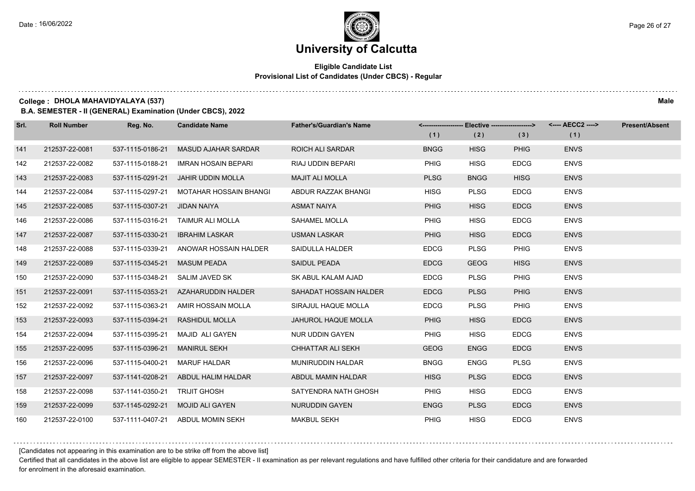#### **Eligible Candidate List Provisional List of Candidates (Under CBCS) - Regular**

**College : DHOLA MAHAVIDYALAYA (537) Male**

**B.A. SEMESTER - II (GENERAL) Examination (Under CBCS), 2022**

| Srl. | <b>Roll Number</b> | Reg. No.         | <b>Candidate Name</b>         | <b>Father's/Guardian's Name</b> |             | <-------------------- Elective -------------------> |             | <---- AECC2 ----> | <b>Present/Absent</b> |
|------|--------------------|------------------|-------------------------------|---------------------------------|-------------|-----------------------------------------------------|-------------|-------------------|-----------------------|
|      |                    |                  |                               |                                 | (1)         | (2)                                                 | (3)         | (1)               |                       |
| 141  | 212537-22-0081     | 537-1115-0186-21 | <b>MASUD AJAHAR SARDAR</b>    | <b>ROICH ALI SARDAR</b>         | <b>BNGG</b> | <b>HISG</b>                                         | <b>PHIG</b> | <b>ENVS</b>       |                       |
| 142  | 212537-22-0082     | 537-1115-0188-21 | <b>IMRAN HOSAIN BEPARI</b>    | RIAJ UDDIN BEPARI               | <b>PHIG</b> | <b>HISG</b>                                         | <b>EDCG</b> | <b>ENVS</b>       |                       |
| 143  | 212537-22-0083     | 537-1115-0291-21 | <b>JAHIR UDDIN MOLLA</b>      | <b>MAJIT ALI MOLLA</b>          | <b>PLSG</b> | <b>BNGG</b>                                         | <b>HISG</b> | <b>ENVS</b>       |                       |
| 144  | 212537-22-0084     | 537-1115-0297-21 | <b>MOTAHAR HOSSAIN BHANGI</b> | ABDUR RAZZAK BHANGI             | <b>HISG</b> | <b>PLSG</b>                                         | <b>EDCG</b> | <b>ENVS</b>       |                       |
| 145  | 212537-22-0085     | 537-1115-0307-21 | <b>JIDAN NAIYA</b>            | <b>ASMAT NAIYA</b>              | <b>PHIG</b> | <b>HISG</b>                                         | <b>EDCG</b> | <b>ENVS</b>       |                       |
| 146  | 212537-22-0086     | 537-1115-0316-21 | TAIMUR ALI MOLLA              | SAHAMEL MOLLA                   | PHIG        | <b>HISG</b>                                         | <b>EDCG</b> | <b>ENVS</b>       |                       |
| 147  | 212537-22-0087     | 537-1115-0330-21 | <b>IBRAHIM LASKAR</b>         | <b>USMAN LASKAR</b>             | <b>PHIG</b> | <b>HISG</b>                                         | <b>EDCG</b> | <b>ENVS</b>       |                       |
| 148  | 212537-22-0088     | 537-1115-0339-21 | ANOWAR HOSSAIN HALDER         | SAIDULLA HALDER                 | <b>EDCG</b> | <b>PLSG</b>                                         | <b>PHIG</b> | <b>ENVS</b>       |                       |
| 149  | 212537-22-0089     | 537-1115-0345-21 | <b>MASUM PEADA</b>            | SAIDUL PEADA                    | <b>EDCG</b> | <b>GEOG</b>                                         | <b>HISG</b> | <b>ENVS</b>       |                       |
| 150  | 212537-22-0090     | 537-1115-0348-21 | SALIM JAVED SK                | SK ABUL KALAM AJAD              | <b>EDCG</b> | <b>PLSG</b>                                         | <b>PHIG</b> | <b>ENVS</b>       |                       |
| 151  | 212537-22-0091     | 537-1115-0353-21 | AZAHARUDDIN HALDER            | SAHADAT HOSSAIN HALDER          | <b>EDCG</b> | <b>PLSG</b>                                         | <b>PHIG</b> | <b>ENVS</b>       |                       |
| 152  | 212537-22-0092     | 537-1115-0363-21 | AMIR HOSSAIN MOLLA            | SIRAJUL HAQUE MOLLA             | <b>EDCG</b> | <b>PLSG</b>                                         | PHIG        | <b>ENVS</b>       |                       |
| 153  | 212537-22-0093     | 537-1115-0394-21 | <b>RASHIDUL MOLLA</b>         | <b>JAHUROL HAQUE MOLLA</b>      | <b>PHIG</b> | <b>HISG</b>                                         | <b>EDCG</b> | <b>ENVS</b>       |                       |
| 154  | 212537-22-0094     | 537-1115-0395-21 | <b>MAJID ALI GAYEN</b>        | NUR UDDIN GAYEN                 | PHIG        | <b>HISG</b>                                         | <b>EDCG</b> | <b>ENVS</b>       |                       |
| 155  | 212537-22-0095     | 537-1115-0396-21 | <b>MANIRUL SEKH</b>           | CHHATTAR ALI SEKH               | <b>GEOG</b> | <b>ENGG</b>                                         | <b>EDCG</b> | <b>ENVS</b>       |                       |
| 156  | 212537-22-0096     | 537-1115-0400-21 | <b>MARUF HALDAR</b>           | MUNIRUDDIN HALDAR               | <b>BNGG</b> | <b>ENGG</b>                                         | <b>PLSG</b> | <b>ENVS</b>       |                       |
| 157  | 212537-22-0097     | 537-1141-0208-21 | ABDUL HALIM HALDAR            | ABDUL MAMIN HALDAR              | <b>HISG</b> | <b>PLSG</b>                                         | <b>EDCG</b> | <b>ENVS</b>       |                       |
| 158  | 212537-22-0098     | 537-1141-0350-21 | <b>TRIJIT GHOSH</b>           | SATYENDRA NATH GHOSH            | <b>PHIG</b> | <b>HISG</b>                                         | <b>EDCG</b> | <b>ENVS</b>       |                       |
| 159  | 212537-22-0099     | 537-1145-0292-21 | <b>MOJID ALI GAYEN</b>        | NURUDDIN GAYEN                  | <b>ENGG</b> | <b>PLSG</b>                                         | <b>EDCG</b> | <b>ENVS</b>       |                       |
| 160  | 212537-22-0100     | 537-1111-0407-21 | ABDUL MOMIN SEKH              | <b>MAKBUL SEKH</b>              | <b>PHIG</b> | <b>HISG</b>                                         | <b>EDCG</b> | <b>ENVS</b>       |                       |

[Candidates not appearing in this examination are to be strike off from the above list]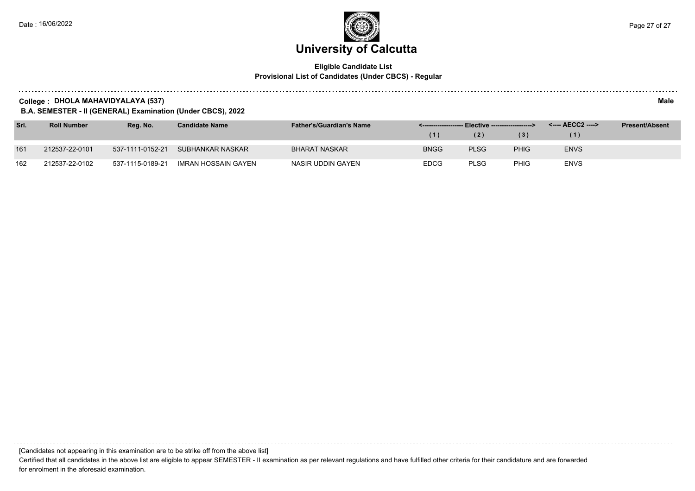#### **Eligible Candidate List Provisional List of Candidates (Under CBCS) - Regular**

**College : DHOLA MAHAVIDYALAYA (537) Male**

**B.A. SEMESTER - II (GENERAL) Examination (Under CBCS), 2022**

| Srl. | <b>Roll Number</b> | Rea. No.         | <b>Candidate Name</b>      | <b>Father's/Guardian's Name</b> |             |             |                   | <---- AECC2 ----> | <b>Present/Absent</b> |
|------|--------------------|------------------|----------------------------|---------------------------------|-------------|-------------|-------------------|-------------------|-----------------------|
|      |                    |                  |                            |                                 |             | (2)         | $\vert 3 \rangle$ | (1)               |                       |
| 161  | 212537-22-0101     | 537-1111-0152-21 | SUBHANKAR NASKAR           | BHARAT NASKAR                   | <b>BNGG</b> | <b>PLSG</b> | <b>PHIG</b>       | <b>ENVS</b>       |                       |
| 162  | 212537-22-0102     | 537-1115-0189-21 | <b>IMRAN HOSSAIN GAYEN</b> | NASIR UDDIN GAYEN               | <b>EDCG</b> | <b>PLSG</b> | <b>PHIG</b>       | <b>ENVS</b>       |                       |

[Candidates not appearing in this examination are to be strike off from the above list]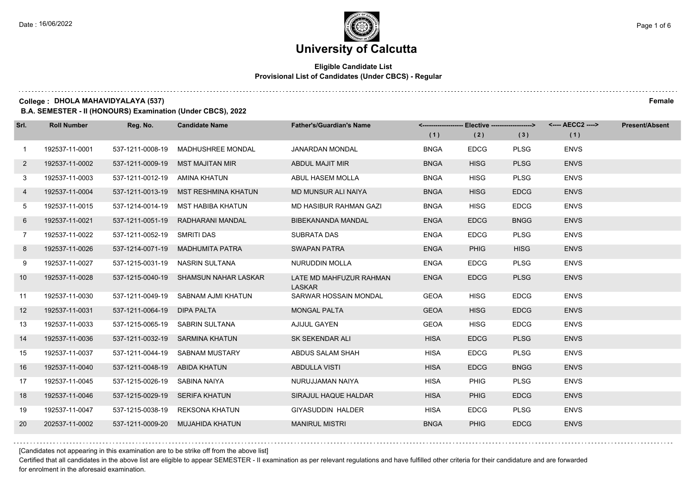#### **Eligible Candidate List Provisional List of Candidates (Under CBCS) - Regular**

**College : DHOLA MAHAVIDYALAYA (537) Female**

**B.A. SEMESTER - II (HONOURS) Examination (Under CBCS), 2022**

| Srl.           | <b>Roll Number</b> | Reg. No.                      | <b>Candidate Name</b>                 | <b>Father's/Guardian's Name</b>          |             | <-------------------- Elective ------------------> |             |             | <b>Present/Absent</b> |
|----------------|--------------------|-------------------------------|---------------------------------------|------------------------------------------|-------------|----------------------------------------------------|-------------|-------------|-----------------------|
|                |                    |                               |                                       |                                          | (1)         | (2)                                                | (3)         | (1)         |                       |
| $\mathbf{1}$   | 192537-11-0001     | 537-1211-0008-19              | <b>MADHUSHREE MONDAL</b>              | <b>JANARDAN MONDAL</b>                   | <b>BNGA</b> | <b>EDCG</b>                                        | <b>PLSG</b> | <b>ENVS</b> |                       |
| $\overline{2}$ | 192537-11-0002     | 537-1211-0009-19              | <b>MST MAJITAN MIR</b>                | ABDUL MAJIT MIR                          | <b>BNGA</b> | <b>HISG</b>                                        | <b>PLSG</b> | <b>ENVS</b> |                       |
| 3              | 192537-11-0003     | 537-1211-0012-19 AMINA KHATUN |                                       | ABUL HASEM MOLLA                         | <b>BNGA</b> | <b>HISG</b>                                        | <b>PLSG</b> | <b>ENVS</b> |                       |
| 4              | 192537-11-0004     |                               | 537-1211-0013-19 MST RESHMINA KHATUN  | MD MUNSUR ALI NAIYA                      | <b>BNGA</b> | <b>HISG</b>                                        | <b>EDCG</b> | <b>ENVS</b> |                       |
| 5              | 192537-11-0015     | 537-1214-0014-19              | MST HABIBA KHATUN                     | MD HASIBUR RAHMAN GAZI                   | <b>BNGA</b> | HISG                                               | <b>EDCG</b> | <b>ENVS</b> |                       |
| 6              | 192537-11-0021     | 537-1211-0051-19              | RADHARANI MANDAL                      | BIBEKANANDA MANDAL                       | <b>ENGA</b> | <b>EDCG</b>                                        | <b>BNGG</b> | <b>ENVS</b> |                       |
| $7^{\circ}$    | 192537-11-0022     | 537-1211-0052-19 SMRITI DAS   |                                       | SUBRATA DAS                              | <b>ENGA</b> | <b>EDCG</b>                                        | <b>PLSG</b> | <b>ENVS</b> |                       |
| 8              | 192537-11-0026     |                               | 537-1214-0071-19 MADHUMITA PATRA      | <b>SWAPAN PATRA</b>                      | <b>ENGA</b> | <b>PHIG</b>                                        | <b>HISG</b> | <b>ENVS</b> |                       |
| 9              | 192537-11-0027     | 537-1215-0031-19              | NASRIN SULTANA                        | <b>NURUDDIN MOLLA</b>                    | <b>ENGA</b> | <b>EDCG</b>                                        | <b>PLSG</b> | <b>ENVS</b> |                       |
| 10             | 192537-11-0028     |                               | 537-1215-0040-19 SHAMSUN NAHAR LASKAR | LATE MD MAHFUZUR RAHMAN<br><b>LASKAR</b> | <b>ENGA</b> | <b>EDCG</b>                                        | <b>PLSG</b> | <b>ENVS</b> |                       |
| 11             | 192537-11-0030     |                               | 537-1211-0049-19 SABNAM AJMI KHATUN   | SARWAR HOSSAIN MONDAL                    | <b>GEOA</b> | <b>HISG</b>                                        | <b>EDCG</b> | <b>ENVS</b> |                       |
| 12             | 192537-11-0031     | 537-1211-0064-19 DIPA PALTA   |                                       | <b>MONGAL PALTA</b>                      | <b>GEOA</b> | <b>HISG</b>                                        | <b>EDCG</b> | <b>ENVS</b> |                       |
| 13             | 192537-11-0033     |                               | 537-1215-0065-19 SABRIN SULTANA       | AJIJUL GAYEN                             | <b>GEOA</b> | <b>HISG</b>                                        | <b>EDCG</b> | <b>ENVS</b> |                       |
| 14             | 192537-11-0036     | 537-1211-0032-19              | SARMINA KHATUN                        | SK SEKENDAR ALI                          | <b>HISA</b> | <b>EDCG</b>                                        | <b>PLSG</b> | <b>ENVS</b> |                       |
| 15             | 192537-11-0037     |                               | 537-1211-0044-19 SABNAM MUSTARY       | ABDUS SALAM SHAH                         | HISA        | <b>EDCG</b>                                        | <b>PLSG</b> | <b>ENVS</b> |                       |
| 16             | 192537-11-0040     | 537-1211-0048-19 ABIDA KHATUN |                                       | <b>ABDULLA VISTI</b>                     | <b>HISA</b> | <b>EDCG</b>                                        | <b>BNGG</b> | <b>ENVS</b> |                       |
| 17             | 192537-11-0045     | 537-1215-0026-19 SABINA NAIYA |                                       | NURUJJAMAN NAIYA                         | <b>HISA</b> | PHIG                                               | <b>PLSG</b> | <b>ENVS</b> |                       |
| 18             | 192537-11-0046     | 537-1215-0029-19              | <b>SERIFA KHATUN</b>                  | SIRAJUL HAQUE HALDAR                     | <b>HISA</b> | <b>PHIG</b>                                        | <b>EDCG</b> | <b>ENVS</b> |                       |
| 19             | 192537-11-0047     |                               | 537-1215-0038-19 REKSONA KHATUN       | <b>GIYASUDDIN HALDER</b>                 | <b>HISA</b> | <b>EDCG</b>                                        | <b>PLSG</b> | <b>ENVS</b> |                       |
| 20             | 202537-11-0002     |                               | 537-1211-0009-20 MUJAHIDA KHATUN      | <b>MANIRUL MISTRI</b>                    | <b>BNGA</b> | <b>PHIG</b>                                        | <b>EDCG</b> | <b>ENVS</b> |                       |

[Candidates not appearing in this examination are to be strike off from the above list]

Certified that all candidates in the above list are eligible to appear SEMESTER - II examination as per relevant regulations and have fulfilled other criteria for their candidature and are forwarded for enrolment in the aforesaid examination.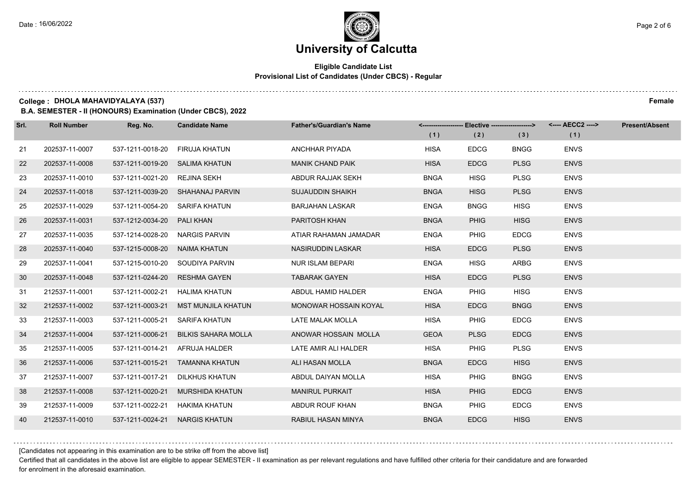#### **Eligible Candidate List Provisional List of Candidates (Under CBCS) - Regular**

**College : DHOLA MAHAVIDYALAYA (537) Female**

**B.A. SEMESTER - II (HONOURS) Examination (Under CBCS), 2022**

| Srl. | <b>Roll Number</b> | Reg. No.                       | <b>Candidate Name</b>            | <b>Father's/Guardian's Name</b> |             | <-------------------- Elective -------------------> |             |             | <b>Present/Absent</b> |
|------|--------------------|--------------------------------|----------------------------------|---------------------------------|-------------|-----------------------------------------------------|-------------|-------------|-----------------------|
|      |                    |                                |                                  |                                 | (1)         | (2)                                                 | (3)         | (1)         |                       |
| 21   | 202537-11-0007     | 537-1211-0018-20               | FIRUJA KHATUN                    | ANCHHAR PIYADA                  | <b>HISA</b> | <b>EDCG</b>                                         | <b>BNGG</b> | <b>ENVS</b> |                       |
| 22   | 202537-11-0008     | 537-1211-0019-20 SALIMA KHATUN |                                  | <b>MANIK CHAND PAIK</b>         | <b>HISA</b> | <b>EDCG</b>                                         | <b>PLSG</b> | <b>ENVS</b> |                       |
| 23   | 202537-11-0010     | 537-1211-0021-20 REJINA SEKH   |                                  | ABDUR RAJJAK SEKH               | <b>BNGA</b> | <b>HISG</b>                                         | <b>PLSG</b> | <b>ENVS</b> |                       |
| 24   | 202537-11-0018     |                                | 537-1211-0039-20 SHAHANAJ PARVIN | <b>SUJAUDDIN SHAIKH</b>         | <b>BNGA</b> | <b>HISG</b>                                         | <b>PLSG</b> | <b>ENVS</b> |                       |
| 25   | 202537-11-0029     | 537-1211-0054-20 SARIFA KHATUN |                                  | <b>BARJAHAN LASKAR</b>          | <b>ENGA</b> | <b>BNGG</b>                                         | <b>HISG</b> | <b>ENVS</b> |                       |
| 26   | 202537-11-0031     | 537-1212-0034-20               | <b>PALI KHAN</b>                 | PARITOSH KHAN                   | <b>BNGA</b> | <b>PHIG</b>                                         | <b>HISG</b> | <b>ENVS</b> |                       |
| 27   | 202537-11-0035     | 537-1214-0028-20 NARGIS PARVIN |                                  | ATIAR RAHAMAN JAMADAR           | <b>ENGA</b> | PHIG                                                | <b>EDCG</b> | <b>ENVS</b> |                       |
| 28   | 202537-11-0040     | 537-1215-0008-20 NAIMA KHATUN  |                                  | NASIRUDDIN LASKAR               | <b>HISA</b> | <b>EDCG</b>                                         | <b>PLSG</b> | <b>ENVS</b> |                       |
| 29   | 202537-11-0041     | 537-1215-0010-20               | SOUDIYA PARVIN                   | <b>NUR ISLAM BEPARI</b>         | <b>ENGA</b> | <b>HISG</b>                                         | <b>ARBG</b> | <b>ENVS</b> |                       |
| 30   | 202537-11-0048     | 537-1211-0244-20               | <b>RESHMA GAYEN</b>              | <b>TABARAK GAYEN</b>            | <b>HISA</b> | <b>EDCG</b>                                         | <b>PLSG</b> | <b>ENVS</b> |                       |
| 31   | 212537-11-0001     | 537-1211-0002-21               | HALIMA KHATUN                    | ABDUL HAMID HALDER              | <b>ENGA</b> | PHIG                                                | <b>HISG</b> | <b>ENVS</b> |                       |
| 32   | 212537-11-0002     | 537-1211-0003-21               | MST MUNJILA KHATUN               | MONOWAR HOSSAIN KOYAL           | <b>HISA</b> | <b>EDCG</b>                                         | <b>BNGG</b> | <b>ENVS</b> |                       |
| 33   | 212537-11-0003     | 537-1211-0005-21               | SARIFA KHATUN                    | LATE MALAK MOLLA                | <b>HISA</b> | <b>PHIG</b>                                         | <b>EDCG</b> | <b>ENVS</b> |                       |
| 34   | 212537-11-0004     | 537-1211-0006-21               | <b>BILKIS SAHARA MOLLA</b>       | ANOWAR HOSSAIN MOLLA            | <b>GEOA</b> | <b>PLSG</b>                                         | <b>EDCG</b> | <b>ENVS</b> |                       |
| 35   | 212537-11-0005     | 537-1211-0014-21               | AFRUJA HALDER                    | LATE AMIR ALI HALDER            | <b>HISA</b> | PHIG                                                | <b>PLSG</b> | <b>ENVS</b> |                       |
| 36   | 212537-11-0006     |                                | 537-1211-0015-21 TAMANNA KHATUN  | ALI HASAN MOLLA                 | <b>BNGA</b> | <b>EDCG</b>                                         | <b>HISG</b> | <b>ENVS</b> |                       |
| 37   | 212537-11-0007     | 537-1211-0017-21               | DILKHUS KHATUN                   | ABDUL DAIYAN MOLLA              | <b>HISA</b> | <b>PHIG</b>                                         | <b>BNGG</b> | <b>ENVS</b> |                       |
| 38   | 212537-11-0008     | 537-1211-0020-21               | <b>MURSHIDA KHATUN</b>           | <b>MANIRUL PURKAIT</b>          | <b>HISA</b> | <b>PHIG</b>                                         | <b>EDCG</b> | <b>ENVS</b> |                       |
| 39   | 212537-11-0009     | 537-1211-0022-21               | HAKIMA KHATUN                    | ABDUR ROUF KHAN                 | <b>BNGA</b> | <b>PHIG</b>                                         | <b>EDCG</b> | <b>ENVS</b> |                       |
| 40   | 212537-11-0010     | 537-1211-0024-21 NARGIS KHATUN |                                  | RABIUL HASAN MINYA              | <b>BNGA</b> | <b>EDCG</b>                                         | <b>HISG</b> | <b>ENVS</b> |                       |

[Candidates not appearing in this examination are to be strike off from the above list]

Certified that all candidates in the above list are eligible to appear SEMESTER - II examination as per relevant regulations and have fulfilled other criteria for their candidature and are forwarded for enrolment in the aforesaid examination.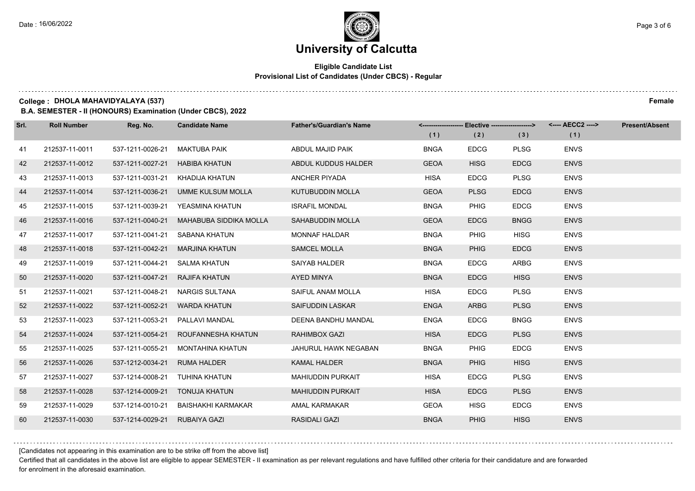#### **Eligible Candidate List Provisional List of Candidates (Under CBCS) - Regular**

**College : DHOLA MAHAVIDYALAYA (537) Female**

**B.A. SEMESTER - II (HONOURS) Examination (Under CBCS), 2022**

| Srl. | <b>Roll Number</b> | Reg. No.         | <b>Candidate Name</b>         | <b>Father's/Guardian's Name</b> |             | <------------------- Elective ------------------> |             | <---- AECC2 ----> | <b>Present/Absent</b> |
|------|--------------------|------------------|-------------------------------|---------------------------------|-------------|---------------------------------------------------|-------------|-------------------|-----------------------|
|      |                    |                  |                               |                                 | (1)         | (2)                                               | (3)         | (1)               |                       |
| 41   | 212537-11-0011     | 537-1211-0026-21 | <b>MAKTUBA PAIK</b>           | ABDUL MAJID PAIK                | <b>BNGA</b> | <b>EDCG</b>                                       | <b>PLSG</b> | <b>ENVS</b>       |                       |
| 42   | 212537-11-0012     | 537-1211-0027-21 | <b>HABIBA KHATUN</b>          | ABDUL KUDDUS HALDER             | <b>GEOA</b> | <b>HISG</b>                                       | <b>EDCG</b> | <b>ENVS</b>       |                       |
| 43   | 212537-11-0013     | 537-1211-0031-21 | KHADIJA KHATUN                | <b>ANCHER PIYADA</b>            | <b>HISA</b> | <b>EDCG</b>                                       | <b>PLSG</b> | <b>ENVS</b>       |                       |
| 44   | 212537-11-0014     | 537-1211-0036-21 | UMME KULSUM MOLLA             | KUTUBUDDIN MOLLA                | <b>GEOA</b> | <b>PLSG</b>                                       | <b>EDCG</b> | <b>ENVS</b>       |                       |
| 45   | 212537-11-0015     | 537-1211-0039-21 | YEASMINA KHATUN               | <b>ISRAFIL MONDAL</b>           | <b>BNGA</b> | <b>PHIG</b>                                       | <b>EDCG</b> | <b>ENVS</b>       |                       |
| 46   | 212537-11-0016     | 537-1211-0040-21 | <b>MAHABUBA SIDDIKA MOLLA</b> | SAHABUDDIN MOLLA                | <b>GEOA</b> | <b>EDCG</b>                                       | <b>BNGG</b> | <b>ENVS</b>       |                       |
| 47   | 212537-11-0017     | 537-1211-0041-21 | SABANA KHATUN                 | <b>MONNAF HALDAR</b>            | <b>BNGA</b> | PHIG                                              | <b>HISG</b> | <b>ENVS</b>       |                       |
| 48   | 212537-11-0018     | 537-1211-0042-21 | <b>MARJINA KHATUN</b>         | <b>SAMCEL MOLLA</b>             | <b>BNGA</b> | <b>PHIG</b>                                       | <b>EDCG</b> | <b>ENVS</b>       |                       |
| 49   | 212537-11-0019     | 537-1211-0044-21 | SALMA KHATUN                  | <b>SAIYAB HALDER</b>            | <b>BNGA</b> | <b>EDCG</b>                                       | <b>ARBG</b> | <b>ENVS</b>       |                       |
| 50   | 212537-11-0020     | 537-1211-0047-21 | <b>RAJIFA KHATUN</b>          | AYED MINYA                      | <b>BNGA</b> | <b>EDCG</b>                                       | <b>HISG</b> | <b>ENVS</b>       |                       |
| 51   | 212537-11-0021     | 537-1211-0048-21 | NARGIS SULTANA                | SAIFUL ANAM MOLLA               | <b>HISA</b> | <b>EDCG</b>                                       | <b>PLSG</b> | <b>ENVS</b>       |                       |
| 52   | 212537-11-0022     | 537-1211-0052-21 | <b>WARDA KHATUN</b>           | <b>SAIFUDDIN LASKAR</b>         | <b>ENGA</b> | <b>ARBG</b>                                       | <b>PLSG</b> | <b>ENVS</b>       |                       |
| 53   | 212537-11-0023     | 537-1211-0053-21 | PALLAVI MANDAL                | DEENA BANDHU MANDAL             | <b>ENGA</b> | <b>EDCG</b>                                       | <b>BNGG</b> | <b>ENVS</b>       |                       |
| 54   | 212537-11-0024     | 537-1211-0054-21 | ROUFANNESHA KHATUN            | <b>RAHIMBOX GAZI</b>            | <b>HISA</b> | <b>EDCG</b>                                       | <b>PLSG</b> | <b>ENVS</b>       |                       |
| 55   | 212537-11-0025     | 537-1211-0055-21 | <b>MONTAHINA KHATUN</b>       | JAHURUL HAWK NEGABAN            | <b>BNGA</b> | <b>PHIG</b>                                       | <b>EDCG</b> | <b>ENVS</b>       |                       |
| 56   | 212537-11-0026     | 537-1212-0034-21 | RUMA HALDER                   | <b>KAMAL HALDER</b>             | <b>BNGA</b> | <b>PHIG</b>                                       | <b>HISG</b> | <b>ENVS</b>       |                       |
| 57   | 212537-11-0027     | 537-1214-0008-21 | TUHINA KHATUN                 | <b>MAHIUDDIN PURKAIT</b>        | <b>HISA</b> | <b>EDCG</b>                                       | <b>PLSG</b> | <b>ENVS</b>       |                       |
| 58   | 212537-11-0028     | 537-1214-0009-21 | <b>TONUJA KHATUN</b>          | <b>MAHIUDDIN PURKAIT</b>        | <b>HISA</b> | <b>EDCG</b>                                       | <b>PLSG</b> | <b>ENVS</b>       |                       |
| 59   | 212537-11-0029     | 537-1214-0010-21 | BAISHAKHI KARMAKAR            | AMAL KARMAKAR                   | <b>GEOA</b> | <b>HISG</b>                                       | <b>EDCG</b> | <b>ENVS</b>       |                       |
| 60   | 212537-11-0030     | 537-1214-0029-21 | <b>RUBAIYA GAZI</b>           | <b>RASIDALI GAZI</b>            | <b>BNGA</b> | <b>PHIG</b>                                       | <b>HISG</b> | <b>ENVS</b>       |                       |

[Candidates not appearing in this examination are to be strike off from the above list]

Certified that all candidates in the above list are eligible to appear SEMESTER - II examination as per relevant regulations and have fulfilled other criteria for their candidature and are forwarded for enrolment in the aforesaid examination.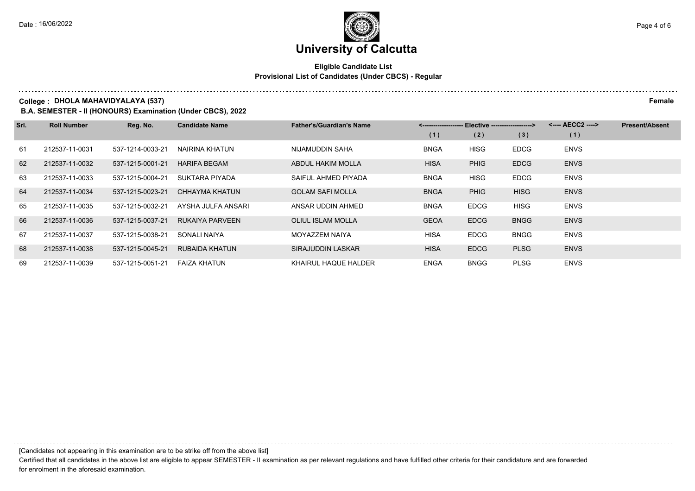#### **Eligible Candidate List Provisional List of Candidates (Under CBCS) - Regular**

**College : DHOLA MAHAVIDYALAYA (537) Female**

**B.A. SEMESTER - II (HONOURS) Examination (Under CBCS), 2022**

| Srl. | <b>Roll Number</b> | Reg. No.         | <b>Candidate Name</b>  | <b>Father's/Guardian's Name</b> | Elective -------------------> |             |             | <---- AECC2 ----> | <b>Present/Absent</b> |
|------|--------------------|------------------|------------------------|---------------------------------|-------------------------------|-------------|-------------|-------------------|-----------------------|
|      |                    |                  |                        |                                 | (1)                           | (2)         | (3)         | (1)               |                       |
| 61   | 212537-11-0031     | 537-1214-0033-21 | NAIRINA KHATUN         | NIJAMUDDIN SAHA                 | <b>BNGA</b>                   | <b>HISG</b> | <b>EDCG</b> | <b>ENVS</b>       |                       |
| 62   | 212537-11-0032     | 537-1215-0001-21 | <b>HARIFA BEGAM</b>    | <b>ABDUL HAKIM MOLLA</b>        | <b>HISA</b>                   | <b>PHIG</b> | <b>EDCG</b> | <b>ENVS</b>       |                       |
| 63   | 212537-11-0033     | 537-1215-0004-21 | SUKTARA PIYADA         | SAIFUL AHMED PIYADA             | <b>BNGA</b>                   | <b>HISG</b> | <b>EDCG</b> | <b>ENVS</b>       |                       |
| 64   | 212537-11-0034     | 537-1215-0023-21 | CHHAYMA KHATUN         | <b>GOLAM SAFI MOLLA</b>         | <b>BNGA</b>                   | <b>PHIG</b> | <b>HISG</b> | <b>ENVS</b>       |                       |
| 65   | 212537-11-0035     | 537-1215-0032-21 | AYSHA JULFA ANSARI     | ANSAR UDDIN AHMED               | <b>BNGA</b>                   | <b>EDCG</b> | <b>HISG</b> | <b>ENVS</b>       |                       |
| 66   | 212537-11-0036     | 537-1215-0037-21 | <b>RUKAIYA PARVEEN</b> | <b>OLIUL ISLAM MOLLA</b>        | <b>GEOA</b>                   | <b>EDCG</b> | <b>BNGG</b> | <b>ENVS</b>       |                       |
| 67   | 212537-11-0037     | 537-1215-0038-21 | SONALI NAIYA           | MOYAZZEM NAIYA                  | <b>HISA</b>                   | <b>EDCG</b> | <b>BNGG</b> | <b>ENVS</b>       |                       |
| 68   | 212537-11-0038     | 537-1215-0045-21 | <b>RUBAIDA KHATUN</b>  | SIRAJUDDIN LASKAR               | <b>HISA</b>                   | <b>EDCG</b> | <b>PLSG</b> | <b>ENVS</b>       |                       |
| 69   | 212537-11-0039     | 537-1215-0051-21 | <b>FAIZA KHATUN</b>    | KHAIRUL HAQUE HALDER            | <b>ENGA</b>                   | <b>BNGG</b> | <b>PLSG</b> | <b>ENVS</b>       |                       |

[Candidates not appearing in this examination are to be strike off from the above list]

. . . . . . . . . . . . . . . . . . .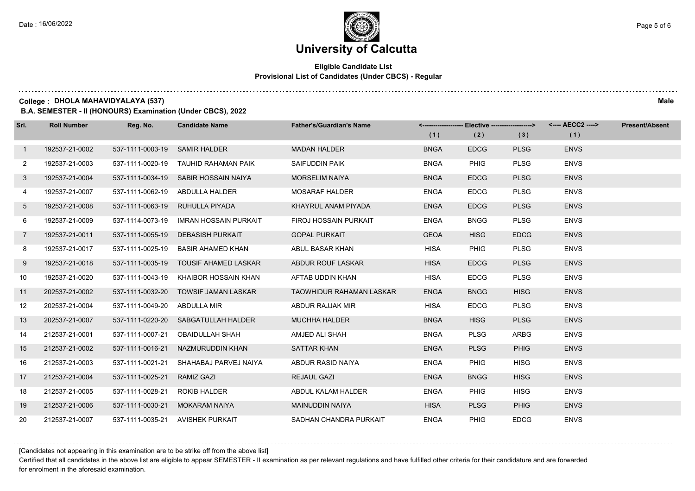#### **Eligible Candidate List Provisional List of Candidates (Under CBCS) - Regular**

**College : DHOLA MAHAVIDYALAYA (537) Male**

**B.A. SEMESTER - II (HONOURS) Examination (Under CBCS), 2022**

| Srl.           | <b>Roll Number</b> | Reg. No.                     | <b>Candidate Name</b>                 | <b>Father's/Guardian's Name</b> |             | <-------------------- Elective ------------------> |             | <---- AECC2 ----> | <b>Present/Absent</b> |
|----------------|--------------------|------------------------------|---------------------------------------|---------------------------------|-------------|----------------------------------------------------|-------------|-------------------|-----------------------|
|                |                    |                              |                                       |                                 | (1)         | (2)                                                | (3)         | (1)               |                       |
| $\mathbf{1}$   | 192537-21-0002     | 537-1111-0003-19             | <b>SAMIR HALDER</b>                   | <b>MADAN HALDER</b>             | <b>BNGA</b> | <b>EDCG</b>                                        | <b>PLSG</b> | <b>ENVS</b>       |                       |
| $\mathbf{2}$   | 192537-21-0003     |                              | 537-1111-0020-19 TAUHID RAHAMAN PAIK  | SAIFUDDIN PAIK                  | <b>BNGA</b> | <b>PHIG</b>                                        | <b>PLSG</b> | <b>ENVS</b>       |                       |
| 3              | 192537-21-0004     |                              | 537-1111-0034-19 SABIR HOSSAIN NAIYA  | <b>MORSELIM NAIYA</b>           | <b>BNGA</b> | <b>EDCG</b>                                        | <b>PLSG</b> | <b>ENVS</b>       |                       |
| 4              | 192537-21-0007     |                              | 537-1111-0062-19 ABDULLA HALDER       | <b>MOSARAF HALDER</b>           | <b>ENGA</b> | <b>EDCG</b>                                        | <b>PLSG</b> | <b>ENVS</b>       |                       |
| 5              | 192537-21-0008     | 537-1111-0063-19             | RUHULLA PIYADA                        | KHAYRUL ANAM PIYADA             | <b>ENGA</b> | <b>EDCG</b>                                        | <b>PLSG</b> | <b>ENVS</b>       |                       |
| 6              | 192537-21-0009     | 537-1114-0073-19             | IMRAN HOSSAIN PURKAIT                 | FIROJ HOSSAIN PURKAIT           | <b>ENGA</b> | <b>BNGG</b>                                        | <b>PLSG</b> | <b>ENVS</b>       |                       |
| $\overline{7}$ | 192537-21-0011     | 537-1111-0055-19             | <b>DEBASISH PURKAIT</b>               | <b>GOPAL PURKAIT</b>            | <b>GEOA</b> | <b>HISG</b>                                        | <b>EDCG</b> | <b>ENVS</b>       |                       |
| 8              | 192537-21-0017     | 537-1111-0025-19             | BASIR AHAMED KHAN                     | ABUL BASAR KHAN                 | <b>HISA</b> | <b>PHIG</b>                                        | <b>PLSG</b> | <b>ENVS</b>       |                       |
| 9              | 192537-21-0018     |                              | 537-1111-0035-19 TOUSIF AHAMED LASKAR | ABDUR ROUF LASKAR               | <b>HISA</b> | <b>EDCG</b>                                        | <b>PLSG</b> | <b>ENVS</b>       |                       |
| 10             | 192537-21-0020     | 537-1111-0043-19             | KHAIBOR HOSSAIN KHAN                  | AFTAB UDDIN KHAN                | <b>HISA</b> | <b>EDCG</b>                                        | <b>PLSG</b> | <b>ENVS</b>       |                       |
| 11             | 202537-21-0002     | 537-1111-0032-20             | <b>TOWSIF JAMAN LASKAR</b>            | <b>TAOWHIDUR RAHAMAN LASKAR</b> | <b>ENGA</b> | <b>BNGG</b>                                        | <b>HISG</b> | <b>ENVS</b>       |                       |
| 12             | 202537-21-0004     | 537-1111-0049-20 ABDULLA MIR |                                       | ABDUR RAJJAK MIR                | <b>HISA</b> | <b>EDCG</b>                                        | <b>PLSG</b> | <b>ENVS</b>       |                       |
| 13             | 202537-21-0007     |                              | 537-1111-0220-20 SABGATULLAH HALDER   | <b>MUCHHA HALDER</b>            | <b>BNGA</b> | <b>HISG</b>                                        | <b>PLSG</b> | <b>ENVS</b>       |                       |
| 14             | 212537-21-0001     | 537-1111-0007-21             | OBAIDULLAH SHAH                       | AMJED ALI SHAH                  | <b>BNGA</b> | <b>PLSG</b>                                        | <b>ARBG</b> | <b>ENVS</b>       |                       |
| 15             | 212537-21-0002     | 537-1111-0016-21             | NAZMURUDDIN KHAN                      | <b>SATTAR KHAN</b>              | <b>ENGA</b> | <b>PLSG</b>                                        | <b>PHIG</b> | <b>ENVS</b>       |                       |
| 16             | 212537-21-0003     | 537-1111-0021-21             | SHAHABAJ PARVEJ NAIYA                 | ABDUR RASID NAIYA               | <b>ENGA</b> | <b>PHIG</b>                                        | <b>HISG</b> | <b>ENVS</b>       |                       |
| 17             | 212537-21-0004     | 537-1111-0025-21             | <b>RAMIZ GAZI</b>                     | <b>REJAUL GAZI</b>              | <b>ENGA</b> | <b>BNGG</b>                                        | <b>HISG</b> | <b>ENVS</b>       |                       |
| 18             | 212537-21-0005     | 537-1111-0028-21             | <b>ROKIB HALDER</b>                   | ABDUL KALAM HALDER              | <b>ENGA</b> | <b>PHIG</b>                                        | <b>HISG</b> | <b>ENVS</b>       |                       |
| 19             | 212537-21-0006     | 537-1111-0030-21             | <b>MOKARAM NAIYA</b>                  | <b>MAINUDDIN NAIYA</b>          | <b>HISA</b> | <b>PLSG</b>                                        | <b>PHIG</b> | <b>ENVS</b>       |                       |
| 20             | 212537-21-0007     | 537-1111-0035-21             | <b>AVISHEK PURKAIT</b>                | SADHAN CHANDRA PURKAIT          | <b>ENGA</b> | PHIG                                               | <b>EDCG</b> | <b>ENVS</b>       |                       |

[Candidates not appearing in this examination are to be strike off from the above list]